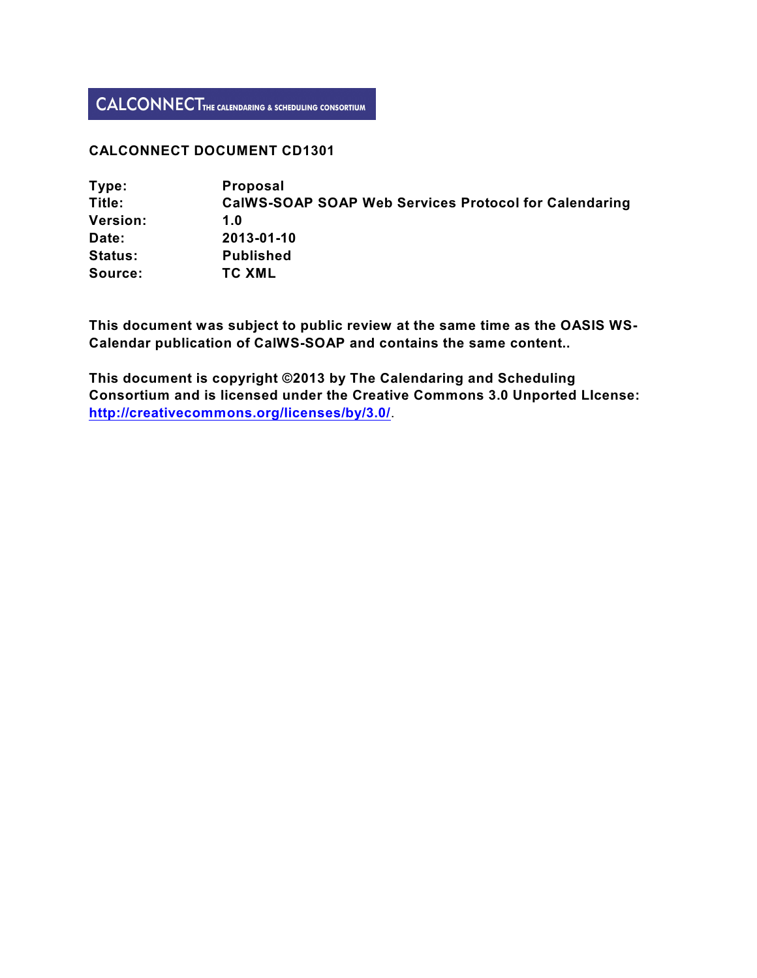# **CALCONNECT DOCUMENT CD1301**

| Type:           | <b>Proposal</b>                                              |
|-----------------|--------------------------------------------------------------|
| Title:          | <b>CalWS-SOAP SOAP Web Services Protocol for Calendaring</b> |
| <b>Version:</b> | 1.0                                                          |
| Date:           | 2013-01-10                                                   |
| <b>Status:</b>  | <b>Published</b>                                             |
| Source:         | <b>TC XML</b>                                                |

**This document was subject to public review at the same time as the OASIS WS-Calendar publication of CalWS-SOAP and contains the same content..**

**This document is copyright ©2013 by The Calendaring and Scheduling Consortium and is licensed under the Creative Commons 3.0 Unported LIcense: <http://creativecommons.org/licenses/by/3.0/>**.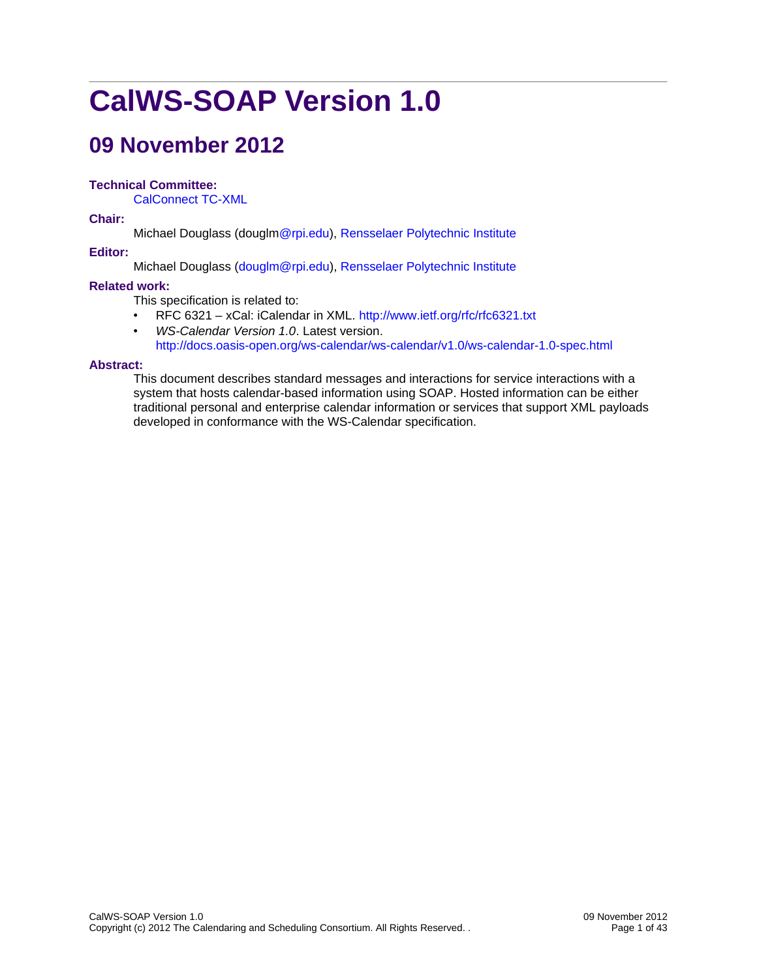# **CalWS-SOAP Version 1.0**

# **09 November 2012**

# **Technical Committee:**

CalConnect TC-XML

**Chair:**

Michael Douglass (dougl[m@rpi.edu\)](mailto:toby.considine@unc.edu), [Re](http://www.unc.edu/)nsselaer Polytechnic [Institute](http://www.rpi.edu/)

# **Editor:**

Michael Douglass [\(douglm@rpi.edu\)](mailto:douglm@rpi.edu), [Rensselaer Polytechnic Institute](http://www.rpi.edu/)

# **Related work:**

This specification is related to:

- RFC 6321 xCal: iCalendar in XML.<http://www.ietf.org/rfc/rfc6321.txt>
- *WS-Calendar Version 1.0*. Latest version. <http://docs.oasis-open.org/ws-calendar/ws-calendar/v1.0/ws-calendar-1.0-spec.html>

# **Abstract:**

This document describes standard messages and interactions for service interactions with a system that hosts calendar-based information using SOAP. Hosted information can be either traditional personal and enterprise calendar information or services that support XML payloads developed in conformance with the WS-Calendar specification.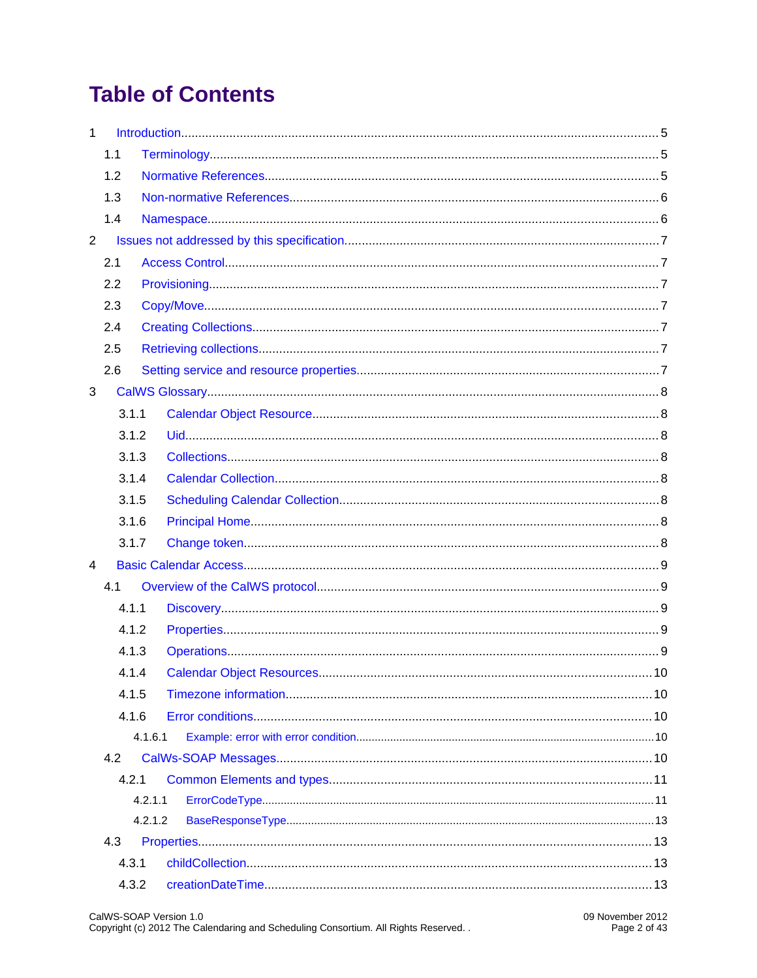# **Table of Contents**

| $\mathbf{1}$   |       |         |  |
|----------------|-------|---------|--|
|                | 1.1   |         |  |
|                | 1.2   |         |  |
|                | 1.3   |         |  |
|                | 1.4   |         |  |
| $\overline{2}$ |       |         |  |
|                | 2.1   |         |  |
|                | 2.2   |         |  |
|                | 2.3   |         |  |
|                | 2.4   |         |  |
|                | 2.5   |         |  |
|                | 2.6   |         |  |
| 3              |       |         |  |
|                | 3.1.1 |         |  |
|                | 3.1.2 |         |  |
|                | 3.1.3 |         |  |
|                | 3.1.4 |         |  |
|                | 3.1.5 |         |  |
|                | 3.1.6 |         |  |
|                | 3.1.7 |         |  |
| 4              |       |         |  |
|                | 4.1   |         |  |
|                | 4.1.1 |         |  |
|                | 4.1.2 |         |  |
|                | 4.1.3 |         |  |
|                | 4.1.4 |         |  |
|                | 4.1.5 |         |  |
|                | 4.1.6 |         |  |
|                |       | 4.1.6.1 |  |
|                | 4.2   |         |  |
|                | 4.2.1 |         |  |
|                |       | 4.2.1.1 |  |
|                |       | 4.2.1.2 |  |
|                | 4.3   |         |  |
|                | 4.3.1 |         |  |
|                | 4.3.2 |         |  |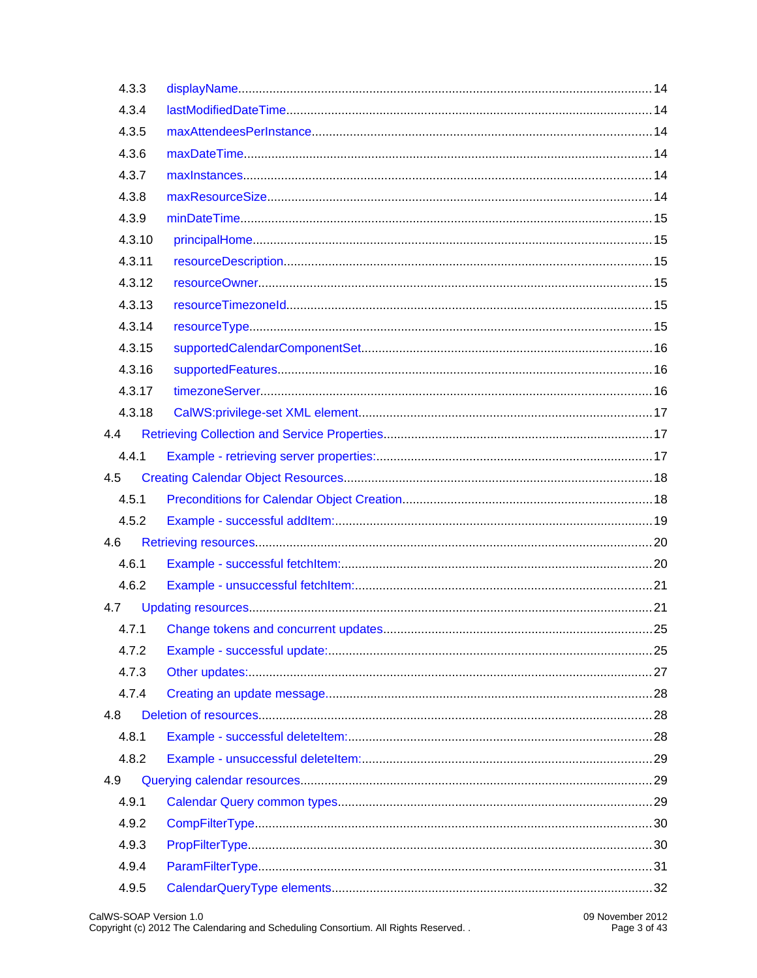| 4.3.3  |  |  |
|--------|--|--|
| 4.3.4  |  |  |
| 4.3.5  |  |  |
| 4.3.6  |  |  |
| 4.3.7  |  |  |
| 4.3.8  |  |  |
| 4.3.9  |  |  |
| 4.3.10 |  |  |
| 4.3.11 |  |  |
| 4.3.12 |  |  |
| 4.3.13 |  |  |
| 4.3.14 |  |  |
| 4.3.15 |  |  |
| 4.3.16 |  |  |
| 4.3.17 |  |  |
| 4.3.18 |  |  |
| 4.4    |  |  |
| 4.4.1  |  |  |
| 4.5    |  |  |
| 4.5.1  |  |  |
| 4.5.2  |  |  |
| 4.6    |  |  |
| 4.6.1  |  |  |
| 4.6.2  |  |  |
| 4.7    |  |  |
| 4.7.1  |  |  |
| 4.7.2  |  |  |
| 4.7.3  |  |  |
| 4.7.4  |  |  |
| 4.8    |  |  |
| 4.8.1  |  |  |
| 4.8.2  |  |  |
| 4.9    |  |  |
| 4.9.1  |  |  |
| 4.9.2  |  |  |
| 4.9.3  |  |  |
| 4.9.4  |  |  |
| 4.9.5  |  |  |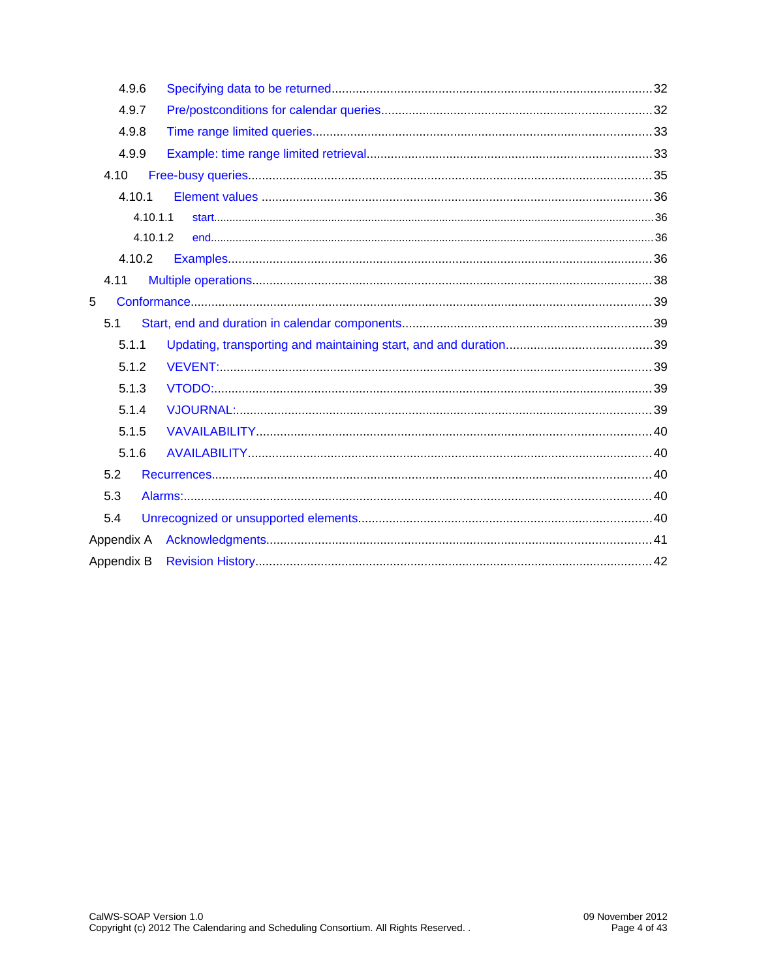| 4.9.6      |          |  |
|------------|----------|--|
| 4.9.7      |          |  |
| 4.9.8      |          |  |
| 4.9.9      |          |  |
| 4.10       |          |  |
| 4.10.1     |          |  |
|            | 4.10.1.1 |  |
|            | 4.10.1.2 |  |
| 4.10.2     |          |  |
| 4.11       |          |  |
| 5          |          |  |
| 5.1        |          |  |
| 5.1.1      |          |  |
| 5.1.2      |          |  |
| 5.1.3      |          |  |
| 5.1.4      |          |  |
| 5.1.5      |          |  |
| 5.1.6      |          |  |
| 5.2        |          |  |
| 5.3        |          |  |
| 5.4        |          |  |
|            |          |  |
| Appendix B |          |  |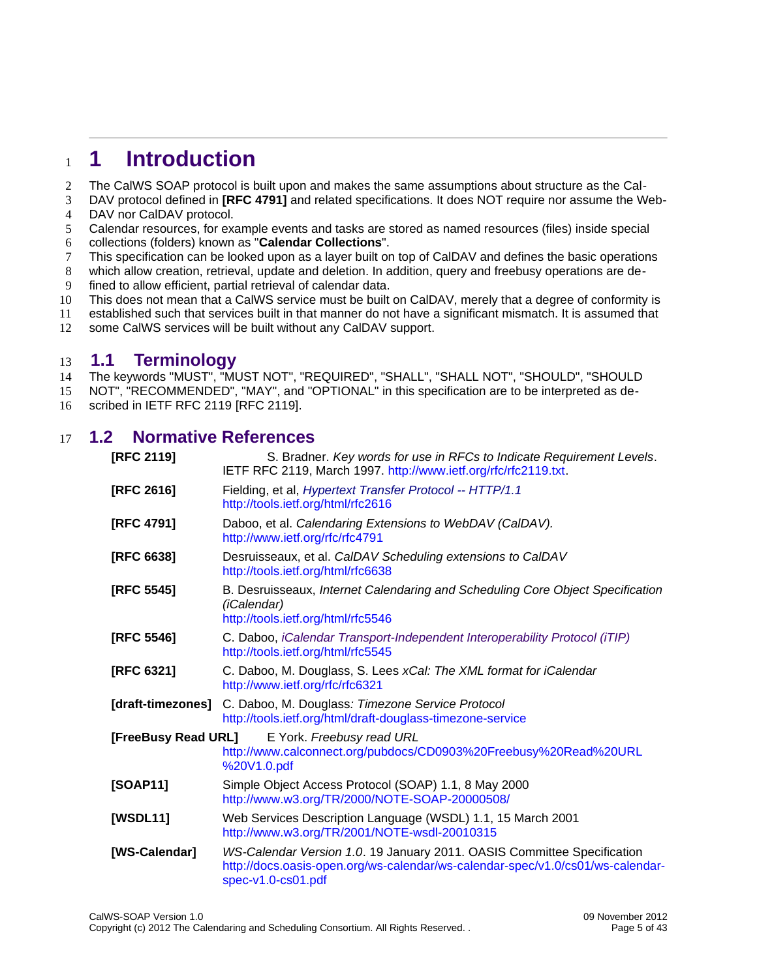## <span id="page-5-2"></span>**1 Introduction** 1

- The CalWS SOAP protocol is built upon and makes the same assumptions about structure as the Cal-2
- DAV protocol defined in **[\[RFC 4791\]](#page-5-3)** and related specifications. It does NOT require nor assume the Web-DAV nor CalDAV protocol. 3 4
- Calendar resources, for example events and tasks are stored as named resources (files) inside special 5
- collections (folders) known as "**Calendar Collections**". 6
- This specification can be looked upon as a layer built on top of CalDAV and defines the basic operations 7
- which allow creation, retrieval, update and deletion. In addition, query and freebusy operations are defined to allow efficient, partial retrieval of calendar data. 8 9
- This does not mean that a CalWS service must be built on CalDAV, merely that a degree of conformity is 10
- established such that services built in that manner do not have a significant mismatch. It is assumed that 11
- some CalWS services will be built without any CalDAV support. 12

#### <span id="page-5-1"></span>**1.1 Terminology** 13

The keywords "MUST", "MUST NOT", "REQUIRED", "SHALL", "SHALL NOT", "SHOULD", "SHOULD 14

- NOT", "RECOMMENDED", "MAY", and "OPTIONAL" in this specification are to be interpreted as de-15
- scribed in IETF RFC 2119 [\[RFC 2119\].](#page-5-4) 16

#### **1.2 Normative References** 17

<span id="page-5-12"></span><span id="page-5-11"></span><span id="page-5-10"></span><span id="page-5-9"></span><span id="page-5-8"></span><span id="page-5-7"></span><span id="page-5-6"></span><span id="page-5-5"></span><span id="page-5-4"></span><span id="page-5-3"></span><span id="page-5-0"></span>

| [RFC 2119]                                                                                                                          | S. Bradner. Key words for use in RFCs to Indicate Requirement Levels.<br>IETF RFC 2119, March 1997. http://www.ietf.org/rfc/rfc2119.txt.                                        |  |  |
|-------------------------------------------------------------------------------------------------------------------------------------|---------------------------------------------------------------------------------------------------------------------------------------------------------------------------------|--|--|
| [RFC 2616]<br>Fielding, et al, Hypertext Transfer Protocol -- HTTP/1.1<br>http://tools.ietf.org/html/rfc2616                        |                                                                                                                                                                                 |  |  |
| [RFC 4791]                                                                                                                          | Daboo, et al. Calendaring Extensions to WebDAV (CalDAV).<br>http://www.ietf.org/rfc/rfc4791                                                                                     |  |  |
| [RFC 6638]                                                                                                                          | Desruisseaux, et al. CaIDAV Scheduling extensions to CaIDAV<br>http://tools.ietf.org/html/rfc6638                                                                               |  |  |
| [RFC 5545]                                                                                                                          | B. Desruisseaux, Internet Calendaring and Scheduling Core Object Specification<br>(iCalendar)<br>http://tools.ietf.org/html/rfc5546                                             |  |  |
| [RFC 5546]                                                                                                                          | C. Daboo, iCalendar Transport-Independent Interoperability Protocol (iTIP)<br>http://tools.ietf.org/html/rfc5545                                                                |  |  |
| [RFC 6321]                                                                                                                          | C. Daboo, M. Douglass, S. Lees xCal: The XML format for iCalendar<br>http://www.ietf.org/rfc/rfc6321                                                                            |  |  |
| [draft-timezones]                                                                                                                   | C. Daboo, M. Douglass: Timezone Service Protocol<br>http://tools.ietf.org/html/draft-douglass-timezone-service                                                                  |  |  |
| [FreeBusy Read URL]<br>E York. Freebusy read URL<br>http://www.calconnect.org/pubdocs/CD0903%20Freebusy%20Read%20URL<br>%20V1.0.pdf |                                                                                                                                                                                 |  |  |
| [SOAP11]                                                                                                                            | Simple Object Access Protocol (SOAP) 1.1, 8 May 2000<br>http://www.w3.org/TR/2000/NOTE-SOAP-20000508/                                                                           |  |  |
| [WSDL11]                                                                                                                            | Web Services Description Language (WSDL) 1.1, 15 March 2001<br>http://www.w3.org/TR/2001/NOTE-wsdl-20010315                                                                     |  |  |
| [WS-Calendar]                                                                                                                       | WS-Calendar Version 1.0. 19 January 2011. OASIS Committee Specification<br>http://docs.oasis-open.org/ws-calendar/ws-calendar-spec/v1.0/cs01/ws-calendar-<br>spec-v1.0-cs01.pdf |  |  |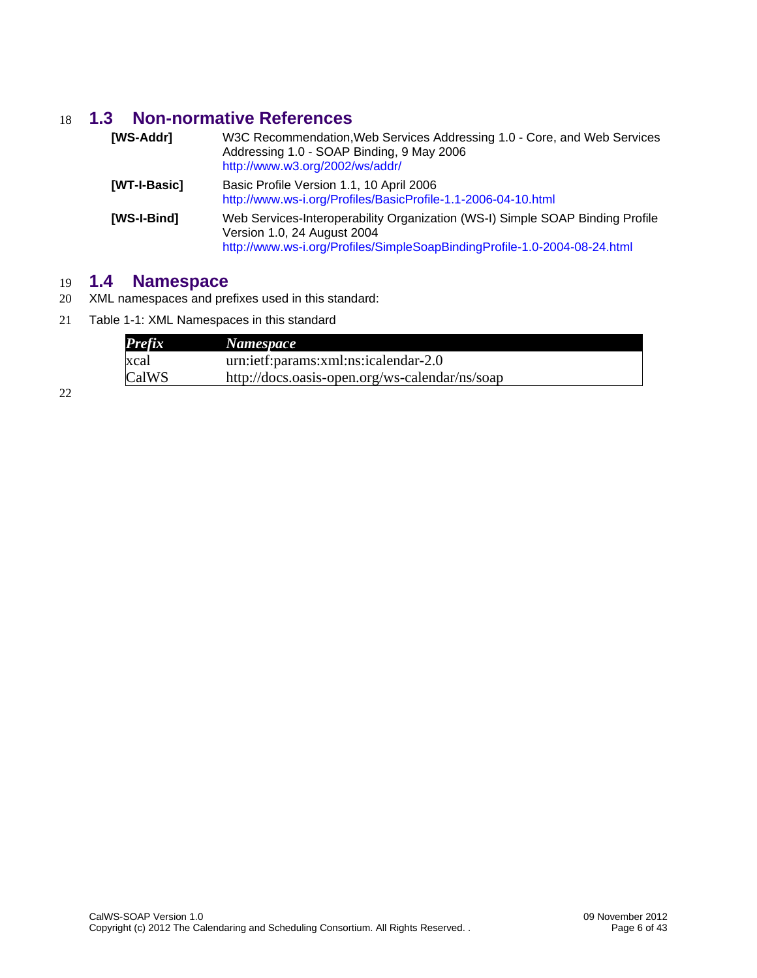## **1.3 Non-normative References** 18

<span id="page-6-3"></span><span id="page-6-1"></span>

| [WS-Addr]    | W3C Recommendation, Web Services Addressing 1.0 - Core, and Web Services<br>Addressing 1.0 - SOAP Binding, 9 May 2006<br>http://www.w3.org/2002/ws/addr/                                  |
|--------------|-------------------------------------------------------------------------------------------------------------------------------------------------------------------------------------------|
| [WT-I-Basic] | Basic Profile Version 1.1, 10 April 2006<br>http://www.ws-i.org/Profiles/BasicProfile-1.1-2006-04-10.html                                                                                 |
| [WS-I-Bind]  | Web Services-Interoperability Organization (WS-I) Simple SOAP Binding Profile<br>Version 1.0, 24 August 2004<br>http://www.ws-i.org/Profiles/SimpleSoapBindingProfile-1.0-2004-08-24.html |

## <span id="page-6-2"></span>**1.4 Namespace** 19

- XML namespaces and prefixes used in this standard: 20
- Table 1-1: XML Namespaces in this standard 21

<span id="page-6-0"></span>

| <b>Prefix</b> | Namespace                                      |
|---------------|------------------------------------------------|
| xcal          | urn:ietf:params:xml:ns:icalendar-2.0           |
| CalWS         | http://docs.oasis-open.org/ws-calendar/ns/soap |

22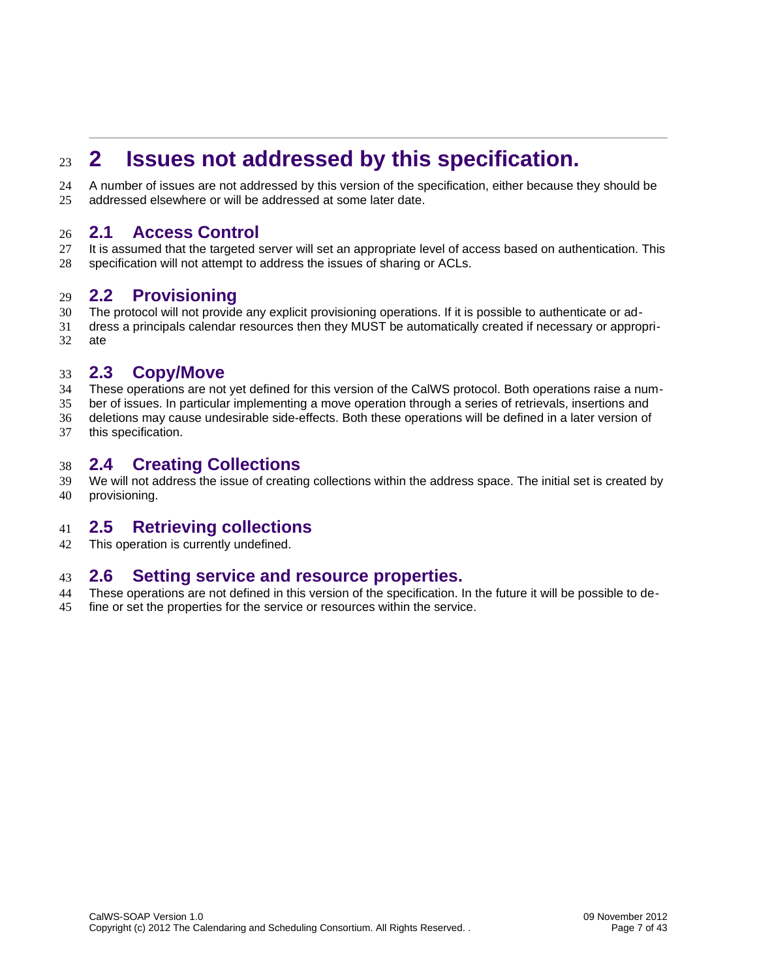# <span id="page-7-6"></span>**2 Issues not addressed by this specification.** 23

A number of issues are not addressed by this version of the specification, either because they should be addressed elsewhere or will be addressed at some later date. 24 25

#### <span id="page-7-5"></span>**2.1 Access Control** 26

It is assumed that the targeted server will set an appropriate level of access based on authentication. This specification will not attempt to address the issues of sharing or ACLs. 27 28

#### <span id="page-7-4"></span>**2.2 Provisioning** 29

- The protocol will not provide any explicit provisioning operations. If it is possible to authenticate or ad-30
- dress a principals calendar resources then they MUST be automatically created if necessary or appropriate 31 32

#### <span id="page-7-3"></span>**2.3 Copy/Move** 33

- These operations are not yet defined for this version of the CalWS protocol. Both operations raise a num-34
- ber of issues. In particular implementing a move operation through a series of retrievals, insertions and 35
- deletions may cause undesirable side-effects. Both these operations will be defined in a later version of this specification. 36 37

#### <span id="page-7-2"></span>**2.4 Creating Collections** 38

We will not address the issue of creating collections within the address space. The initial set is created by provisioning. 39 40

#### <span id="page-7-1"></span>**2.5 Retrieving collections** 41

This operation is currently undefined. 42

#### <span id="page-7-0"></span>**2.6 Setting service and resource properties.** 43

- These operations are not defined in this version of the specification. In the future it will be possible to de-44
- fine or set the properties for the service or resources within the service. 45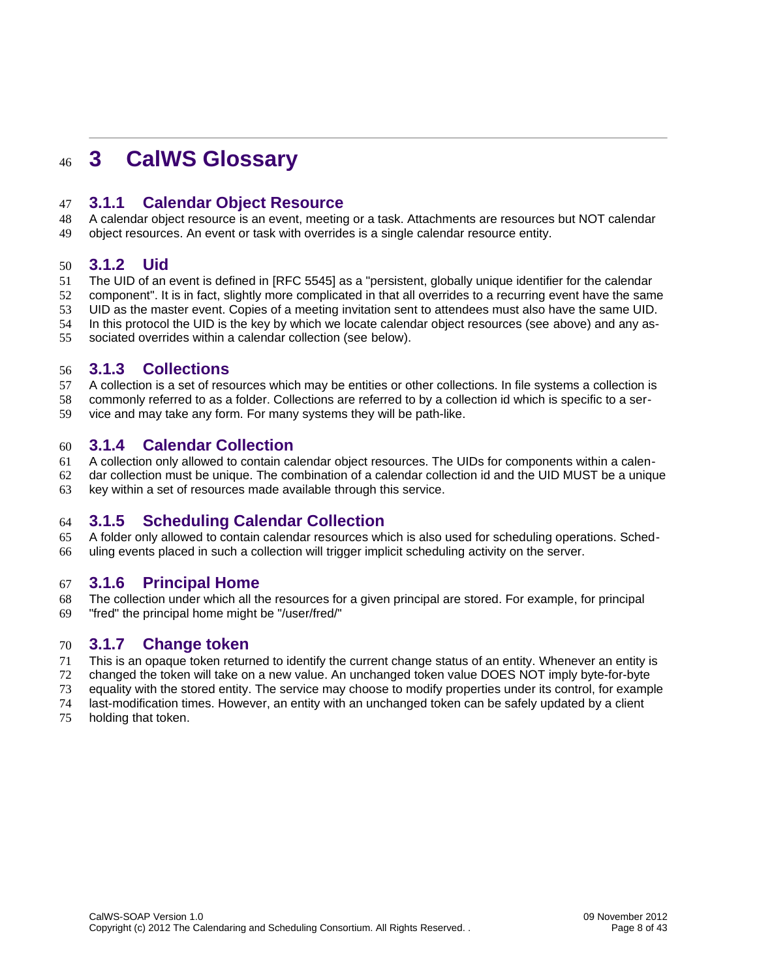# <span id="page-8-7"></span>**3 CalWS Glossary** 46

#### <span id="page-8-6"></span>**3.1.1 Calendar Object Resource** 47

A calendar object resource is an event, meeting or a task. Attachments are resources but NOT calendar object resources. An event or task with overrides is a single calendar resource entity. 48 49

#### <span id="page-8-5"></span>**3.1.2 Uid** 50

The UID of an event is defined in [\[RFC 5545\]](#page-5-5) as a "persistent, globally unique identifier for the calendar 51

- component". It is in fact, slightly more complicated in that all overrides to a recurring event have the same 52
- UID as the master event. Copies of a meeting invitation sent to attendees must also have the same UID. 53
- In this protocol the UID is the key by which we locate calendar object resources (see [above\)](#page-8-6) and any as-54
- sociated overrides within a calendar collection (see [below\)](#page-8-3). 55

#### <span id="page-8-4"></span>**3.1.3 Collections** 56

A collection is a set of resources which may be entities or other collections. In file systems a collection is 57

- commonly referred to as a folder. Collections are referred to by a collection id which is specific to a ser-58
- vice and may take any form. For many systems they will be path-like. 59

#### <span id="page-8-3"></span>**3.1.4 Calendar Collection** 60

A collection only allowed to contain calendar object resources. The UIDs for components within a calen-61

dar collection must be unique. The combination of a calendar collection id and the UID MUST be a unique key within a set of resources made available through this service. 62 63

## <span id="page-8-2"></span>**3.1.5 Scheduling Calendar Collection** 64

A folder only allowed to contain calendar resources which is also used for scheduling operations. Scheduling events placed in such a collection will trigger implicit scheduling activity on the server. 65 66

#### <span id="page-8-1"></span>**3.1.6 Principal Home** 67

The collection under which all the resources for a given principal are stored. For example, for principal "fred" the principal home might be "/user/fred/" 68 69

#### <span id="page-8-0"></span>**3.1.7 Change token** 70

- This is an opaque token returned to identify the current change status of an entity. Whenever an entity is changed the token will take on a new value. An unchanged token value DOES NOT imply byte-for-byte 71 72
- equality with the stored entity. The service may choose to modify properties under its control, for example 73
- last-modification times. However, an entity with an unchanged token can be safely updated by a client 74
- holding that token. 75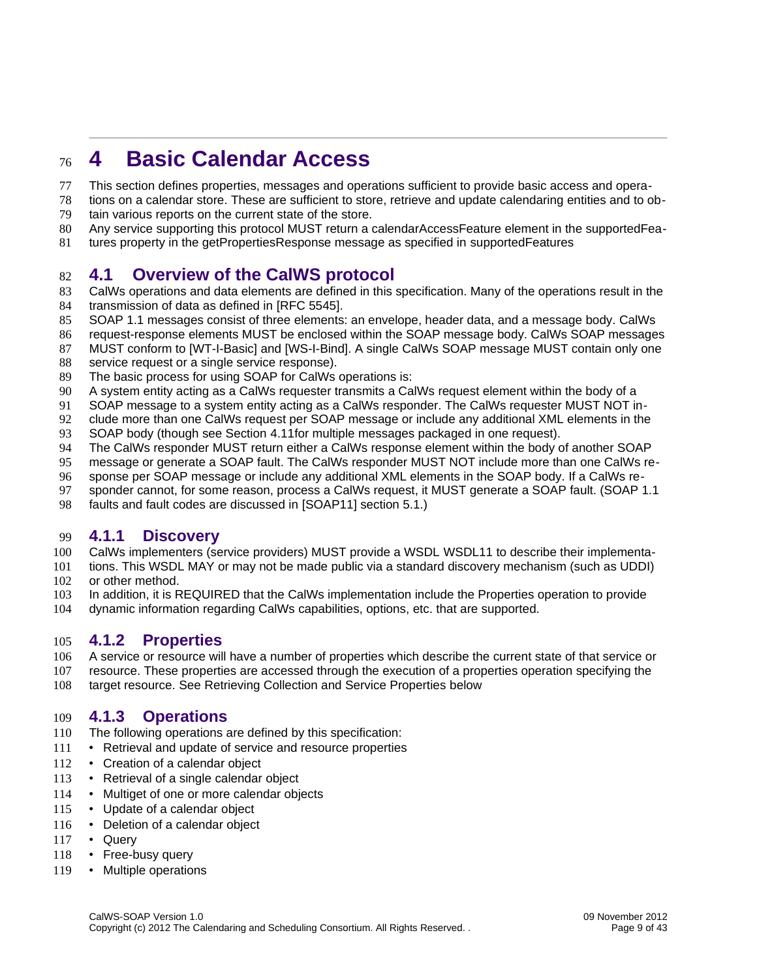## <span id="page-9-4"></span>**4 Basic Calendar Access** 76

- This section defines properties, messages and operations sufficient to provide basic access and opera-77
- tions on a calendar store. These are sufficient to store, retrieve and update calendaring entities and to ob-78
- tain various reports on the current state of the store. 79
- Any service supporting this protocol MUST return a calendarAccessFeature element in the supportedFea-80
- tures property in the getPropertiesResponse message as specified in [supportedFeatures](#page-16-1) 81

#### <span id="page-9-3"></span>**4.1 Overview of the CalWS protocol** 82

- CalWs operations and data elements are defined in this specification. Many of the operations result in the transmission of data as defined in [\[RFC 5545\].](#page-5-5) 83 84
- SOAP 1.1 messages consist of three elements: an envelope, header data, and a message body. CalWs 85
- request-response elements MUST be enclosed within the SOAP message body. CalWs SOAP messages 86
- MUST conform to [\[WT-I-Basic\]](#page-6-3) and [\[WS-I-Bind\].](#page-6-2) A single CalWs SOAP message MUST contain only one 87
- service request or a single service response). 88
- The basic process for using SOAP for CalWs operations is: 89
- A system entity acting as a CalWs requester transmits a CalWs request element within the body of a 90
- SOAP message to a system entity acting as a CalWs responder. The CalWs requester MUST NOT in-91
- clude more than one CalWs request per SOAP message or include any additional XML elements in the 92
- SOAP body (though see Section [4.11f](#page-38-0)or multiple messages packaged in one request). 93
- The CalWs responder MUST return either a CalWs response element within the body of another SOAP 94
- message or generate a SOAP fault. The CalWs responder MUST NOT include more than one CalWs re-95
- sponse per SOAP message or include any additional XML elements in the SOAP body. If a CalWs re-96
- sponder cannot, for some reason, process a CalWs request, it MUST generate a SOAP fault. (SOAP 1.1 97
- faults and fault codes are discussed in [\[SOAP11\]](#page-5-7) section 5.1.) 98

#### <span id="page-9-2"></span>**4.1.1 Discovery** 99

- CalWs implementers (service providers) MUST provide a WSDL [WSDL11](#page-5-6) to describe their implementa-100
- tions. This WSDL MAY or may not be made public via a standard discovery mechanism (such as UDDI) 101
- or other method. 102
- In addition, it is REQUIRED that the CalWs implementation include the Properties operation to provide 103
- dynamic information regarding CalWs capabilities, options, etc. that are supported. 104

#### <span id="page-9-1"></span>**4.1.2 Properties** 105

- A service or resource will have a number of properties which describe the current state of that service or 106
- resource. These properties are accessed through the execution of a properties operation specifying the 107
- target resource. See [Retrieving Collection and Service Properties](#page-17-1) [below](#page-17-1) 108

## <span id="page-9-0"></span>**4.1.3 Operations** 109

- The following operations are defined by this specification: 110
- Retrieval and update of service and resource properties 111
- Creation of a calendar object 112
- Retrieval of a single calendar object 113
- Multiget of one or more calendar objects 114
- Update of a calendar object 115
- Deletion of a calendar object 116
- Query 117
- Free-busy query 118
- Multiple operations 119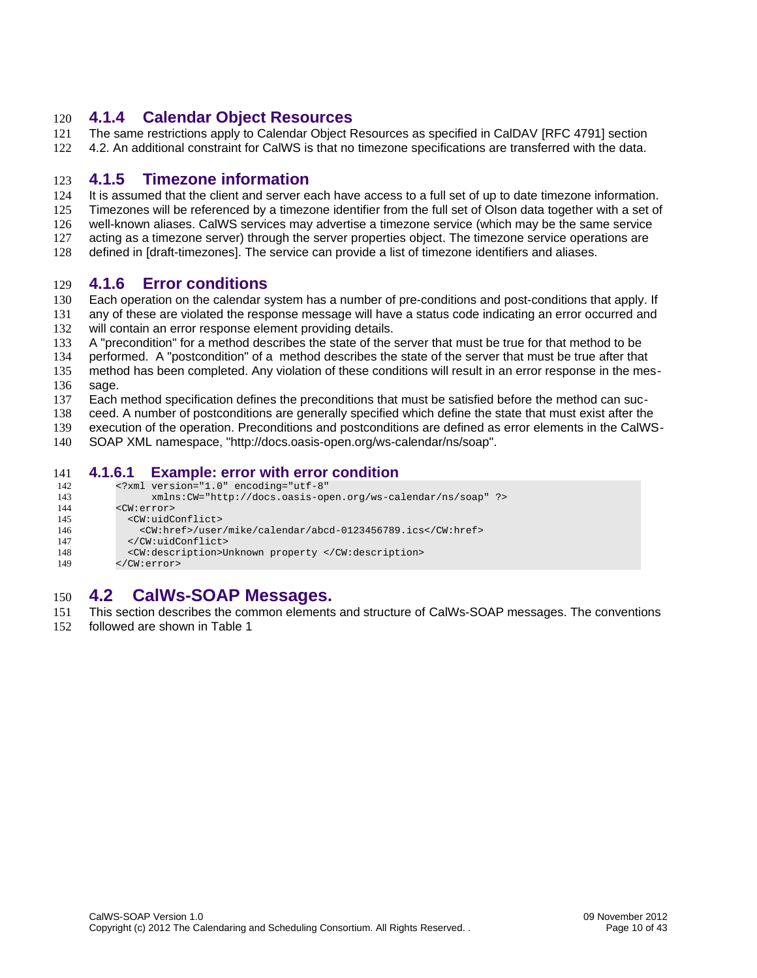#### <span id="page-10-4"></span>**4.1.4 Calendar Object Resources** 120

- The same restrictions apply to Calendar Object Resources as specified in CalDAV [\[RFC 4791\]](#page-5-3) section 121
- 4.2. An additional constraint for CalWS is that no timezone specifications are transferred with the data. 122

#### <span id="page-10-3"></span>**4.1.5 Timezone information** 123

- It is assumed that the client and server each have access to a full set of up to date timezone information. 124
- Timezones will be referenced by a timezone identifier from the full set of Olson data together with a set of 125
- well-known aliases. CalWS services may advertise a timezone service (which may be the same service 126
- acting as a timezone server) through the server properties object. The timezone service operations are 127
- defined in [\[draft-timezones\].](#page-5-8) The service can provide a list of timezone identifiers and aliases. 128

#### <span id="page-10-2"></span>**4.1.6 Error conditions** 129

- Each operation on the calendar system has a number of pre-conditions and post-conditions that apply. If any of these are violated the response message will have a status code indicating an error occurred and 130 131
- will contain an error response element providing details. 132
- A "precondition" for a method describes the state of the server that must be true for that method to be 133
- performed. A "postcondition" of a method describes the state of the server that must be true after that 134
- method has been completed. Any violation of these conditions will result in an error response in the message. 135 136
- Each method specification defines the preconditions that must be satisfied before the method can suc-137
- ceed. A number of postconditions are generally specified which define the state that must exist after the 138
- execution of the operation. Preconditions and postconditions are defined as error elements in the CalWS-139
- SOAP XML namespace, "http://docs.oasis-open.org/ws-calendar/ns/soap". 140

#### **4.1.6.1 Example: error with error condition** 141

- <span id="page-10-1"></span><?xml version="1.0" encoding="utf-8" 142
- xmlns:CW="http://docs.oasis-open.org/ws-calendar/ns/soap" ?> 143
- <CW:error> 144 145
- <CW:uidConflict> 146
- <CW:href>/user/mike/calendar/abcd-0123456789.ics</CW:href> </CW:uidConflict> 147
- 
- <CW:description>Unknown property </CW:description> 148
- </CW:error> 149

#### <span id="page-10-0"></span>**4.2 CalWs-SOAP Messages.** 150

- This section describes the common elements and structure of CalWs-SOAP messages. The conventions 151
- followed are shown in Table 1 152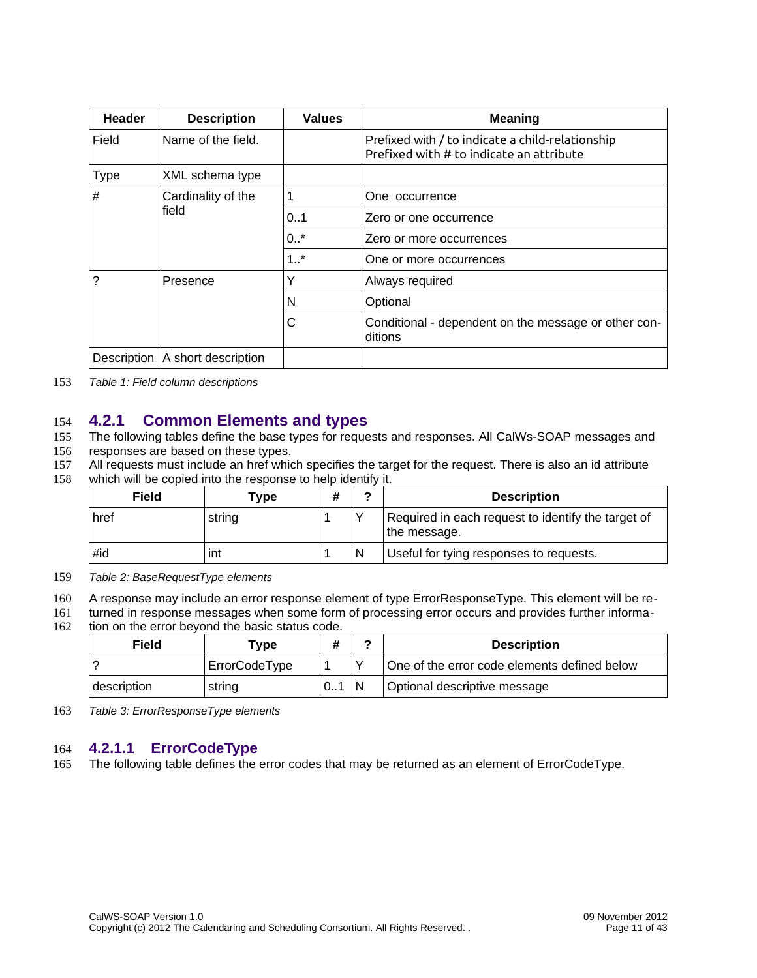| <b>Header</b> | <b>Description</b>  | <b>Values</b> | Meaning                                                                                      |
|---------------|---------------------|---------------|----------------------------------------------------------------------------------------------|
| Field         | Name of the field.  |               | Prefixed with / to indicate a child-relationship<br>Prefixed with # to indicate an attribute |
| <b>Type</b>   | XML schema type     |               |                                                                                              |
| #             | Cardinality of the  |               | One occurrence                                                                               |
|               | field               | 0.1           | Zero or one occurrence                                                                       |
|               |                     | $0.7*$        | Zero or more occurrences                                                                     |
|               |                     | $1.1*$        | One or more occurrences                                                                      |
| っ             | Presence            | Υ             | Always required                                                                              |
|               |                     | N             | Optional                                                                                     |
|               |                     | C             | Conditional - dependent on the message or other con-<br>ditions                              |
| Description   | A short description |               |                                                                                              |

*Table 1: Field column descriptions* 153

#### <span id="page-11-1"></span>**4.2.1 Common Elements and types** 154

- The following tables define the base types for requests and responses. All CalWs-SOAP messages and 155
- responses are based on these types. 156
- All requests must include an href which specifies the target for the request. There is also an id attribute which will be copied into the response to help identify it. 157 158

| Field |        | Type | # | ◠ | <b>Description</b>                                                 |
|-------|--------|------|---|---|--------------------------------------------------------------------|
| href  | string |      |   |   | Required in each request to identify the target of<br>the message. |
| #id   | ınt    |      |   |   | Useful for tying responses to requests.                            |

*Table 2: BaseRequestType elements* 159

A response may include an error response element of type ErrorResponseType. This element will be re-160

turned in response messages when some form of processing error occurs and provides further informa-161

tion on the error beyond the basic status code. 162

| Field       | Type          | #  |    | <b>Description</b>                           |
|-------------|---------------|----|----|----------------------------------------------|
|             | ErrorCodeType |    |    | One of the error code elements defined below |
| description | string        | 01 | 'N | Optional descriptive message                 |

*Table 3: ErrorResponseType elements* 163

#### <span id="page-11-0"></span>**4.2.1.1 ErrorCodeType** 164

The following table defines the error codes that may be returned as an element of ErrorCodeType. 165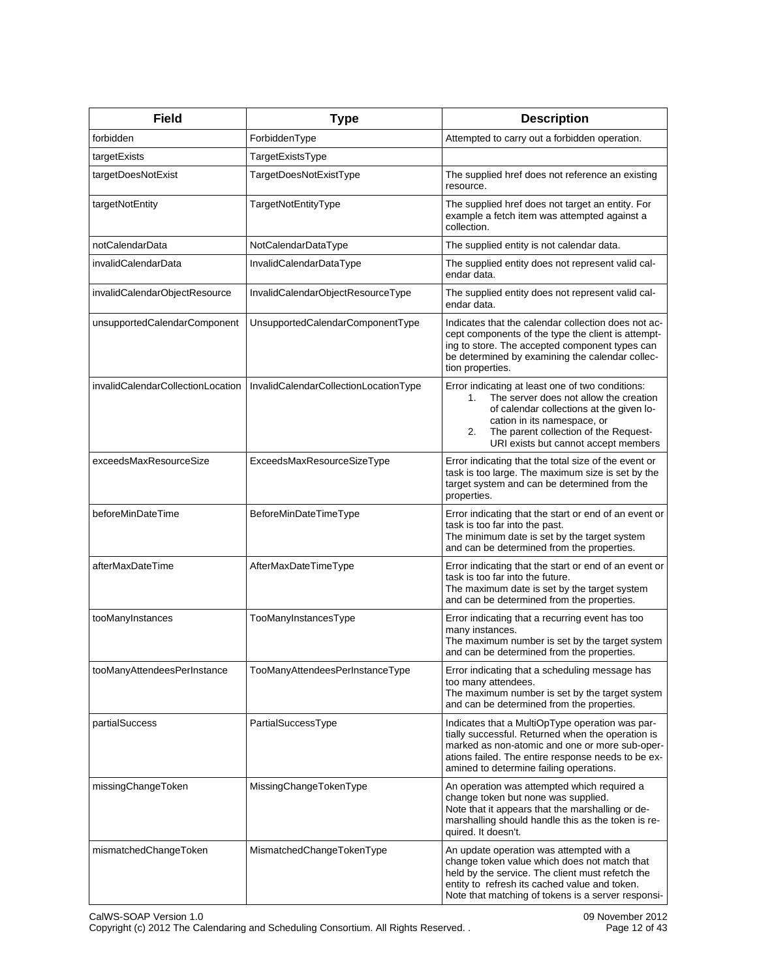| <b>Field</b>                      | <b>Type</b>                           | <b>Description</b>                                                                                                                                                                                                                                                 |
|-----------------------------------|---------------------------------------|--------------------------------------------------------------------------------------------------------------------------------------------------------------------------------------------------------------------------------------------------------------------|
| forbidden                         | ForbiddenType                         | Attempted to carry out a forbidden operation.                                                                                                                                                                                                                      |
| targetExists                      | TargetExistsType                      |                                                                                                                                                                                                                                                                    |
| targetDoesNotExist                | TargetDoesNotExistType                | The supplied href does not reference an existing<br>resource.                                                                                                                                                                                                      |
| targetNotEntity                   | TargetNotEntityType                   | The supplied href does not target an entity. For<br>example a fetch item was attempted against a<br>collection.                                                                                                                                                    |
| notCalendarData                   | NotCalendarDataType                   | The supplied entity is not calendar data.                                                                                                                                                                                                                          |
| invalidCalendarData               | InvalidCalendarDataType               | The supplied entity does not represent valid cal-<br>endar data.                                                                                                                                                                                                   |
| invalidCalendarObjectResource     | InvalidCalendarObjectResourceType     | The supplied entity does not represent valid cal-<br>endar data.                                                                                                                                                                                                   |
| unsupportedCalendarComponent      | UnsupportedCalendarComponentType      | Indicates that the calendar collection does not ac-<br>cept components of the type the client is attempt-<br>ing to store. The accepted component types can<br>be determined by examining the calendar collec-<br>tion properties.                                 |
| invalidCalendarCollectionLocation | InvalidCalendarCollectionLocationType | Error indicating at least one of two conditions:<br>The server does not allow the creation<br>1.<br>of calendar collections at the given lo-<br>cation in its namespace, or<br>The parent collection of the Request-<br>2.<br>URI exists but cannot accept members |
| exceedsMaxResourceSize            | ExceedsMaxResourceSizeType            | Error indicating that the total size of the event or<br>task is too large. The maximum size is set by the<br>target system and can be determined from the<br>properties.                                                                                           |
| beforeMinDateTime                 | BeforeMinDateTimeType                 | Error indicating that the start or end of an event or<br>task is too far into the past.<br>The minimum date is set by the target system<br>and can be determined from the properties.                                                                              |
| afterMaxDateTime                  | AfterMaxDateTimeType                  | Error indicating that the start or end of an event or<br>task is too far into the future.<br>The maximum date is set by the target system<br>and can be determined from the properties.                                                                            |
| tooManyInstances                  | TooManyInstancesType                  | Error indicating that a recurring event has too<br>many instances.<br>The maximum number is set by the target system<br>and can be determined from the properties.                                                                                                 |
| tooManyAttendeesPerInstance       | TooManyAttendeesPerInstanceType       | Error indicating that a scheduling message has<br>too many attendees.<br>The maximum number is set by the target system<br>and can be determined from the properties.                                                                                              |
| partialSuccess                    | PartialSuccessType                    | Indicates that a MultiOpType operation was par-<br>tially successful. Returned when the operation is<br>marked as non-atomic and one or more sub-oper-<br>ations failed. The entire response needs to be ex-<br>amined to determine failing operations.            |
| missingChangeToken                | MissingChangeTokenType                | An operation was attempted which required a<br>change token but none was supplied.<br>Note that it appears that the marshalling or de-<br>marshalling should handle this as the token is re-<br>quired. It doesn't.                                                |
| mismatchedChangeToken             | MismatchedChangeTokenType             | An update operation was attempted with a<br>change token value which does not match that<br>held by the service. The client must refetch the<br>entity to refresh its cached value and token.<br>Note that matching of tokens is a server responsi-                |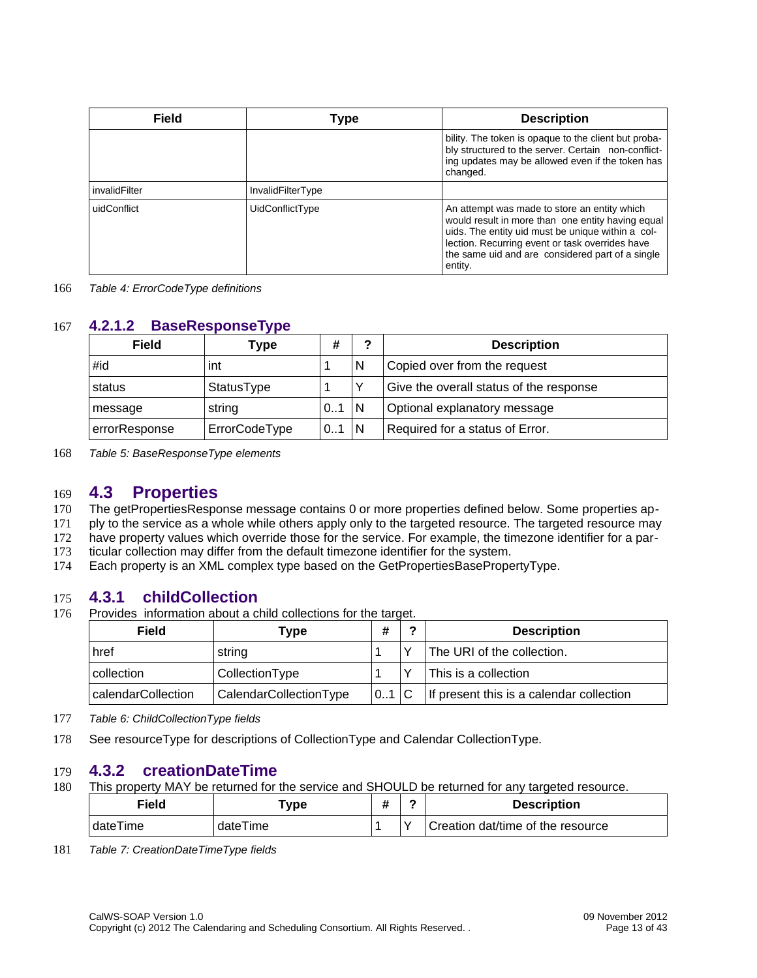| Field         | Type              | <b>Description</b>                                                                                                                                                                                                                                                       |
|---------------|-------------------|--------------------------------------------------------------------------------------------------------------------------------------------------------------------------------------------------------------------------------------------------------------------------|
|               |                   | bility. The token is opaque to the client but proba-<br>bly structured to the server. Certain non-conflict-<br>ing updates may be allowed even if the token has<br>changed.                                                                                              |
| invalidFilter | InvalidFilterType |                                                                                                                                                                                                                                                                          |
| uidConflict   | UidConflictType   | An attempt was made to store an entity which<br>would result in more than one entity having equal<br>uids. The entity uid must be unique within a col-<br>lection. Recurring event or task overrides have<br>the same uid and are considered part of a single<br>entity. |

*Table 4: ErrorCodeType definitions* 166

#### **4.2.1.2 BaseResponseType** 167

<span id="page-13-3"></span>

| Field         | Type          | #               | ົ | <b>Description</b>                      |
|---------------|---------------|-----------------|---|-----------------------------------------|
| #id           | int           |                 | N | Copied over from the request            |
| status        | StatusType    |                 |   | Give the overall status of the response |
| message       | string        | $0.1$ $\vert$ N |   | Optional explanatory message            |
| errorResponse | ErrorCodeType | $0.1$ N         |   | Required for a status of Error.         |

*Table 5: BaseResponseType elements* 168

#### <span id="page-13-2"></span>**4.3 Properties** 169

- The getPropertiesResponse message contains 0 or more properties defined below. Some properties ap-170
- ply to the service as a whole while others apply only to the targeted resource. The targeted resource may 171
- have property values which override those for the service. For example, the timezone identifier for a par-172
- ticular collection may differ from the default timezone identifier for the system. 173
- Each property is an XML complex type based on the GetPropertiesBasePropertyType. 174

#### **4.3.1 childCollection** 175

Provides information about a child collections for the target. 176

<span id="page-13-1"></span>

| Field              | Type                          | #     | ີ            | <b>Description</b>                       |
|--------------------|-------------------------------|-------|--------------|------------------------------------------|
| href               | string                        |       | $\checkmark$ | The URI of the collection.               |
| collection         | CollectionType                |       |              | This is a collection                     |
| calendarCollection | <b>CalendarCollectionType</b> | 0.1 C |              | If present this is a calendar collection |

*Table 6: ChildCollectionType fields* 177

See [resourceType](#page-15-0) for descriptions of CollectionType and Calendar CollectionType. 178

#### **4.3.2 creationDateTime** 179

This property MAY be returned for the service and SHOULD be returned for any targeted resource. 180

<span id="page-13-0"></span>

| Field    | Type :   | <br>π |              | <b>Description</b>                |
|----------|----------|-------|--------------|-----------------------------------|
| dateTime | dateTime |       | $\checkmark$ | Creation dat/time of the resource |

*Table 7: CreationDateTimeType fields* 181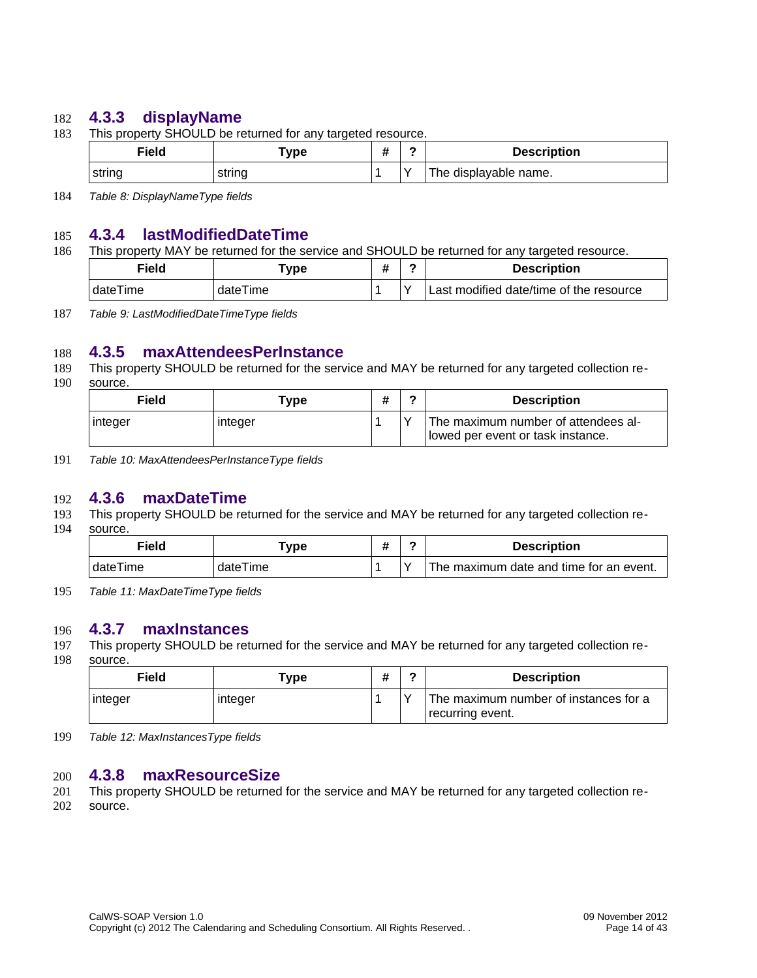#### **4.3.3 displayName** 182

This property SHOULD be returned for any targeted resource. 183

<span id="page-14-5"></span>

|        | Field | Type   |  | <b>Description</b>    |
|--------|-------|--------|--|-----------------------|
| string |       | string |  | The displayable name. |

*Table 8: DisplayNameType fields* 184

#### **4.3.4 lastModifiedDateTime** 185

This property MAY be returned for the service and SHOULD be returned for any targeted resource. 186

<span id="page-14-4"></span>

| Field    | vpe "    | π | <b>Description</b>                      |
|----------|----------|---|-----------------------------------------|
| dateTime | dateTime |   | Last modified date/time of the resource |

*Table 9: LastModifiedDateTimeType fields* 187

#### **4.3.5 maxAttendeesPerInstance** 188

- This property SHOULD be returned for the service and MAY be returned for any targeted collection re-189
- source. 190

<span id="page-14-3"></span>

| Field   | Type    | # | - | <b>Description</b>                                                       |
|---------|---------|---|---|--------------------------------------------------------------------------|
| integer | integer |   |   | The maximum number of attendees al-<br>lowed per event or task instance. |

*Table 10: MaxAttendeesPerInstanceType fields* 191

#### **4.3.6 maxDateTime** 192

- This property SHOULD be returned for the service and MAY be returned for any targeted collection re-193
- source. 194

<span id="page-14-2"></span>

| Field    | Type -   | π | <b>Description</b>                      |
|----------|----------|---|-----------------------------------------|
| dateTime | dateTime |   | The maximum date and time for an event. |

*Table 11: MaxDateTimeType fields* 195

#### **4.3.7 maxInstances** 196

- This property SHOULD be returned for the service and MAY be returned for any targeted collection re-197
- source. 198

<span id="page-14-1"></span>

| Field    | туре    |  | <b>Description</b>                                        |
|----------|---------|--|-----------------------------------------------------------|
| ⊧integer | integer |  | The maximum number of instances for a<br>recurring event. |

*Table 12: MaxInstancesType fields* 199

#### <span id="page-14-0"></span>**4.3.8 maxResourceSize** 200

This property SHOULD be returned for the service and MAY be returned for any targeted collection re-201

source. 202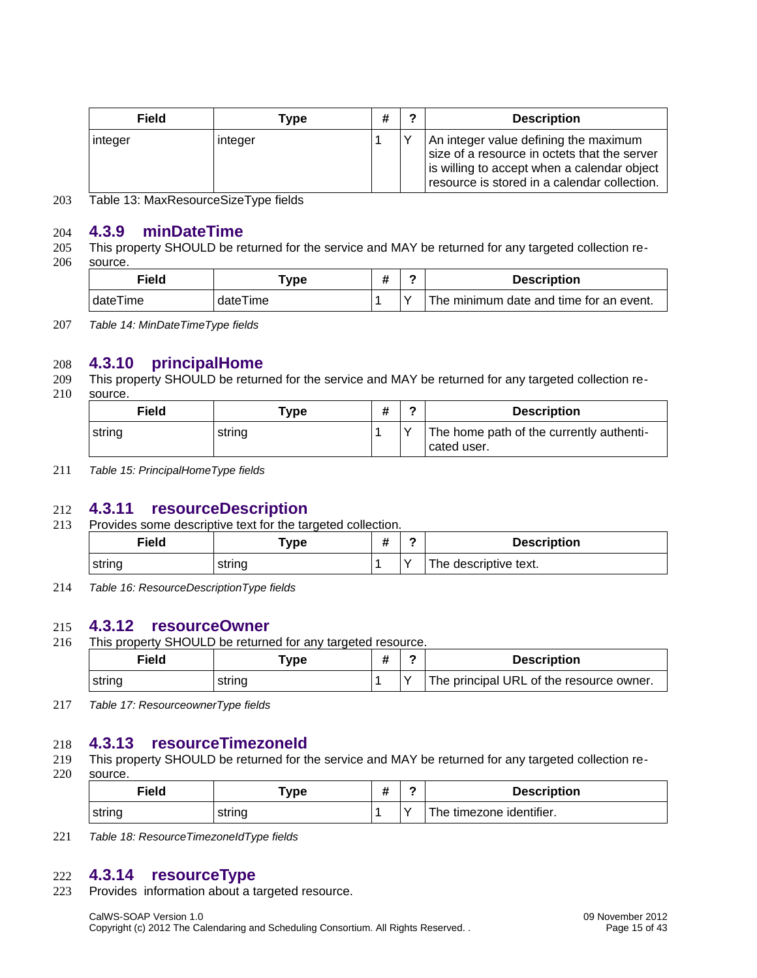| Field   | Type    | # | ◠ | <b>Description</b>                                                                                                                                                                   |
|---------|---------|---|---|--------------------------------------------------------------------------------------------------------------------------------------------------------------------------------------|
| integer | integer |   |   | An integer value defining the maximum<br>size of a resource in octets that the server<br>is willing to accept when a calendar object<br>resource is stored in a calendar collection. |

Table 13: MaxResourceSizeType fields 203

#### **4.3.9 minDateTime** 204

This property SHOULD be returned for the service and MAY be returned for any targeted collection resource. 205 206

<span id="page-15-5"></span>

| Field    | Type -   | Ħ | <b>Description</b>                      |
|----------|----------|---|-----------------------------------------|
| dateTime | dateTime |   | The minimum date and time for an event. |

*Table 14: MinDateTimeType fields* 207

#### **4.3.10 principalHome** 208

- This property SHOULD be returned for the service and MAY be returned for any targeted collection re-209
- source. 210

<span id="page-15-4"></span>

| ------ |        |   |  |                                                         |  |  |
|--------|--------|---|--|---------------------------------------------------------|--|--|
| Field  | Type   | # |  | <b>Description</b>                                      |  |  |
| string | string |   |  | The home path of the currently authenti-<br>cated user. |  |  |

*Table 15: PrincipalHomeType fields* 211

#### **4.3.11 resourceDescription** 212

Provides some descriptive text for the targeted collection. 213

<span id="page-15-3"></span>

| Field<br>____ | ™уре   | <br>$\mathbf{u}$ |              | <b>Description</b>         |
|---------------|--------|------------------|--------------|----------------------------|
| ⊤strin∩       | strıng |                  | $\checkmark$ | riptive text.<br>ne<br>ue. |

*Table 16: ResourceDescriptionType fields* 214

#### **4.3.12 resourceOwner** 215

This property SHOULD be returned for any targeted resource. 216

<span id="page-15-2"></span>

| Field  | vpe ⊺  | ∽ | <b>Description</b>                       |
|--------|--------|---|------------------------------------------|
| string | string |   | The principal URL of the resource owner. |

*Table 17: ResourceownerType fields* 217

#### **4.3.13 resourceTimezoneId** 218

- This property SHOULD be returned for the service and MAY be returned for any targeted collection re-219
- source. 220

<span id="page-15-1"></span>

| Field  | "ype   |           | <b>Description</b>       |
|--------|--------|-----------|--------------------------|
| string | strına | $\lambda$ | The timezone identifier. |

*Table 18: ResourceTimezoneIdType fields* 221

#### **4.3.14 resourceType** 222

Provides information about a targeted resource. 223

> <span id="page-15-0"></span>CalWS-SOAP Version 1.0 09 November 2012 Copyright (c) 2012 The Calendaring and Scheduling Consortium. All Rights Reserved. . Page 15 of 43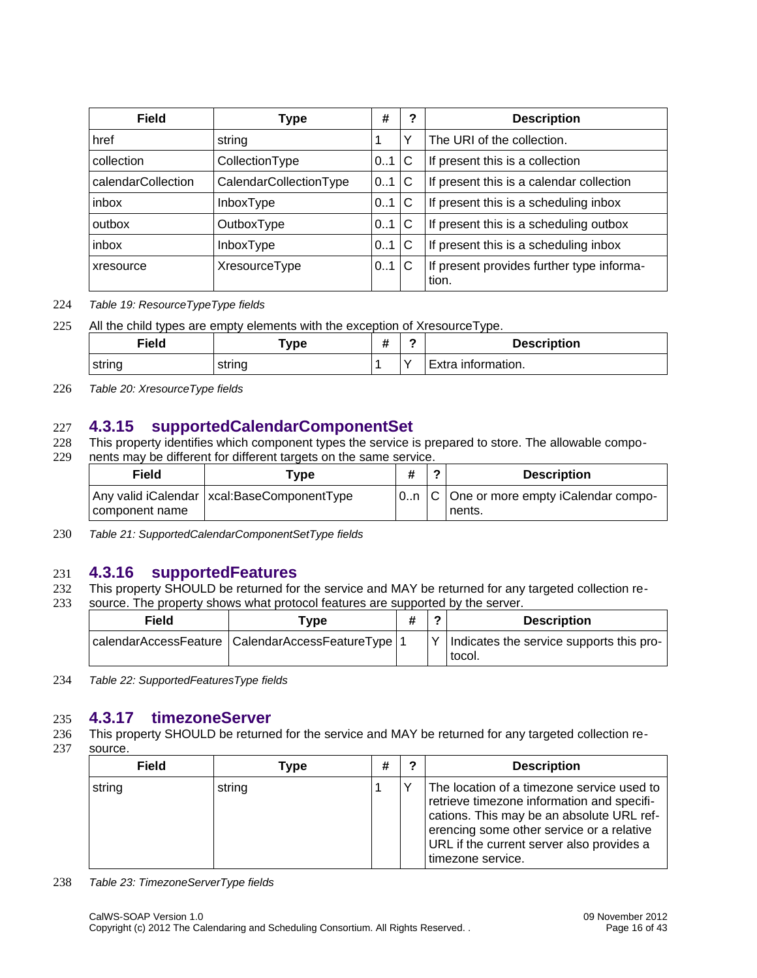| Field              | <b>Type</b>            | #   | ? | <b>Description</b>                                 |
|--------------------|------------------------|-----|---|----------------------------------------------------|
| href               | string                 |     |   | The URI of the collection.                         |
| collection         | CollectionType         | 01  | C | If present this is a collection                    |
| calendarCollection | CalendarCollectionType | 01  | C | If present this is a calendar collection           |
| inbox              | InboxType              | 01  | C | If present this is a scheduling inbox              |
| outbox             | OutboxType             | 01  | C | If present this is a scheduling outbox             |
| inbox              | InboxType              | 0.1 | C | If present this is a scheduling inbox              |
| xresource          | XresourceType          | 0.1 | C | If present provides further type informa-<br>tion. |

#### *Table 19: ResourceTypeType fields* 224

All the child types are empty elements with the exception of XresourceType. 225

| Field  | $\mathsf{vpe}$ | ↵<br>π | <b>Description</b>    |
|--------|----------------|--------|-----------------------|
| string | string         | -      | untormation.<br>Extra |

*Table 20: XresourceType fields* 226

#### **4.3.15 supportedCalendarComponentSet** 227

This property identifies which component types the service is prepared to store. The allowable components may be different for different targets on the same service. 228 229

<span id="page-16-2"></span>

| Field          | Tvpe                                         | Ŧ | <b>Description</b>                                    |
|----------------|----------------------------------------------|---|-------------------------------------------------------|
| component name | Any valid iCalendar   xcal:BaseComponentType |   | $ 0n C $ One or more empty iCalendar compo-<br>nents. |

*Table 21: SupportedCalendarComponentSetType fields* 230

#### **4.3.16 supportedFeatures** 231

- This property SHOULD be returned for the service and MAY be returned for any targeted collection re-232
- source. The property shows what protocol features are supported by the server. 233

<span id="page-16-1"></span>

| Field | Type                                                  |  | ◠ | <b>Description</b>                                 |
|-------|-------------------------------------------------------|--|---|----------------------------------------------------|
|       | calendarAccessFeature   CalendarAccessFeatureType   1 |  |   | Indicates the service supports this pro-<br>tocol. |

*Table 22: SupportedFeaturesType fields* 234

#### **4.3.17 timezoneServer** 235

This property SHOULD be returned for the service and MAY be returned for any targeted collection resource. 236 237

<span id="page-16-0"></span>

| <b>Field</b> | Type   | # | ິ | <b>Description</b>                                                                                                                                                                                                                                   |
|--------------|--------|---|---|------------------------------------------------------------------------------------------------------------------------------------------------------------------------------------------------------------------------------------------------------|
| string       | string |   |   | The location of a timezone service used to<br>retrieve timezone information and specifi-<br>cations. This may be an absolute URL ref-<br>erencing some other service or a relative<br>URL if the current server also provides a<br>timezone service. |

*Table 23: TimezoneServerType fields* 238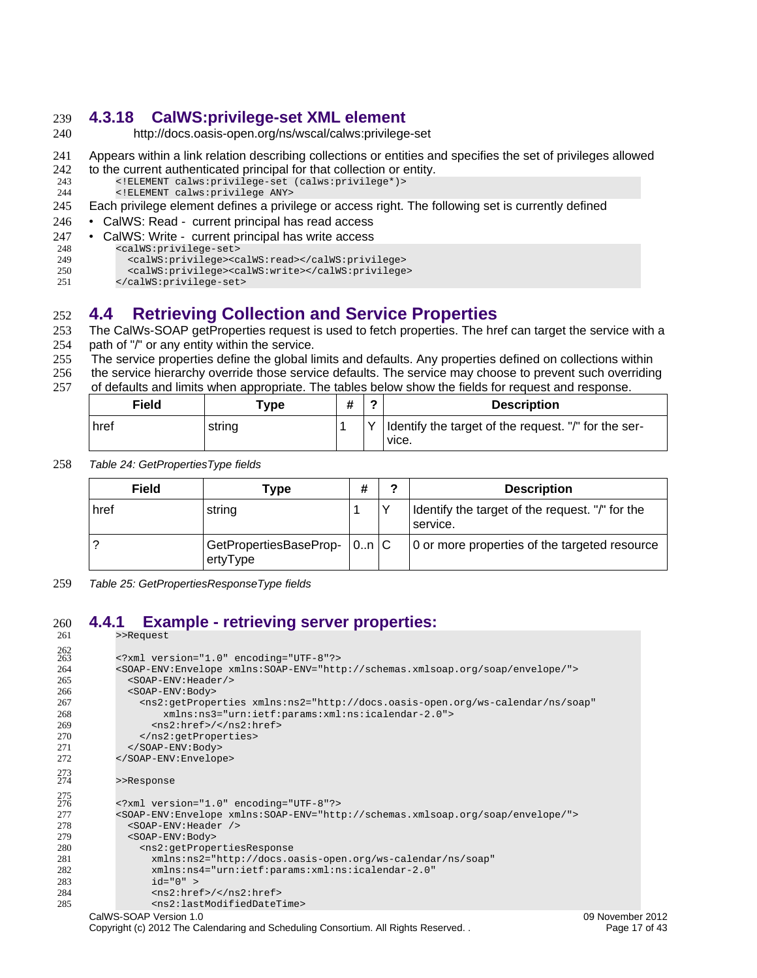#### <span id="page-17-2"></span>**4.3.18 CalWS:privilege-set XML element** 239

- http://docs.oasis-open.org/ns/wscal/calws:privilege-set 240
- Appears within a link relation describing collections or entities and specifies the set of privileges allowed 241
- to the current authenticated principal for that collection or entity. 242
- <!ELEMENT calws:privilege-set (calws:privilege\*)> 243
- <!ELEMENT calws:privilege ANY> 244
- Each privilege element defines a privilege or access right. The following set is currently defined 245
- CalWS: Read current principal has read access 246
- CalWS: Write current principal has write access 247
- <calWS:privilege-set> 248
- <calWS:privilege><calWS:read></calWS:privilege> 249
- <calWS:privilege><calWS:write></calWS:privilege> 250
- </calWS:privilege-set> 251

## <span id="page-17-1"></span>**4.4 Retrieving Collection and Service Properties** 252

- The CalWs-SOAP getProperties request is used to fetch properties. The href can target the service with a 253
- path of "/" or any entity within the service. 254
- The service properties define the global limits and defaults. Any properties defined on collections within 255
- the service hierarchy override those service defaults. The service may choose to prevent such overriding 256

of defaults and limits when appropriate. The tables below show the fields for request and response. 257

| Field | ${\bf \tau}$ ype |              | <b>Description</b>                                              |
|-------|------------------|--------------|-----------------------------------------------------------------|
| href  | string           | $\checkmark$ | I Identify the target of the request. "/" for the ser-<br>vice. |

*Table 24: GetPropertiesType fields* 258

| Field | Type                               | #     | າ            | <b>Description</b>                                            |
|-------|------------------------------------|-------|--------------|---------------------------------------------------------------|
| href  | string                             |       | $\checkmark$ | I Identify the target of the request. "/" for the<br>service. |
|       | GetPropertiesBaseProp-<br>ertyType | 0.n/C |              | 0 or more properties of the targeted resource                 |

*Table 25: GetPropertiesResponseType fields* 259

#### <span id="page-17-0"></span>**4.4.1 Example - retrieving server properties:** >>Request 260 261

| 262<br>263<br>264<br>265<br>266<br>267<br>268<br>269<br>270                      | xml version="1.0" encoding="UTF-8"?<br><soap-env:envelope xmlns:soap-env="http://schemas.xmlsoap.org/soap/envelope/"><br/><soap-env: header=""></soap-env:><br/><s0ap-env:body><br/><ns2:getproperties <br="" xmlns:ns2="http://docs.oasis-open.org/ws-calendar/ns/soap">xmlns:ns3="urn:ietf:params:xml:ns:icalendar-2.0"&gt;<br/><math>&lt;</math>ns2:href&gt;/<br/></ns2:getproperties></s0ap-env:body></soap-env:envelope>                                                                                                        |
|----------------------------------------------------------------------------------|--------------------------------------------------------------------------------------------------------------------------------------------------------------------------------------------------------------------------------------------------------------------------------------------------------------------------------------------------------------------------------------------------------------------------------------------------------------------------------------------------------------------------------------|
| 271                                                                              |                                                                                                                                                                                                                                                                                                                                                                                                                                                                                                                                      |
| 272                                                                              |                                                                                                                                                                                                                                                                                                                                                                                                                                                                                                                                      |
| 273<br>274                                                                       | >>Response                                                                                                                                                                                                                                                                                                                                                                                                                                                                                                                           |
| $\frac{275}{276}$<br>277<br>278<br>279<br>280<br>281<br>282<br>283<br>284<br>285 | xml version="1.0" encoding="UTF-8"?<br><soap-env:envelope xmlns:soap-env="http://schemas.xmlsoap.org/soap/envelope/"><br/><math>&lt;</math>SOAP-ENV: Header /&gt;<br/><s0ap-env:body><br/><ns2:getpropertiesresponse<br>xmlns:ns2="http://docs.oasis-open.org/ws-calendar/ns/soap"<br/>xmlns:ns4="urn:ietf:params:xml:ns:icalendar-2.0"<br/><math>id="0" &gt;</math><br/><math>&lt;</math>ns2:href&gt;/<br/><ns2:lastmodifieddatetime></ns2:lastmodifieddatetime></ns2:getpropertiesresponse<br></s0ap-env:body></soap-env:envelope> |
|                                                                                  |                                                                                                                                                                                                                                                                                                                                                                                                                                                                                                                                      |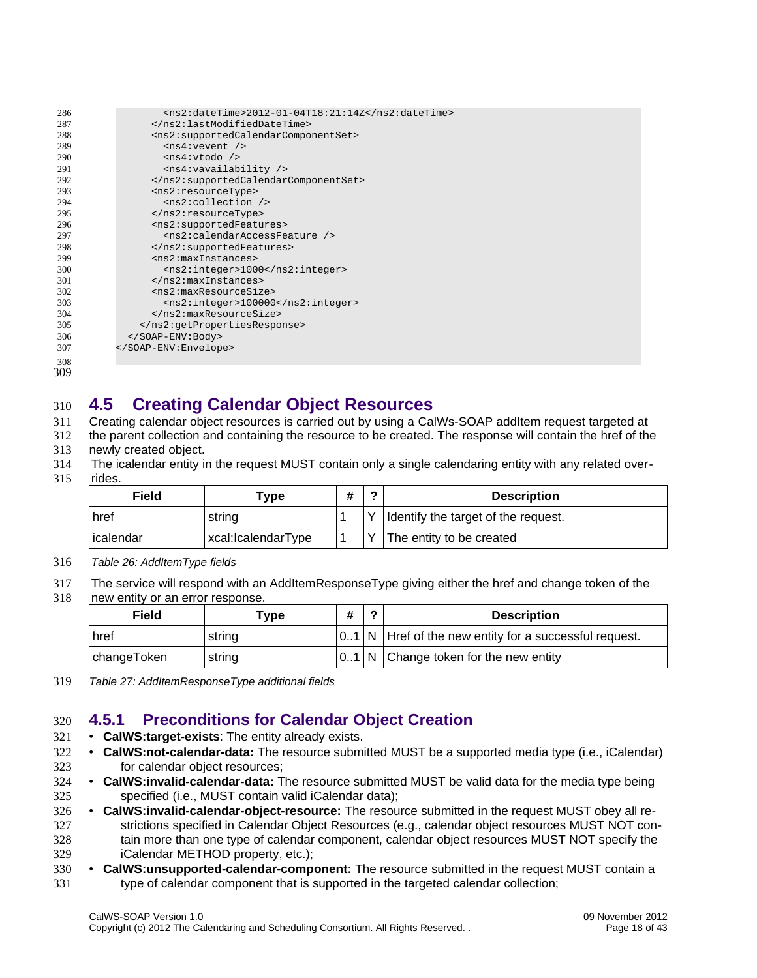| 286 | $<$ ns2:dateTime>2012-01-04T18:21:14Z                                   |
|-----|-------------------------------------------------------------------------|
| 287 |                                                                         |
| 288 | <ns2:supportedcalendarcomponentset></ns2:supportedcalendarcomponentset> |
| 289 | $<$ ns4: vevent />                                                      |
| 290 | $<$ ns4:vtodo />                                                        |
| 291 | <ns4:vavailability></ns4:vavailability>                                 |
| 292 |                                                                         |
| 293 | <ns2:resourcetype></ns2:resourcetype>                                   |
| 294 | $<$ ns2:collection $/$                                                  |
| 295 |                                                                         |
| 296 | <ns2:supportedfeatures></ns2:supportedfeatures>                         |
| 297 | <ns2:calendaraccessfeature></ns2:calendaraccessfeature>                 |
| 298 |                                                                         |
| 299 | <ns2:maxinstances></ns2:maxinstances>                                   |
| 300 | <ns2:integer>1000</ns2:integer>                                         |
| 301 |                                                                         |
| 302 | <ns2:maxresourcesize></ns2:maxresourcesize>                             |
| 303 | <ns2:integer>100000</ns2:integer>                                       |
| 304 |                                                                         |
| 305 |                                                                         |
| 306 |                                                                         |
| 307 |                                                                         |
| 308 |                                                                         |

308 309

#### <span id="page-18-1"></span>**4.5 Creating Calendar Object Resources** 310

Creating calendar object resources is carried out by using a CalWs-SOAP addItem request targeted at 311

the parent collection and containing the resource to be created. The response will contain the href of the 312

- newly created object. 313
- The icalendar entity in the request MUST contain only a single calendaring entity with any related overrides. 314 315

| Field     | $\tau_\mathsf{VDE}$ | # | <b>Description</b>                    |
|-----------|---------------------|---|---------------------------------------|
| href      | string              |   | I Identify the target of the request. |
| icalendar | xcal:IcalendarType  |   | The entity to be created              |

*Table 26: AddItemType fields* 316

The service will respond with an AddItemResponseType giving either the href and change token of the 317

new entity or an error response. 318

| Field       | Tvpe   | # | ◠ | <b>Description</b>                                        |
|-------------|--------|---|---|-----------------------------------------------------------|
| href        | string |   |   | $ 01 N$ Href of the new entity for a successful request.  |
| changeToken | string |   |   | $\vert 0.1 \vert N \vert$ Change token for the new entity |

*Table 27: AddItemResponseType additional fields* 319

## <span id="page-18-0"></span>**4.5.1 Preconditions for Calendar Object Creation** 320

- **CalWS:target-exists**: The entity already exists. 321
- **CalWS:not-calendar-data:** The resource submitted MUST be a supported media type (i.e., iCalendar) for calendar object resources: 322 323
- **CalWS:invalid-calendar-data:** The resource submitted MUST be valid data for the media type being specified (i.e., MUST contain valid iCalendar data); 324 325
- **CalWS:invalid-calendar-object-resource:** The resource submitted in the request MUST obey all restrictions specified in [Calendar Object Resources](#page-10-4) (e.g., calendar object resources MUST NOT contain more than one type of calendar component, calendar object resources MUST NOT specify the iCalendar METHOD property, etc.); 326 327 328 329
- **CalWS:unsupported-calendar-component:** The resource submitted in the request MUST contain a type of calendar component that is supported in the targeted calendar collection; 330 331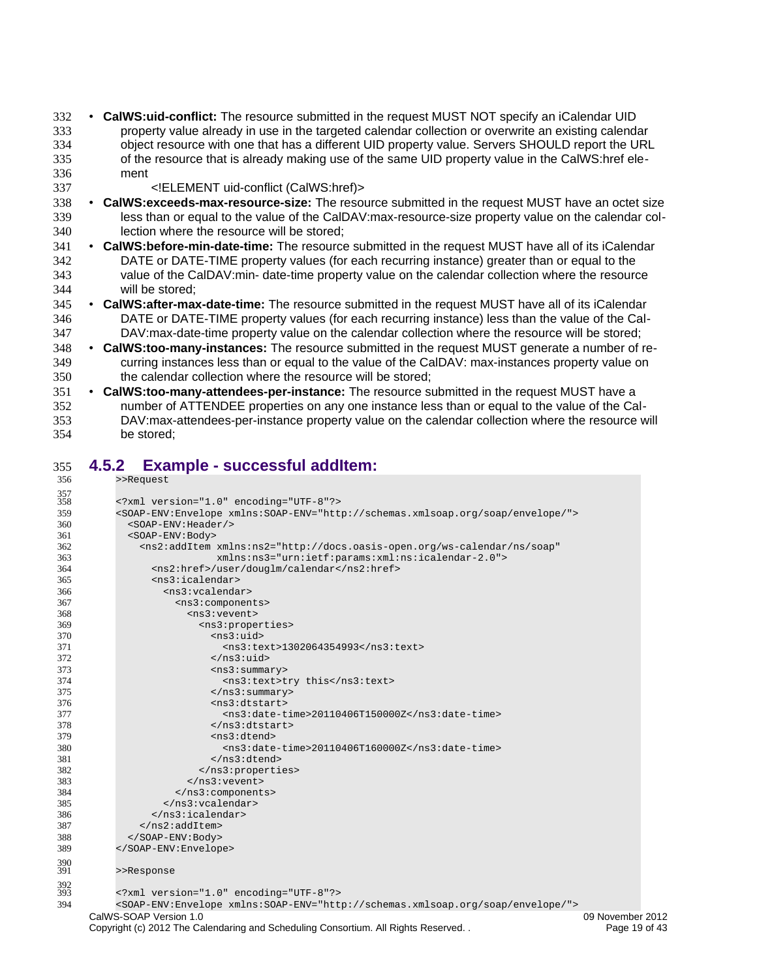- **CalWS:uid-conflict:** The resource submitted in the request MUST NOT specify an iCalendar UID property value already in use in the targeted calendar collection or overwrite an existing calendar object resource with one that has a different UID property value. Servers SHOULD report the URL of the resource that is already making use of the same UID property value in the CalWS:href element 332 333 334 335 336
	- <!ELEMENT uid-conflict (CalWS:href)>

337

- **CalWS:exceeds-max-resource-size:** The resource submitted in the request MUST have an octet size less than or equal to the value of the CalDAV:max-resource-size property value on the calendar collection where the resource will be stored; 338 339 340
- **CalWS:before-min-date-time:** The resource submitted in the request MUST have all of its iCalendar DATE or DATE-TIME property values (for each recurring instance) greater than or equal to the value of the CalDAV:min- date-time property value on the calendar collection where the resource will be stored; 341 342 343 344
- **CalWS:after-max-date-time:** The resource submitted in the request MUST have all of its iCalendar DATE or DATE-TIME property values (for each recurring instance) less than the value of the Cal-DAV:max-date-time property value on the calendar collection where the resource will be stored; 345 346 347
- **CalWS:too-many-instances:** The resource submitted in the request MUST generate a number of recurring instances less than or equal to the value of the CalDAV: max-instances property value on the calendar collection where the resource will be stored; 348 349 350
- **CalWS:too-many-attendees-per-instance:** The resource submitted in the request MUST have a number of ATTENDEE properties on any one instance less than or equal to the value of the Cal-DAV:max-attendees-per-instance property value on the calendar collection where the resource will be stored; 351 352 353 354

#### <span id="page-19-0"></span>**4.5.2 Example - successful addItem:** 355

| 356        | >>Request                                                                                                  |                  |
|------------|------------------------------------------------------------------------------------------------------------|------------------|
| 357        |                                                                                                            |                  |
| 358        | xml version="1.0" encoding="UTF-8"?                                                                        |                  |
| 359        | <soap-env:envelope xmlns:soap-env="http://schemas.xmlsoap.org/soap/envelope/"></soap-env:envelope>         |                  |
| 360        | <soap-env: header=""></soap-env:>                                                                          |                  |
| 361        | <s0ap-env:body></s0ap-env:body>                                                                            |                  |
| 362        | <ns2:additem <="" td="" xmlns:ns2="http://docs.oasis-open.org/ws-calendar/ns/soap"><td></td></ns2:additem> |                  |
| 363        | xmlns:ns3="urn:ietf:params:xml:ns:icalendar-2.0">                                                          |                  |
| 364        | <ns2:href>/user/douglm/calendar</ns2:href>                                                                 |                  |
| 365        | $<$ ns3:icalendar>                                                                                         |                  |
| 366        | <ns3:vcalendar></ns3:vcalendar>                                                                            |                  |
| 367        | <ns3:components></ns3:components>                                                                          |                  |
| 368        | $<$ ns3: vevent>                                                                                           |                  |
| 369        | <ns3:properties></ns3:properties>                                                                          |                  |
| 370        | $ns3:uid$                                                                                                  |                  |
| 371        | <ns3:text>1302064354993</ns3:text>                                                                         |                  |
| 372        |                                                                                                            |                  |
| 373        | $<$ ns3: summary>                                                                                          |                  |
| 374        | <ns3:text>try this</ns3:text>                                                                              |                  |
| 375        | $<$ /ns3:summary>                                                                                          |                  |
| 376        | $<$ ns3:dtstart>                                                                                           |                  |
| 377        | <ns3:date-time>20110406T150000Z</ns3:date-time>                                                            |                  |
| 378        | $<$ /ns3:dtstart>                                                                                          |                  |
| 379        | $<$ ns3:dtend>                                                                                             |                  |
| 380        | <ns3:date-time>20110406T160000Z</ns3:date-time>                                                            |                  |
| 381        | $<$ /ns3:dtend>                                                                                            |                  |
| 382        |                                                                                                            |                  |
| 383        | $<$ /ns3: vevent>                                                                                          |                  |
| 384        |                                                                                                            |                  |
| 385        | $<$ /ns3: vcalendar>                                                                                       |                  |
| 386        | $<$ /ns3:icalendar>                                                                                        |                  |
| 387        | $<$ /ns2:addItem>                                                                                          |                  |
| 388        |                                                                                                            |                  |
| 389        |                                                                                                            |                  |
|            |                                                                                                            |                  |
| 390<br>391 | >>Response                                                                                                 |                  |
|            |                                                                                                            |                  |
| 392<br>393 | xml version="1.0" encoding="UTF-8"?                                                                        |                  |
| 394        | <soap-env:envelope xmlns:soap-env="http://schemas.xmlsoap.org/soap/envelope/"></soap-env:envelope>         |                  |
|            | CalWS-SOAP Version 1.0                                                                                     | 09 November 2012 |
|            | Copyright (c) 2012 The Calendaring and Scheduling Consortium. All Rights Reserved                          | Page 19 of 43    |
|            |                                                                                                            |                  |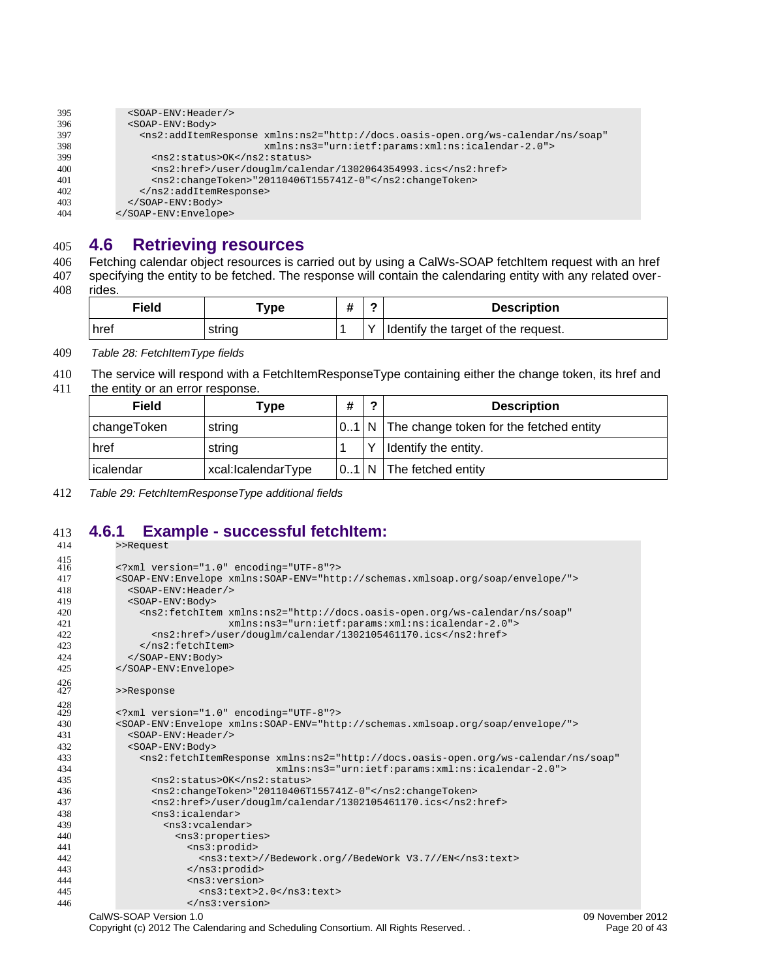| 395 | <soap-env: header=""></soap-env:>                                                                                 |
|-----|-------------------------------------------------------------------------------------------------------------------|
| 396 | <soap-env:body></soap-env:body>                                                                                   |
| 397 | <ns2:additemresponse <="" td="" xmlns:ns2="http://docs.oasis-open.org/ws-calendar/ns/soap"></ns2:additemresponse> |
| 398 | xmlns:ns3="urn:ietf:params:xml:ns:icalendar-2.0">                                                                 |
| 399 | <ns2:status>0K</ns2:status>                                                                                       |
| 400 | <ns2:href>/user/douglm/calendar/1302064354993.ics</ns2:href>                                                      |
| 401 | <ns2:changetoken>"20110406T155741Z-0"</ns2:changetoken>                                                           |
| 402 |                                                                                                                   |
| 403 | $<$ /SOAP-ENV: Body>                                                                                              |
| 404 |                                                                                                                   |

#### **4.6 Retrieving resources** 405

Fetching calendar object resources is carried out by using a CalWs-SOAP fetchItem request with an href 406

specifying the entity to be fetched. The response will contain the calendaring entity with any related overrides. 407 408

<span id="page-20-1"></span>

| Field | "vpe   |              | <b>Description</b>                  |
|-------|--------|--------------|-------------------------------------|
| href  | string | $\checkmark$ | Identify the target of the request. |

*Table 28: FetchItemType fields* 409

The service will respond with a FetchItemResponseType containing either the change token, its href and 410

the entity or an error response. 411

| Field       | Type               | # | 2 | <b>Description</b>                               |
|-------------|--------------------|---|---|--------------------------------------------------|
| changeToken | string             |   |   | $ 01 N $ The change token for the fetched entity |
| href        | string             |   | ٧ | Identify the entity.                             |
| icalendar   | xcal:IcalendarType |   |   | $ 01 N $ The fetched entity                      |

*Table 29: FetchItemResponseType additional fields* 412

## **4.6.1 Example - successful fetchItem:** 413

<span id="page-20-0"></span>

| 414        | >>Request |                                                                                                                                                                    |                  |
|------------|-----------|--------------------------------------------------------------------------------------------------------------------------------------------------------------------|------------------|
| 415<br>416 |           | xml version="1.0" encoding="UTF-8"?                                                                                                                                |                  |
| 417        |           | <soap-env:envelope xmlns:soap-env="http://schemas.xmlsoap.org/soap/envelope/"></soap-env:envelope>                                                                 |                  |
| 418        |           | <soap-env: header=""></soap-env:>                                                                                                                                  |                  |
| 419        |           | <s0ap-env:body></s0ap-env:body>                                                                                                                                    |                  |
| 420        |           | <ns2:fetchitem <="" td="" xmlns:ns2="http://docs.oasis-open.org/ws-calendar/ns/soap"><td></td></ns2:fetchitem>                                                     |                  |
| 421        |           | xmlns:ns3="urn:ietf:params:xml:ns:icalendar-2.0">                                                                                                                  |                  |
| 422        |           | <ns2:href>/user/douglm/calendar/1302105461170.ics</ns2:href>                                                                                                       |                  |
| 423        |           |                                                                                                                                                                    |                  |
| 424        |           |                                                                                                                                                                    |                  |
| 425        |           |                                                                                                                                                                    |                  |
| 426<br>427 |           | >>Response                                                                                                                                                         |                  |
| 428        |           |                                                                                                                                                                    |                  |
| 429        |           | xml version="1.0" encoding="UTF-8"?                                                                                                                                |                  |
| 430        |           | <soap-env:envelope xmlns:soap-env="http://schemas.xmlsoap.org/soap/envelope/"></soap-env:envelope>                                                                 |                  |
| 431        |           | <soap-env: header=""></soap-env:>                                                                                                                                  |                  |
| 432<br>433 |           | <s0ap-env:body><br/><ns2:fetchitemresponse <="" td="" xmlns:ns2="http://docs.oasis-open.org/ws-calendar/ns/soap"><td></td></ns2:fetchitemresponse></s0ap-env:body> |                  |
|            |           |                                                                                                                                                                    |                  |
| 434        |           | xmlns:ns3="urn:ietf:params:xml:ns:icalendar-2.0"><br><ns2:status>0K</ns2:status>                                                                                   |                  |
| 435<br>436 |           | <ns2:changetoken>"20110406T155741Z-0"</ns2:changetoken>                                                                                                            |                  |
| 437        |           | <ns2:href>/user/douglm/calendar/1302105461170.ics</ns2:href>                                                                                                       |                  |
| 438        |           | $<$ ns3:icalendar>                                                                                                                                                 |                  |
| 439        |           | $<$ ns3: vcalendar>                                                                                                                                                |                  |
| 440        |           | <ns3:properties></ns3:properties>                                                                                                                                  |                  |
| 441        |           | <ns3:prodid></ns3:prodid>                                                                                                                                          |                  |
| 442        |           | <ns3:text>//Bedework.org//BedeWork V3.7//EN</ns3:text>                                                                                                             |                  |
| 443        |           | $<$ /ns3:prodid>                                                                                                                                                   |                  |
| 444        |           | $<$ ns $3:version$                                                                                                                                                 |                  |
| 445        |           | $<$ ns3:text>2.0                                                                                                                                                   |                  |
| 446        |           | $<$ /ns3:version>                                                                                                                                                  |                  |
|            |           | CalWS-SOAP Version 1.0                                                                                                                                             | 09 November 2012 |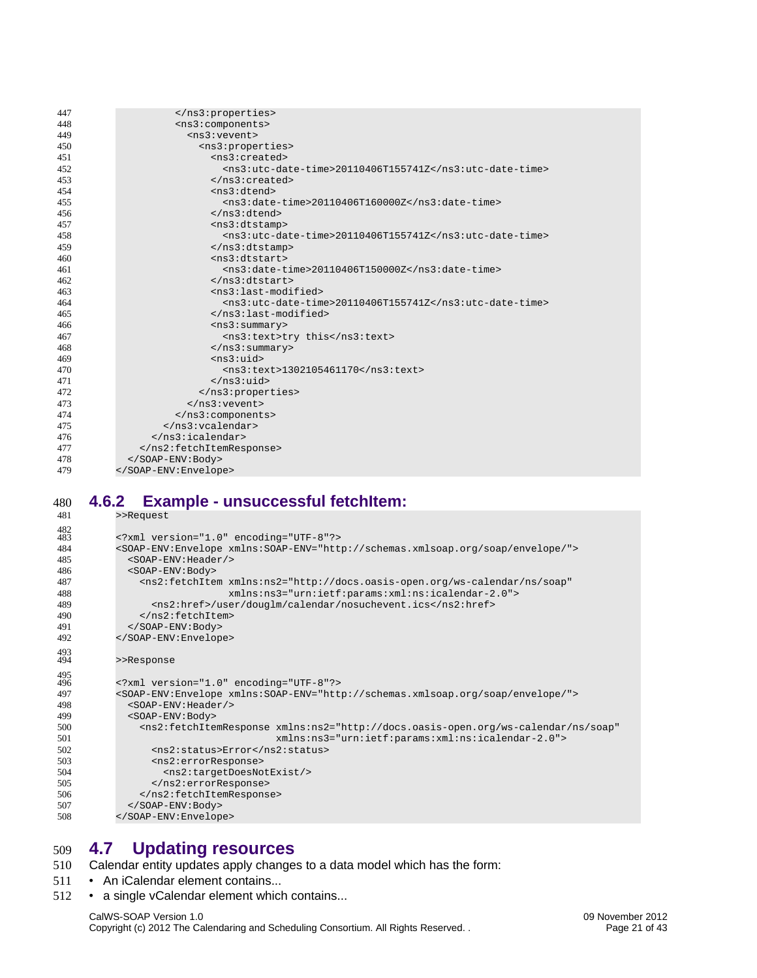| 447 |                                                         |
|-----|---------------------------------------------------------|
| 448 | <ns3:components></ns3:components>                       |
| 449 | $<$ ns3: vevent>                                        |
| 450 | <ns3:properties></ns3:properties>                       |
| 451 | <ns3:created></ns3:created>                             |
| 452 | <ns3:utc-date-time>20110406T155741Z</ns3:utc-date-time> |
| 453 |                                                         |
| 454 | <ns3:dtend></ns3:dtend>                                 |
| 455 | <ns3:date-time>20110406T160000Z</ns3:date-time>         |
| 456 | $<$ /ns3:dtend>                                         |
| 457 | $<$ ns3:dtstamp>                                        |
| 458 | $<$ ns3:utc-date-time>20110406T155741Z                  |
| 459 | $<$ /ns3:dtstamp>                                       |
| 460 | $<$ ns3:dtstart>                                        |
| 461 | $<$ ns3:date-time>20110406T150000Z                      |
| 462 | $<$ /ns3:dtstart>                                       |
| 463 | <ns3:last-modified></ns3:last-modified>                 |
| 464 | <ns3:utc-date-time>20110406T155741Z</ns3:utc-date-time> |
| 465 |                                                         |
| 466 | $<$ ns3:summary>                                        |
| 467 | <ns3:text>try this</ns3:text>                           |
| 468 | $<$ /ns3:summary>                                       |
| 469 | $<$ ns3:uid>                                            |
| 470 | <ns3:text>1302105461170</ns3:text>                      |
| 471 | $<$ /ns3:uid>                                           |
| 472 |                                                         |
| 473 | $<$ /ns3: vevent>                                       |
| 474 |                                                         |
| 475 |                                                         |
| 476 | $<$ /ns3:icalendar>                                     |
| 477 |                                                         |
| 478 |                                                         |
| 479 |                                                         |

#### <span id="page-21-1"></span>**4.6.2 Example - unsuccessful fetchItem:** >>Request 480 481

| ᠇୰         | <i>- -</i> noquojt                                                                                                    |
|------------|-----------------------------------------------------------------------------------------------------------------------|
| 482<br>483 | xml version="1.0" encoding="UTF-8"?                                                                                   |
| 484        | <soap-env:envelope xmlns:soap-env="http://schemas.xmlsoap.org/soap/envelope/"></soap-env:envelope>                    |
| 485        | <soap-env: header=""></soap-env:>                                                                                     |
| 486        | <soap-env:body></soap-env:body>                                                                                       |
| 487        | <ns2:fetchitem <="" td="" xmlns:ns2="http://docs.oasis-open.org/ws-calendar/ns/soap"></ns2:fetchitem>                 |
| 488        | xmlns:ns3="urn:ietf:params:xml:ns:icalendar-2.0">                                                                     |
| 489        | <ns2:href>/user/douglm/calendar/nosuchevent.ics</ns2:href>                                                            |
| 490        | $<$ /ns2:fetchItem>                                                                                                   |
| 491        |                                                                                                                       |
| 492        |                                                                                                                       |
|            |                                                                                                                       |
| 493<br>494 | >>Response                                                                                                            |
|            |                                                                                                                       |
| 495<br>496 | xml version="1.0" encoding="UTF-8"?                                                                                   |
| 497        | <soap-env:envelope xmlns:soap-env="http://schemas.xmlsoap.org/soap/envelope/"></soap-env:envelope>                    |
|            | <soap-env: header=""></soap-env:>                                                                                     |
| 498<br>499 |                                                                                                                       |
|            | $<$ SOAP-ENV: Body>                                                                                                   |
| 500        | <ns2:fetchitemresponse <="" td="" xmlns:ns2="http://docs.oasis-open.org/ws-calendar/ns/soap"></ns2:fetchitemresponse> |
| 501        | xmlns:ns3="urn:ietf:params:xml:ns:icalendar-2.0">                                                                     |
| 502        | <ns2:status>Error</ns2:status>                                                                                        |
| 503        | <ns2:errorresponse></ns2:errorresponse>                                                                               |
| 504        | <ns2:targetdoesnotexist></ns2:targetdoesnotexist>                                                                     |
| 505        |                                                                                                                       |
| 506        |                                                                                                                       |
| 507        |                                                                                                                       |
| 508        |                                                                                                                       |

## <span id="page-21-0"></span>**4.7 Updating resources** 509

- Calendar entity updates apply changes to a data model which has the form: 510
- An iCalendar element contains... 511
- a single vCalendar element which contains... 512

# CalWS-SOAP Version 1.0 09 November 2012<br>Copyright (c) 2012 The Calendaring and Scheduling Consortium. All Rights Reserved. . 09 November 2012 Copyright (c) 2012 The Calendaring and Scheduling Consortium. All Rights Reserved. .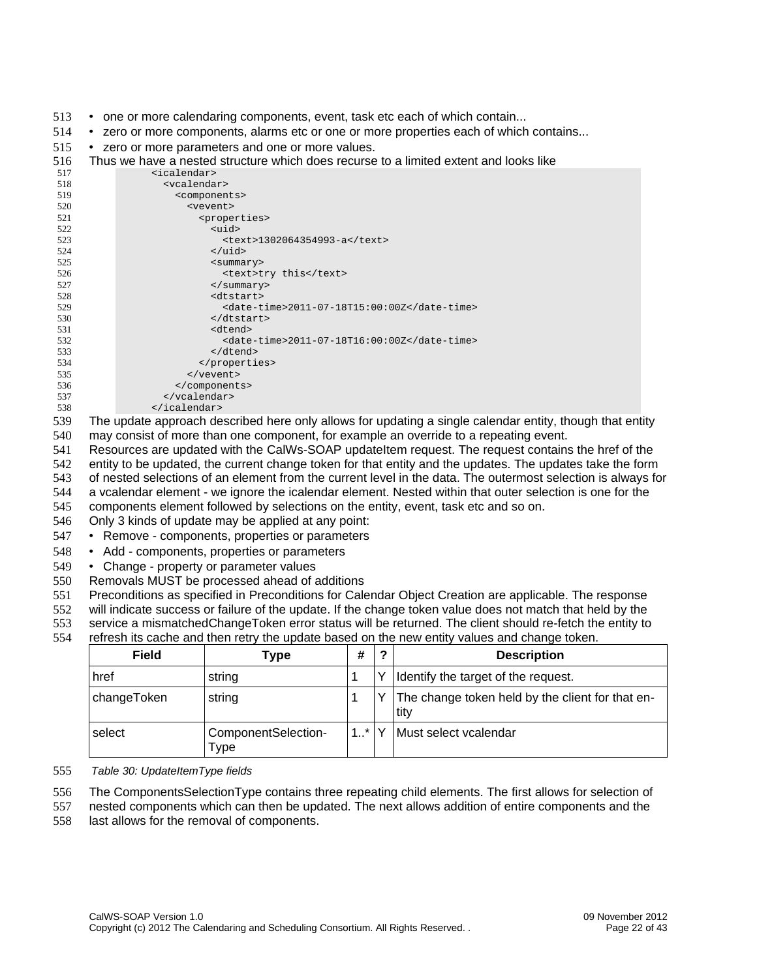- 513 one or more calendaring components, event, task etc each of which contain...
- zero or more components, alarms etc or one or more properties each of which contains... 514
- zero or more parameters and one or more values. 515
- Thus we have a nested structure which does recurse to a limited extent and looks like 516

| 517 | <icalendar></icalendar>                     |
|-----|---------------------------------------------|
| 518 | <vcalendar></vcalendar>                     |
| 519 | <components></components>                   |
| 520 | <vevent></vevent>                           |
| 521 | <properties></properties>                   |
| 522 | $<$ uid $>$                                 |
| 523 | <text>1302064354993-a</text>                |
| 524 | $\langle \text{uids} \rangle$               |
| 525 | <summary></summary>                         |
| 526 | <text>try this</text>                       |
| 527 |                                             |
| 528 | <dtstart></dtstart>                         |
| 529 | <date-time>2011-07-18T15:00:00Z</date-time> |
| 530 | $<$ /dtstart>                               |
| 531 | <dtend></dtend>                             |
| 532 | <date-time>2011-07-18T16:00:00Z</date-time> |
| 533 | $<$ /dtend>                                 |
| 534 |                                             |
| 535 | $\langle$ /vevent>                          |
| 536 |                                             |
| 537 | $\langle$ /vcalendar>                       |
| 538 | $\le$ /icalendar>                           |

- The update approach described here only allows for updating a single calendar entity, though that entity may consist of more than one component, for example an override to a repeating event. 539 540
- Resources are updated with the CalWs-SOAP updateItem request. The request contains the href of the 541
- entity to be updated, the current change token for that entity and the updates. The updates take the form 542
- of nested selections of an element from the current level in the data. The outermost selection is always for 543
- a vcalendar element we ignore the icalendar element. Nested within that outer selection is one for the 544
- components element followed by selections on the entity, event, task etc and so on. 545
- Only 3 kinds of update may be applied at any point: 546
- Remove components, properties or parameters 547
- Add components, properties or parameters 548
- Change property or parameter values 549
- Removals MUST be processed ahead of additions 550
- Preconditions as specified in [Preconditions for Calendar Object Creation](#page-18-0) are applicable. The response 551
- will indicate success or failure of the update. If the change token value does not match that held by the 552
- service a mismatchedChangeToken error status will be returned. The client should re-fetch the entity to 553
- refresh its cache and then retry the update based on the new entity values and change token. 554

| Field       | Type                        | #       | ົ            | <b>Description</b>                                       |
|-------------|-----------------------------|---------|--------------|----------------------------------------------------------|
| href        | string                      |         | $\checkmark$ | Identify the target of the request.                      |
| changeToken | string                      | 1       | $\checkmark$ | The change token held by the client for that en-<br>tity |
| select      | ComponentSelection-<br>Type | $1.7^*$ | $\checkmark$ | Must select vcalendar                                    |

- *Table 30: UpdateItemType fields* 555
- The ComponentsSelectionType contains three repeating child elements. The first allows for selection of 556
- nested components which can then be updated. The next allows addition of entire components and the 557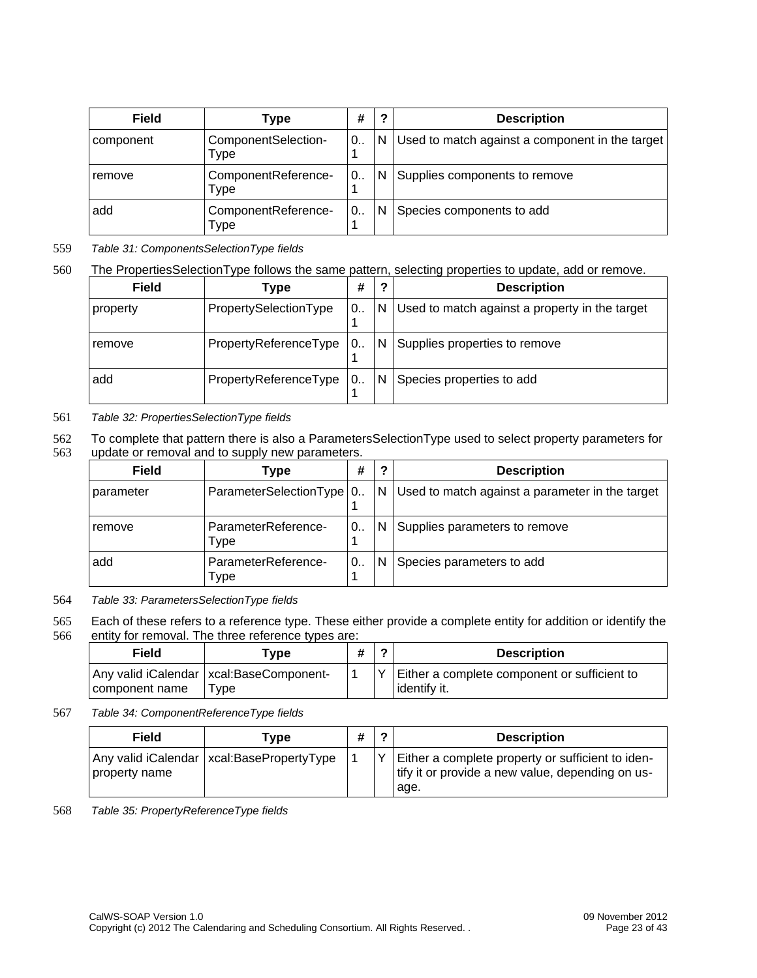| Field     | Type                        | #        | 2  | <b>Description</b>                              |
|-----------|-----------------------------|----------|----|-------------------------------------------------|
| component | ComponentSelection-<br>Type | ່0<br>1  | N. | Used to match against a component in the target |
| remove    | ComponentReference-<br>Type | ' 0<br>1 | N. | Supplies components to remove                   |
| add       | ComponentReference-<br>Type | $0$<br>1 | N  | Species components to add                       |

#### *Table 31: ComponentsSelectionType fields* 559

# 560

# The PropertiesSelectionType follows the same pattern, selecting properties to update, add or remove.

| Field    | Type                  | #  | ?              | <b>Description</b>                             |
|----------|-----------------------|----|----------------|------------------------------------------------|
| property | PropertySelectionType | '0 | N              | Used to match against a property in the target |
| remove   | PropertyReferenceType | '0 | $\overline{N}$ | Supplies properties to remove                  |
| add      | PropertyReferenceType | 0  | N              | Species properties to add                      |

#### *Table 32: PropertiesSelectionType fields* 561

To complete that pattern there is also a ParametersSelectionType used to select property parameters for update or removal and to supply new parameters. 562 563

| Field     | Type                        | #    | 2 | <b>Description</b>                              |
|-----------|-----------------------------|------|---|-------------------------------------------------|
| parameter | ParameterSelectionType   0. |      | N | Used to match against a parameter in the target |
| remove    | ParameterReference-<br>Type | 0. . | N | Supplies parameters to remove                   |
| add       | ParameterReference-<br>Type | 0. . | N | Species parameters to add                       |

*Table 33: ParametersSelectionType fields* 564

Each of these refers to a reference type. These either provide a complete entity for addition or identify the entity for removal. The three reference types are: 565 566

| Field          | Tvpe                                              | ◠ | <b>Description</b>                                             |
|----------------|---------------------------------------------------|---|----------------------------------------------------------------|
| component name | Any valid iCalendar   xcal:BaseComponent-<br>Tvpe |   | Either a complete component or sufficient to<br>l identify it. |

#### *Table 34: ComponentReferenceType fields* 567

| Field         | <b>Type</b>                                 | # | 2 | <b>Description</b>                                                                                            |
|---------------|---------------------------------------------|---|---|---------------------------------------------------------------------------------------------------------------|
| property name | Any valid iCalendar   xcal:BasePropertyType |   |   | Either a complete property or sufficient to iden-<br>tify it or provide a new value, depending on us-<br>age. |

*Table 35: PropertyReferenceType fields* 568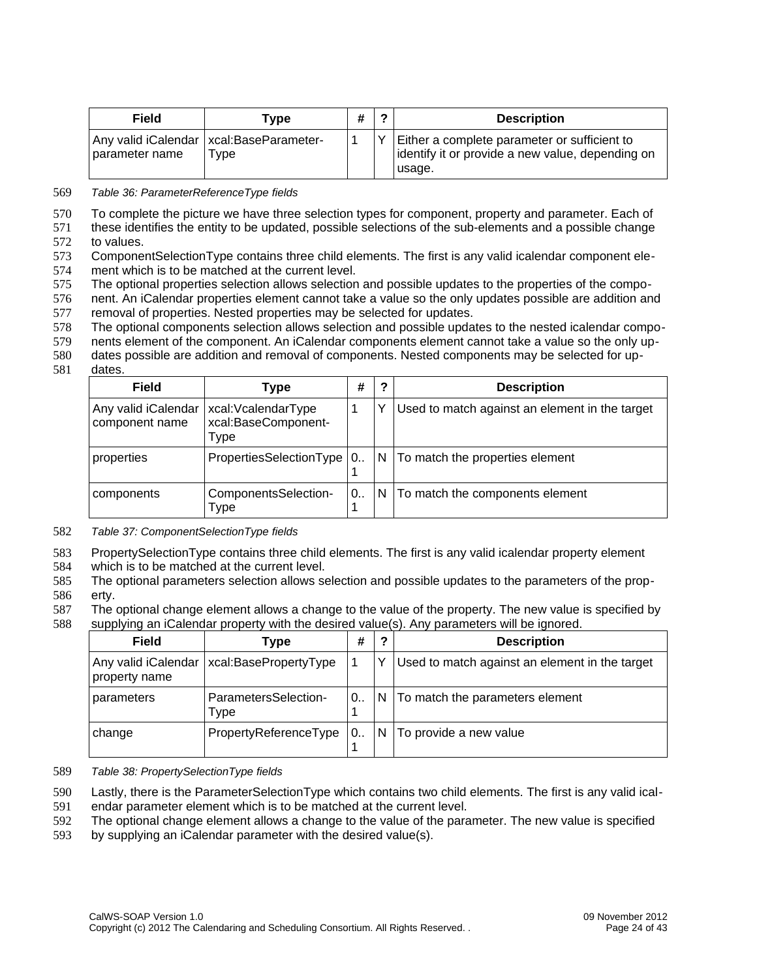| Field          | Type                                               | # | ົ | <b>Description</b>                                                                                          |
|----------------|----------------------------------------------------|---|---|-------------------------------------------------------------------------------------------------------------|
| parameter name | Any valid iCalendar   xcal: BaseParameter-<br>Type |   |   | Either a complete parameter or sufficient to<br>identify it or provide a new value, depending on<br>lusage. |

*Table 36: ParameterReferenceType fields* 569

To complete the picture we have three selection types for component, property and parameter. Each of 570

these identifies the entity to be updated, possible selections of the sub-elements and a possible change to values. 571 572

ComponentSelectionType contains three child elements. The first is any valid icalendar component element which is to be matched at the current level. 573 574

The optional properties selection allows selection and possible updates to the properties of the compo-575

nent. An iCalendar properties element cannot take a value so the only updates possible are addition and removal of properties. Nested properties may be selected for updates. 576 577

The optional components selection allows selection and possible updates to the nested icalendar compo-578

nents element of the component. An iCalendar components element cannot take a value so the only up-579

dates possible are addition and removal of components. Nested components may be selected for up-580

dates. 581

| Field                                 | Type                                              | #        | ?            | <b>Description</b>                             |
|---------------------------------------|---------------------------------------------------|----------|--------------|------------------------------------------------|
| Any valid iCalendar<br>component name | xcal:VcalendarType<br>xcal:BaseComponent-<br>Type | 1        |              | Used to match against an element in the target |
| properties                            | PropertiesSelectionType   0                       |          | N.           | To match the properties element                |
| components                            | ComponentsSelection-<br>Type                      | $0$<br>1 | <sup>N</sup> | To match the components element                |

*Table 37: ComponentSelectionType fields* 582

PropertySelectionType contains three child elements. The first is any valid icalendar property element 583

which is to be matched at the current level. 584

The optional parameters selection allows selection and possible updates to the parameters of the property. 585 586

The optional change element allows a change to the value of the property. The new value is specified by supplying an iCalendar property with the desired value(s). Any parameters will be ignored. 587 588

| Field                                | Type                         | #                    | 2  | <b>Description</b>                             |
|--------------------------------------|------------------------------|----------------------|----|------------------------------------------------|
| Any valid iCalendar<br>property name | xcal:BasePropertyType        |                      | v  | Used to match against an element in the target |
| parameters                           | ParametersSelection-<br>Type | $^{\circ}$ 0. .<br>1 | N. | To match the parameters element                |
| change                               | PropertyReferenceType        | 0.                   | N  | To provide a new value                         |

#### *Table 38: PropertySelectionType fields* 589

Lastly, there is the ParameterSelectionType which contains two child elements. The first is any valid ical-590

endar parameter element which is to be matched at the current level. 591

The optional change element allows a change to the value of the parameter. The new value is specified 592

by supplying an iCalendar parameter with the desired value(s). 593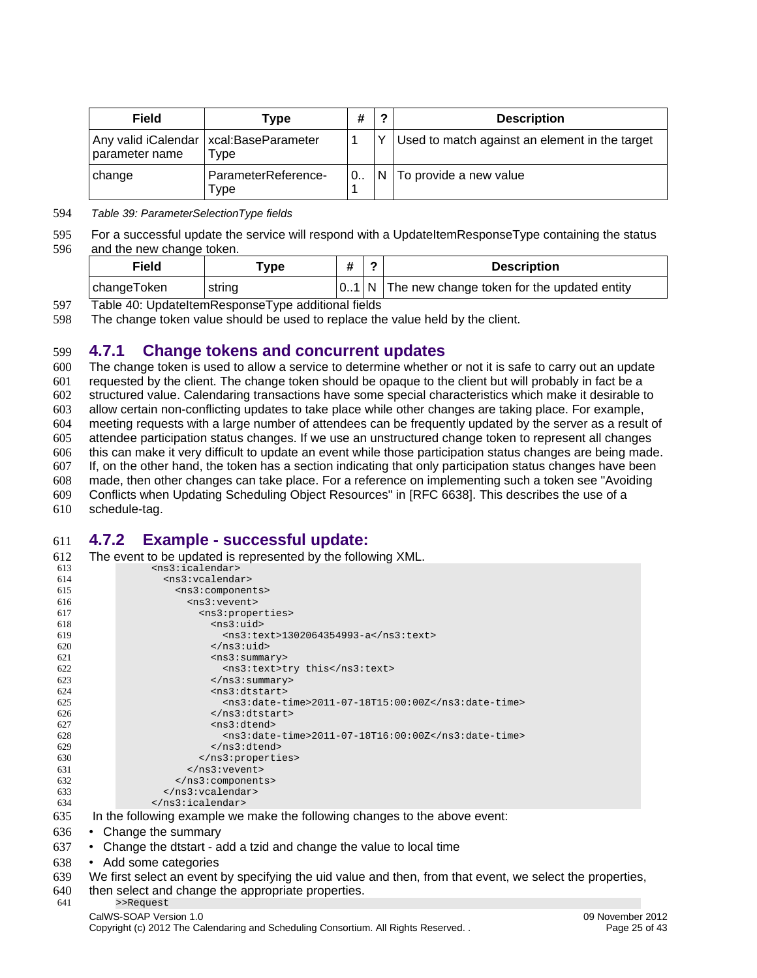| Field          | Type                                              | # | 2 | <b>Description</b>                             |
|----------------|---------------------------------------------------|---|---|------------------------------------------------|
| parameter name | Any valid iCalendar   xcal: BaseParameter<br>туре |   |   | Used to match against an element in the target |
| change         | ParameterReference-<br>Type                       |   |   | $\vert$ N $\vert$ To provide a new value       |

#### *Table 39: ParameterSelectionType fields* 594

For a successful update the service will respond with a UpdateItemResponseType containing the status and the new change token. 595 596

| Field       | ™vpe   |  | <b>Description</b>                                   |
|-------------|--------|--|------------------------------------------------------|
| changeToken | string |  | $ 01 N $ The new change token for the updated entity |

Table 40: UpdateItemResponseType additional fields 597

The change token value should be used to replace the value held by the client. 598

#### <span id="page-25-1"></span>**4.7.1 Change tokens and concurrent updates** 599

The change token is used to allow a service to determine whether or not it is safe to carry out an update requested by the client. The change token should be opaque to the client but will probably in fact be a structured value. Calendaring transactions have some special characteristics which make it desirable to allow certain non-conflicting updates to take place while other changes are taking place. For example, meeting requests with a large number of attendees can be frequently updated by the server as a result of attendee participation status changes. If we use an unstructured change token to represent all changes this can make it very difficult to update an event while those participation status changes are being made. If, on the other hand, the token has a section indicating that only participation status changes have been made, then other changes can take place. For a reference on implementing such a token see "Avoiding Conflicts when Updating Scheduling Object Resources" in [\[RFC 6638\].](#page-5-9) This describes the use of a schedule-tag. 600 601 602 603 604 605 606 607 608 609 610

#### <span id="page-25-0"></span>**4.7.2 Example - successful update:** 611

| 612 | The event to be updated is represented by the following XML.               |
|-----|----------------------------------------------------------------------------|
| 613 | $<$ ns3:icalendar>                                                         |
| 614 | $<$ ns3: vcalendar>                                                        |
| 615 | <ns3:components></ns3:components>                                          |
| 616 | $<$ ns $3$ : vevent>                                                       |
| 617 | <ns3:properties></ns3:properties>                                          |
| 618 | $ns3:uid$                                                                  |
| 619 | <ns3:text>1302064354993-a</ns3:text>                                       |
| 620 | $<$ /ns3:uid>                                                              |
| 621 | $<$ ns3:summary>                                                           |
| 622 | <ns3:text>try this</ns3:text>                                              |
| 623 | $<$ /ns3:summary>                                                          |
| 624 | $<$ ns3:dtstart>                                                           |
| 625 | <ns3:date-time>2011-07-18T15:00:00Z</ns3:date-time>                        |
| 626 | $<$ /ns3:dtstart>                                                          |
| 627 | <ns3:dtend></ns3:dtend>                                                    |
| 628 | <ns3:date-time>2011-07-18T16:00:00Z</ns3:date-time>                        |
| 629 | $<$ /ns3:dtend>                                                            |
| 630 |                                                                            |
| 631 | $<$ /ns3: vevent>                                                          |
| 632 |                                                                            |
| 633 | $<$ /ns3: vcalendar>                                                       |
| 634 |                                                                            |
| 635 | In the following example we make the following changes to the above event: |

- Change the summary 636
- Change the dtstart add a tzid and change the value to local time 637
- Add some categories 638
- We first select an event by specifying the uid value and then, from that event, we select the properties, 639
- then select and change the appropriate properties. >>Request 640 641

# CalWS-SOAP Version 1.0 09 November 2012 Copyright (c) 2012 The Calendaring and Scheduling Consortium. All Rights Reserved. . Page 25 of 43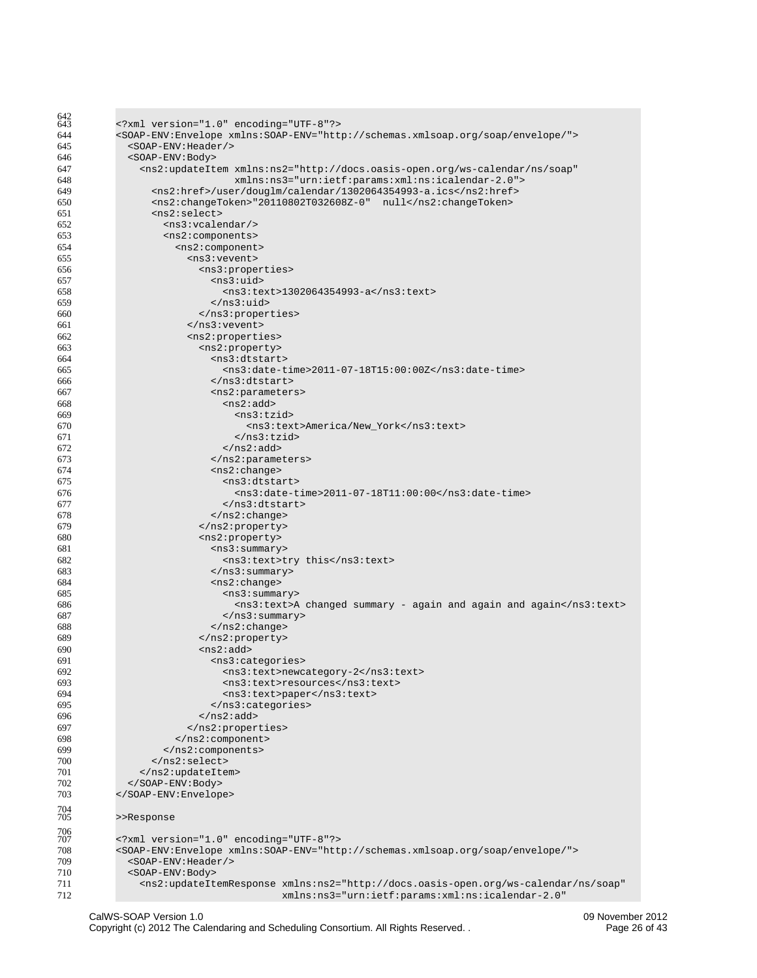| 642        |                                                                                                                         |
|------------|-------------------------------------------------------------------------------------------------------------------------|
| 643        |                                                                                                                         |
| 644        | <soap-env:envelope xmlns:soap-env="http://schemas.xmlsoap.org/soap/envelope/"></soap-env:envelope>                      |
| 645        | <soap-env: header=""></soap-env:>                                                                                       |
| 646        | <s0ap-env:body></s0ap-env:body>                                                                                         |
| 647        | <ns2:updateitem <="" td="" xmlns:ns2="http://docs.oasis-open.org/ws-calendar/ns/soap"></ns2:updateitem>                 |
| 648        | xmlns:ns3="urn:ietf:params:xml:ns:icalendar-2.0">                                                                       |
| 649        | <ns2:href>/user/douglm/calendar/1302064354993-a.ics</ns2:href>                                                          |
| 650        | <ns2:changetoken>"20110802T032608Z-0" null</ns2:changetoken>                                                            |
| 651        | $ns2:select>$                                                                                                           |
| 652        | <ns3:vcalendar></ns3:vcalendar>                                                                                         |
| 653        | <ns2:components></ns2:components>                                                                                       |
| 654        | <ns2:component></ns2:component>                                                                                         |
| 655        | <ns3:vevent></ns3:vevent>                                                                                               |
| 656        | <ns3:properties></ns3:properties>                                                                                       |
| 657        | <ns3:uid></ns3:uid>                                                                                                     |
| 658        | <ns3:text>1302064354993-a</ns3:text>                                                                                    |
| 659        |                                                                                                                         |
| 660        |                                                                                                                         |
| 661        |                                                                                                                         |
| 662        | <ns2:properties></ns2:properties>                                                                                       |
| 663        | <ns2:property></ns2:property>                                                                                           |
| 664        | $ns3:dtstart$                                                                                                           |
|            | <ns3:date-time>2011-07-18T15:00:00Z</ns3:date-time>                                                                     |
| 665        |                                                                                                                         |
| 666        |                                                                                                                         |
| 667        | <ns2:parameters></ns2:parameters>                                                                                       |
| 668        | <ns2:add></ns2:add>                                                                                                     |
| 669        | $<$ ns3:tzid>                                                                                                           |
| 670        | <ns3:text>America/New_York</ns3:text>                                                                                   |
| 671        | $<$ /ns3:tzid>                                                                                                          |
| 672        | $<$ /ns2:add>                                                                                                           |
| 673        |                                                                                                                         |
| 674        | $<$ ns2:change>                                                                                                         |
| 675        | <ns3:dtstart></ns3:dtstart>                                                                                             |
| 676        | <ns3:date-time>2011-07-18T11:00:00</ns3:date-time>                                                                      |
| 677        |                                                                                                                         |
| 678        | $<$ /ns2:change>                                                                                                        |
| 679        |                                                                                                                         |
| 680        | <ns2:property></ns2:property>                                                                                           |
| 681        | <ns3:summary></ns3:summary>                                                                                             |
| 682        | <ns3:text>try this</ns3:text>                                                                                           |
| 683        | $<$ /ns3:summary>                                                                                                       |
| 684        | <ns2:change></ns2:change>                                                                                               |
| 685        | $<$ ns3:summary>                                                                                                        |
| 686        | <ns3:text>A changed summary - again and again and again</ns3:text>                                                      |
| 687        | $<$ /ns3:summary>                                                                                                       |
| 688        | $<$ /ns2:change>                                                                                                        |
| 689        | $<$ /ns2:property>                                                                                                      |
| 690        | $ns2:add>$                                                                                                              |
| 691        | <ns3:categories></ns3:categories>                                                                                       |
| 692        | <ns3:text>newcategory-2</ns3:text>                                                                                      |
| 693        | <ns3:text>resources</ns3:text>                                                                                          |
| 694        | <ns3:text>paper</ns3:text>                                                                                              |
| 695        |                                                                                                                         |
| 696        | $<$ /ns2:add>                                                                                                           |
| 697        |                                                                                                                         |
| 698        | $<$ /ns2:component>                                                                                                     |
| 699        |                                                                                                                         |
| 700        |                                                                                                                         |
| 701        |                                                                                                                         |
|            |                                                                                                                         |
| 702        |                                                                                                                         |
| 703        |                                                                                                                         |
| 704<br>705 | >>Response                                                                                                              |
| 706        |                                                                                                                         |
| 707        | xml version="1.0" encoding="UTF-8"?                                                                                     |
| 708        | <soap-env:envelope xmlns:soap-env="http://schemas.xmlsoap.org/soap/envelope/"></soap-env:envelope>                      |
| 709        | <soap-env: header=""></soap-env:>                                                                                       |
| 710        | <s0ap-env:body></s0ap-env:body>                                                                                         |
| 711        | <ns2:updateitemresponse <="" td="" xmlns:ns2="http://docs.oasis-open.org/ws-calendar/ns/soap"></ns2:updateitemresponse> |
| 712        | xmlns:ns3="urn:ietf:params:xml:ns:icalendar-2.0"                                                                        |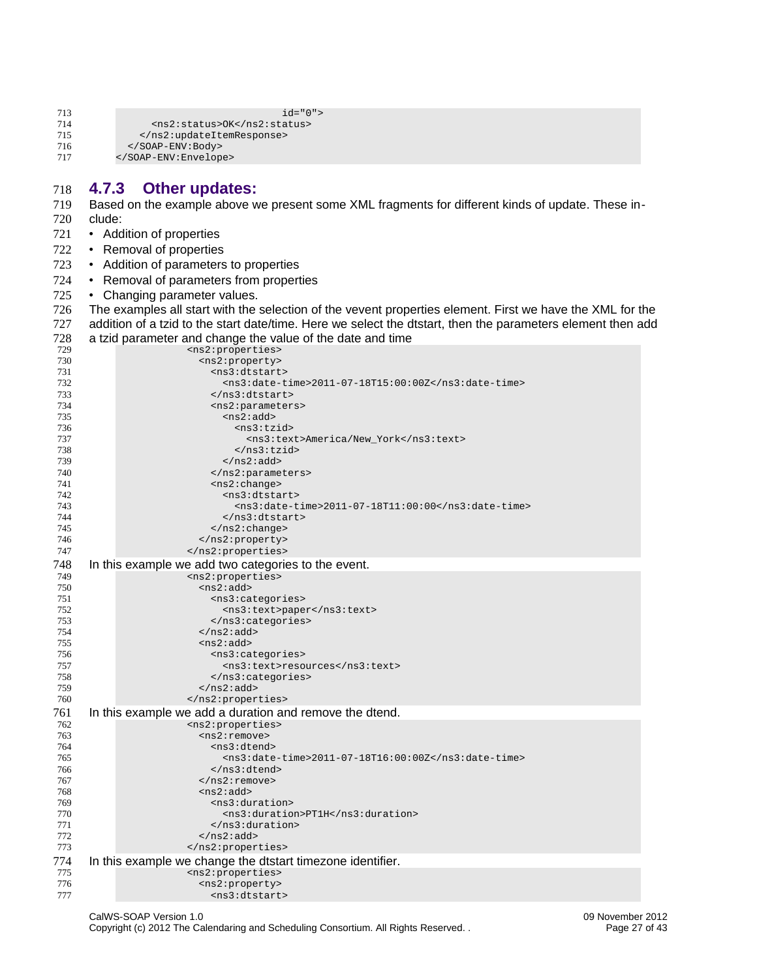| 713 | $id="0"$                    |
|-----|-----------------------------|
| 714 | <ns2:status>0K</ns2:status> |
| 715 |                             |
| 716 |                             |
| 717 |                             |

#### <span id="page-27-0"></span>**4.7.3 Other updates:** 718

Based on the example above we present some XML fragments for different kinds of update. These include: 719 720

- Addition of properties 721
- Removal of properties 722
- Addition of parameters to properties 723
- Removal of parameters from properties 724
- Changing parameter values. 725

The examples all start with the selection of the vevent properties element. First we have the XML for the addition of a tzid to the start date/time. Here we select the dtstart, then the parameters element then add a tzid parameter and change the value of the date and time 726 727 728

| 729 | <ns2:properties></ns2:properties>                                      |
|-----|------------------------------------------------------------------------|
| 730 | <ns2:property></ns2:property>                                          |
| 731 | <ns3:dtstart></ns3:dtstart>                                            |
| 732 | <ns3:date-time>2011-07-18T15:00:00Z</ns3:date-time>                    |
| 733 |                                                                        |
| 734 | <ns2:parameters></ns2:parameters>                                      |
| 735 | <ns2:add></ns2:add>                                                    |
| 736 | $<$ ns3:tzid $>$                                                       |
| 737 | <ns3:text>America/New_York</ns3:text>                                  |
| 738 |                                                                        |
| 739 | $<$ /ns2:add>                                                          |
| 740 |                                                                        |
| 741 | $<$ ns2:change>                                                        |
| 742 | <ns3:dtstart></ns3:dtstart>                                            |
| 743 |                                                                        |
|     | <ns3:date-time>2011-07-18T11:00:00</ns3:date-time>                     |
| 744 |                                                                        |
| 745 | $<$ /ns2:change>                                                       |
| 746 | $<$ /ns2:property>                                                     |
| 747 |                                                                        |
| 748 | In this example we add two categories to the event.                    |
| 749 | <ns2:properties></ns2:properties>                                      |
| 750 | $ns2:add>$                                                             |
| 751 | <ns3:categories></ns3:categories>                                      |
| 752 | <ns3:text>paper</ns3:text>                                             |
| 753 |                                                                        |
| 754 | $<$ /ns2:add>                                                          |
| 755 | $ns2:add>$                                                             |
| 756 | <ns3:categories></ns3:categories>                                      |
| 757 | <ns3:text>resources</ns3:text>                                         |
| 758 |                                                                        |
| 759 | $<$ /ns2:add>                                                          |
| 760 |                                                                        |
| 761 | In this example we add a duration and remove the dtend.                |
| 762 |                                                                        |
| 763 | <ns2:properties><br/><math>&lt;</math>ns2: remove&gt;</ns2:properties> |
|     |                                                                        |
| 764 | <ns3:dtend></ns3:dtend>                                                |
| 765 | <ns3:date-time>2011-07-18T16:00:00Z</ns3:date-time>                    |
| 766 |                                                                        |
| 767 |                                                                        |
| 768 | $ns2:add>$                                                             |
| 769 | $<$ ns3:duration>                                                      |
| 770 | <ns3:duration>PT1H</ns3:duration>                                      |
| 771 | $<$ /ns3:duration>                                                     |
| 772 | $: add>$                                                               |
| 773 |                                                                        |
| 774 | In this example we change the distart timezone identifier.             |
| 775 | <ns2:properties></ns2:properties>                                      |
| 776 | <ns2:property></ns2:property>                                          |
| 777 | <ns3:dtstart></ns3:dtstart>                                            |
|     |                                                                        |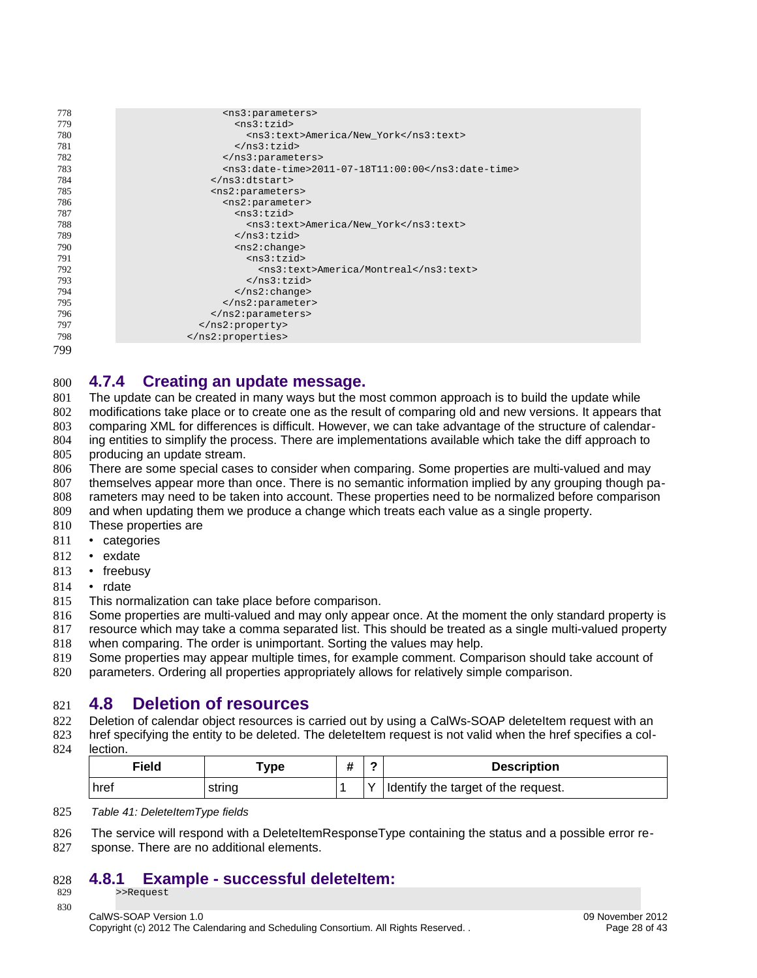| 778 | <ns3:parameters></ns3:parameters>                  |
|-----|----------------------------------------------------|
| 779 | $<$ ns3:tzid>                                      |
| 780 | <ns3:text>America/New York</ns3:text>              |
| 781 |                                                    |
| 782 |                                                    |
| 783 | <ns3:date-time>2011-07-18T11:00:00</ns3:date-time> |
| 784 | $<$ /ns3:dtstart>                                  |
| 785 | <ns2:parameters></ns2:parameters>                  |
| 786 | $<$ ns2:parameter>                                 |
| 787 | $<$ ns3:tzid $>$                                   |
| 788 | <ns3:text>America/New York</ns3:text>              |
| 789 |                                                    |
| 790 | $<$ ns2:change>                                    |
| 791 | $<$ ns3:tzid $>$                                   |
| 792 | <ns3:text>America/Montreal</ns3:text>              |
| 793 |                                                    |
| 794 | $<$ /ns2: change>                                  |
| 795 |                                                    |
| 796 |                                                    |
| 797 |                                                    |
| 798 |                                                    |
|     |                                                    |

799

#### <span id="page-28-2"></span>**4.7.4 Creating an update message.** 800

The update can be created in many ways but the most common approach is to build the update while modifications take place or to create one as the result of comparing old and new versions. It appears that 801 802

comparing XML for differences is difficult. However, we can take advantage of the structure of calendar-803

ing entities to simplify the process. There are implementations available which take the diff approach to 804

producing an update stream. 805

There are some special cases to consider when comparing. Some properties are multi-valued and may themselves appear more than once. There is no semantic information implied by any grouping though parameters may need to be taken into account. These properties need to be normalized before comparison 806 807 808

- and when updating them we produce a change which treats each value as a single property. 809
- These properties are 810
- categories 811
- exdate 812
- freebusy 813
- rdate 814
- This normalization can take place before comparison. 815

Some properties are multi-valued and may only appear once. At the moment the only standard property is resource which may take a comma separated list. This should be treated as a single multi-valued property 816 817

when comparing. The order is unimportant. Sorting the values may help. 818

Some properties may appear multiple times, for example comment. Comparison should take account of 819

parameters. Ordering all properties appropriately allows for relatively simple comparison. 820

## **4.8 Deletion of resources** 821

Deletion of calendar object resources is carried out by using a CalWs-SOAP deleteItem request with an 822

- href specifying the entity to be deleted. The deleteItem request is not valid when the href specifies a col-823
- lection. 824

<span id="page-28-1"></span>

| Field | vpe -  | π | ∽ | <b>Description</b>                  |
|-------|--------|---|---|-------------------------------------|
| href  | string |   |   | Identify the target of the request. |

*Table 41: DeleteItemType fields* 825

The service will respond with a DeleteItemResponseType containing the status and a possible error re-826

sponse. There are no additional elements. 827

#### <span id="page-28-0"></span>**4.8.1 Example - successful deleteItem:** >>Request 828

829 830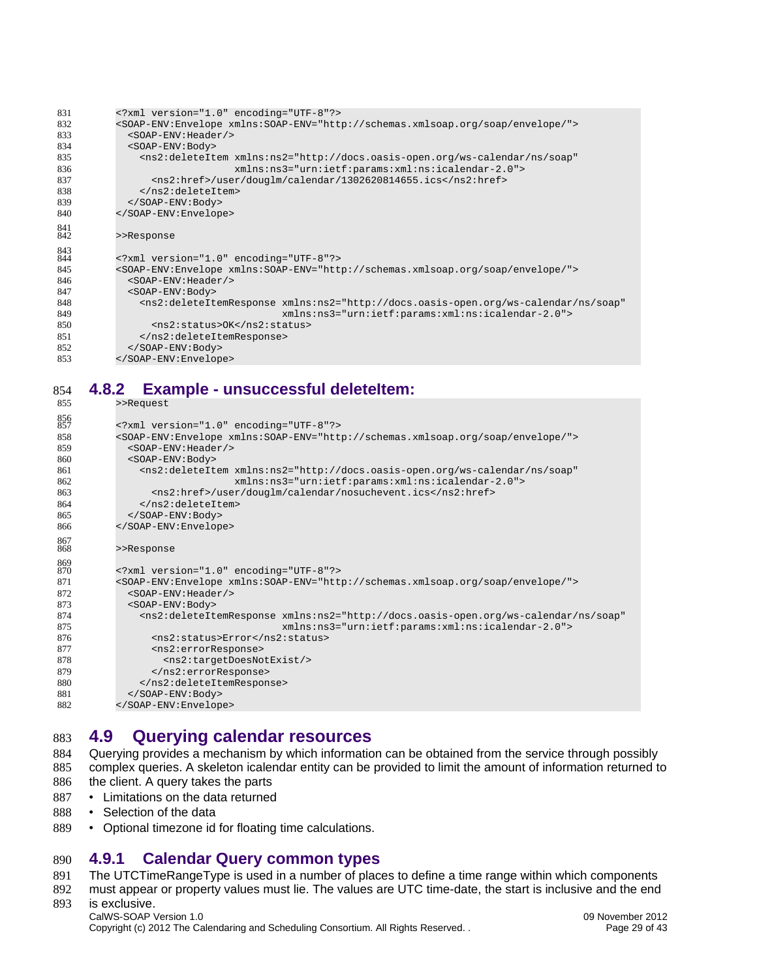| 831        | xml version="1.0" encoding="UTF-8"?                                                                                     |
|------------|-------------------------------------------------------------------------------------------------------------------------|
| 832        | <soap-env:envelope xmlns:soap-env="http://schemas.xmlsoap.org/soap/envelope/"></soap-env:envelope>                      |
| 833        | $<$ SOAP-ENV: Header/>                                                                                                  |
| 834        | $<$ SOAP-ENV: Body>                                                                                                     |
| 835        | <ns2:deleteitem <="" td="" xmlns:ns2="http://docs.oasis-open.org/ws-calendar/ns/soap"></ns2:deleteitem>                 |
| 836        | xmlns:ns3="urn:ietf:params:xml:ns:icalendar-2.0">                                                                       |
| 837        | <ns2:href>/user/douglm/calendar/1302620814655.ics</ns2:href>                                                            |
| 838        |                                                                                                                         |
| 839        | $<$ /SOAP-ENV:Body>                                                                                                     |
| 840        |                                                                                                                         |
| 841<br>842 | >>Response                                                                                                              |
| 843<br>844 | xml version="1.0" encoding="UTF-8"?                                                                                     |
| 845        | <soap-env:envelope xmlns:soap-env="http://schemas.xmlsoap.org/soap/envelope/"></soap-env:envelope>                      |
| 846        | <soap-env: header=""></soap-env:>                                                                                       |
| 847        | $<$ SOAP-ENV: Body>                                                                                                     |
| 848        | <ns2:deleteitemresponse <="" td="" xmlns:ns2="http://docs.oasis-open.org/ws-calendar/ns/soap"></ns2:deleteitemresponse> |
| 849        | xmlns:ns3="urn:ietf:params:xml:ns:icalendar-2.0">                                                                       |
| 850        | <ns2:status>0K</ns2:status>                                                                                             |
| 851        |                                                                                                                         |
| 852        |                                                                                                                         |
| 853        |                                                                                                                         |
|            |                                                                                                                         |

#### **4.8.2 Example - unsuccessful deleteItem:** 854

<span id="page-29-2"></span>

| 855        | >>Request                                                                                                               |
|------------|-------------------------------------------------------------------------------------------------------------------------|
| 856<br>857 | xml version="1.0" encoding="UTF-8"?                                                                                     |
| 858        | <soap-env:envelope xmlns:soap-env="http://schemas.xmlsoap.org/soap/envelope/"></soap-env:envelope>                      |
| 859        | <soap-env: header=""></soap-env:>                                                                                       |
| 860        | <s0ap-env:body></s0ap-env:body>                                                                                         |
| 861        | <ns2:deleteitem <="" td="" xmlns:ns2="http://docs.oasis-open.org/ws-calendar/ns/soap"></ns2:deleteitem>                 |
| 862        | xmlns:ns3="urn:ietf:params:xml:ns:icalendar-2.0">                                                                       |
| 863        | <ns2:href>/user/douglm/calendar/nosuchevent.ics</ns2:href>                                                              |
| 864        |                                                                                                                         |
| 865        |                                                                                                                         |
| 866        |                                                                                                                         |
| 867        |                                                                                                                         |
| 868        | >>Response                                                                                                              |
| 869<br>870 | xml version="1.0" encoding="UTF-8"?                                                                                     |
| 871        | <soap-env:envelope xmlns:soap-env="http://schemas.xmlsoap.org/soap/envelope/"></soap-env:envelope>                      |
| 872        | <soap-env: header=""></soap-env:>                                                                                       |
| 873        | <s0ap-env:body></s0ap-env:body>                                                                                         |
| 874        | <ns2:deleteitemresponse <="" td="" xmlns:ns2="http://docs.oasis-open.org/ws-calendar/ns/soap"></ns2:deleteitemresponse> |
| 875        | xmlns:ns3="urn:ietf:params:xml:ns:icalendar-2.0">                                                                       |
| 876        | <ns2:status>Error</ns2:status>                                                                                          |
| 877        | <ns2:errorresponse></ns2:errorresponse>                                                                                 |
| 878        | <ns2:targetdoesnotexist></ns2:targetdoesnotexist>                                                                       |
| 879        |                                                                                                                         |
| 880        |                                                                                                                         |
| 881        |                                                                                                                         |
| 882        |                                                                                                                         |
|            |                                                                                                                         |

#### <span id="page-29-1"></span>**4.9 Querying calendar resources** 883

Querying provides a mechanism by which information can be obtained from the service through possibly complex queries. A skeleton icalendar entity can be provided to limit the amount of information returned to the client. A query takes the parts 884 885 886

- Limitations on the data returned 887
- Selection of the data 888
- Optional timezone id for floating time calculations. 889

## **4.9.1 Calendar Query common types** 890

The UTCTimeRangeType is used in a number of places to define a time range within which components 891

must appear or property values must lie. The values are UTC time-date, the start is inclusive and the end is exclusive. 892 893

CalWS-SOAP Version 1.0 09 November 2012

<span id="page-29-0"></span>Copyright (c) 2012 The Calendaring and Scheduling Consortium. All Rights Reserved. . Page 29 of 43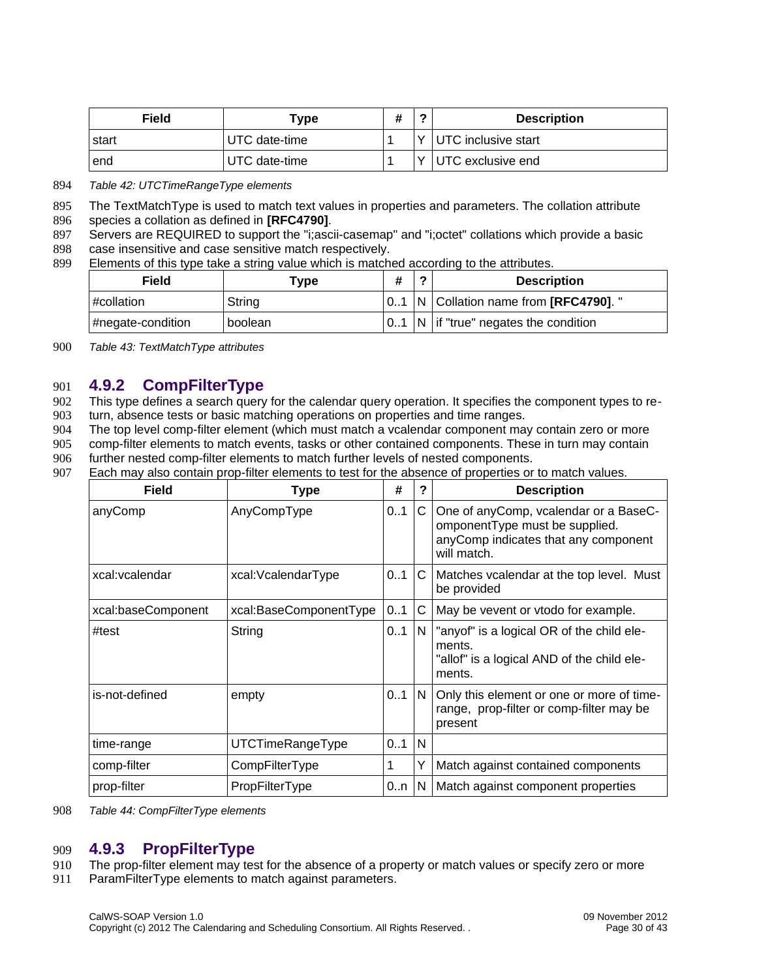| Field | туре          | ц<br>" | <b>Description</b>  |
|-------|---------------|--------|---------------------|
| start | UTC date-time |        | UTC inclusive start |
| end   | UTC date-time |        | UTC exclusive end   |

*Table 42: UTCTimeRangeType elements* 894

The TextMatchType is used to match text values in properties and parameters. The collation attribute 895

- species a collation as defined in **[RFC4790]**. 896
- Servers are REQUIRED to support the "i;ascii-casemap" and "i;octet" collations which provide a basic 897
- case insensitive and case sensitive match respectively. 898
- Elements of this type take a string value which is matched according to the attributes. 899

| Field<br>Type         |         | # | ◠ | <b>Description</b>                                           |
|-----------------------|---------|---|---|--------------------------------------------------------------|
| $\#$ collation        | String  |   |   | $\vert 01 \vert N \vert$ Collation name from [RFC4790]. "    |
| $\#$ negate-condition | boolean |   |   | $\vert$ 01 $\vert$ N $\vert$ if "true" negates the condition |

*Table 43: TextMatchType attributes* 900

#### <span id="page-30-1"></span>**4.9.2 CompFilterType** 901

This type defines a search query for the calendar query operation. It specifies the component types to re-902

turn, absence tests or basic matching operations on properties and time ranges. 903

The top level comp-filter element (which must match a vcalendar component may contain zero or more comp-filter elements to match events, tasks or other contained components. These in turn may contain 904 905

- further nested comp-filter elements to match further levels of nested components. 906
- Each may also contain prop-filter elements to test for the absence of properties or to match values. 907

| <b>Field</b>       | <b>Type</b>            | #       | ?   | <b>Description</b>                                                                                                             |
|--------------------|------------------------|---------|-----|--------------------------------------------------------------------------------------------------------------------------------|
| anyComp            | AnyCompType            | 01      | C   | One of anyComp, vcalendar or a BaseC-<br>omponentType must be supplied.<br>anyComp indicates that any component<br>will match. |
| xcal: vcalendar    | xcal:VcalendarType     | 01      | C   | Matches vcalendar at the top level. Must<br>be provided                                                                        |
| xcal:baseComponent | xcal:BaseComponentType | 0.1     | C   | May be vevent or vtodo for example.                                                                                            |
| #test              | String                 | 01      | N.  | "anyof" is a logical OR of the child ele-<br>ments.<br>"allof" is a logical AND of the child ele-<br>ments.                    |
| is-not-defined     | empty                  | $0.1$ N |     | Only this element or one or more of time-<br>range, prop-filter or comp-filter may be<br>present                               |
| time-range         | UTCTimeRangeType       | 01      | l N |                                                                                                                                |
| comp-filter        | CompFilterType         | 1       | Υ   | Match against contained components                                                                                             |
| prop-filter        | PropFilterType         | 0n      | IN. | Match against component properties                                                                                             |

*Table 44: CompFilterType elements* 908

#### <span id="page-30-0"></span>**4.9.3 PropFilterType** 909

The prop-filter element may test for the absence of a property or match values or specify zero or more 910

ParamFilterType elements to match against parameters. 911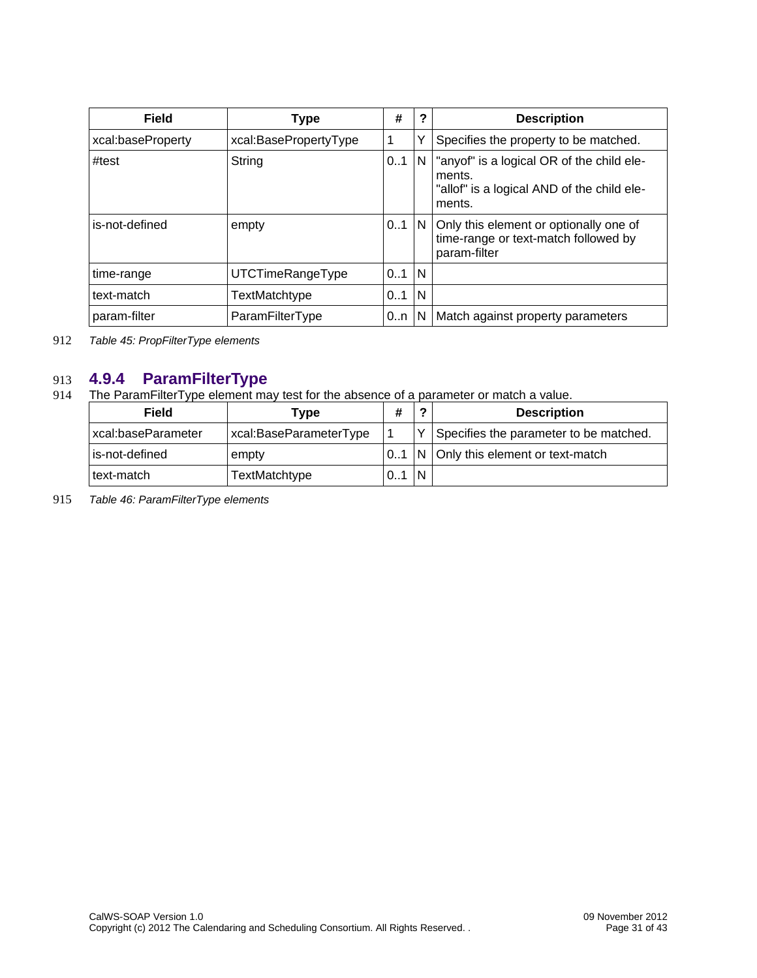| Field             | <b>Type</b>           | #            | 2  | <b>Description</b>                                                                                          |
|-------------------|-----------------------|--------------|----|-------------------------------------------------------------------------------------------------------------|
| xcal:baseProperty | xcal:BasePropertyType | 1            | Y  | Specifies the property to be matched.                                                                       |
| #test             | <b>String</b>         | 01           | N. | "anyof" is a logical OR of the child ele-<br>ments.<br>"allof" is a logical AND of the child ele-<br>ments. |
| is-not-defined    | empty                 | $0.1 \mid N$ |    | Only this element or optionally one of<br>time-range or text-match followed by<br>param-filter              |
| time-range        | UTCTimeRangeType      | 0.1          | N  |                                                                                                             |
| text-match        | TextMatchtype         | 01           | N  |                                                                                                             |
| param-filter      | ParamFilterType       | $0n$         | N  | Match against property parameters                                                                           |

*Table 45: PropFilterType elements* 912

#### **4.9.4 ParamFilterType** 913

The ParamFilterType element may test for the absence of a parameter or match a value. 914

<span id="page-31-0"></span>

| Field              | Type                   | #  | ◠            | <b>Description</b>                     |
|--------------------|------------------------|----|--------------|----------------------------------------|
| xcal:baseParameter | xcal:BaseParameterType |    | $\checkmark$ | Specifies the parameter to be matched. |
| is-not-defined     | empty                  | 01 |              | $N$ Only this element or text-match    |
| text-match         | TextMatchtype          | 01 | N            |                                        |

*Table 46: ParamFilterType elements* 915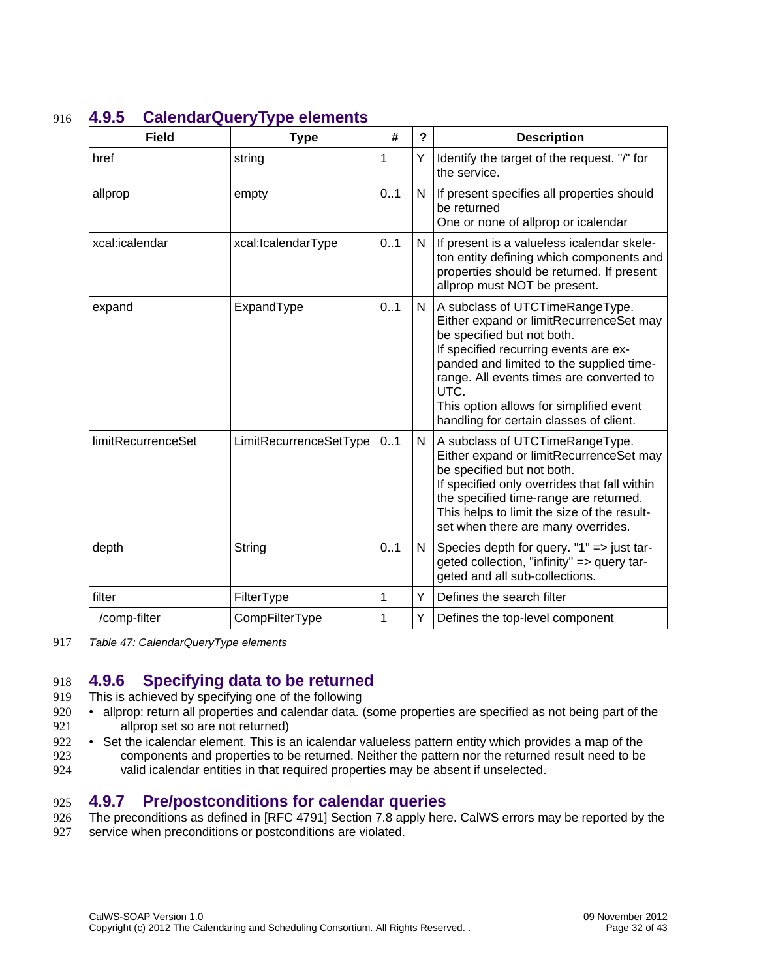<span id="page-32-0"></span>

| <b>Field</b>       | <b>Type</b>            | #            | ? | <b>Description</b>                                                                                                                                                                                                                                                                                                                      |
|--------------------|------------------------|--------------|---|-----------------------------------------------------------------------------------------------------------------------------------------------------------------------------------------------------------------------------------------------------------------------------------------------------------------------------------------|
| href               | string                 | $\mathbf 1$  | Υ | Identify the target of the request. "/" for<br>the service.                                                                                                                                                                                                                                                                             |
| allprop            | empty                  | 0.1          | N | If present specifies all properties should<br>be returned<br>One or none of allprop or icalendar                                                                                                                                                                                                                                        |
| xcal:icalendar     | xcal:IcalendarType     | 0.1          | N | If present is a valueless icalendar skele-<br>ton entity defining which components and<br>properties should be returned. If present<br>allprop must NOT be present.                                                                                                                                                                     |
| expand             | ExpandType             | 0.1          | N | A subclass of UTCTimeRangeType.<br>Either expand or limitRecurrenceSet may<br>be specified but not both.<br>If specified recurring events are ex-<br>panded and limited to the supplied time-<br>range. All events times are converted to<br>UTC.<br>This option allows for simplified event<br>handling for certain classes of client. |
| limitRecurrenceSet | LimitRecurrenceSetType | 01           | N | A subclass of UTCTimeRangeType.<br>Either expand or limitRecurrenceSet may<br>be specified but not both.<br>If specified only overrides that fall within<br>the specified time-range are returned.<br>This helps to limit the size of the result-<br>set when there are many overrides.                                                 |
| depth              | String                 | 0.1          | N | Species depth for query. "1" => just tar-<br>geted collection, "infinity" => query tar-<br>geted and all sub-collections.                                                                                                                                                                                                               |
| filter             | FilterType             | $\mathbf{1}$ | Y | Defines the search filter                                                                                                                                                                                                                                                                                                               |
| /comp-filter       | CompFilterType         | $\mathbf{1}$ | Υ | Defines the top-level component                                                                                                                                                                                                                                                                                                         |

## **4.9.5 CalendarQueryType elements** 916

*Table 47: CalendarQueryType elements* 917

## <span id="page-32-2"></span>**4.9.6 Specifying data to be returned** 918

- This is achieved by specifying one of the following 919
- allprop: return all properties and calendar data. (some properties are specified as not being part of the allprop set so are not returned) 920 921
- Set the icalendar element. This is an icalendar valueless pattern entity which provides a map of the components and properties to be returned. Neither the pattern nor the returned result need to be valid icalendar entities in that required properties may be absent if unselected. 922 923 924

#### <span id="page-32-1"></span>**4.9.7 Pre/postconditions for calendar queries** 925

- The preconditions as defined in [\[RFC 4791\]](#page-5-3) Section 7.8 apply here. CalWS errors may be reported by the 926
- service when preconditions or postconditions are violated. 927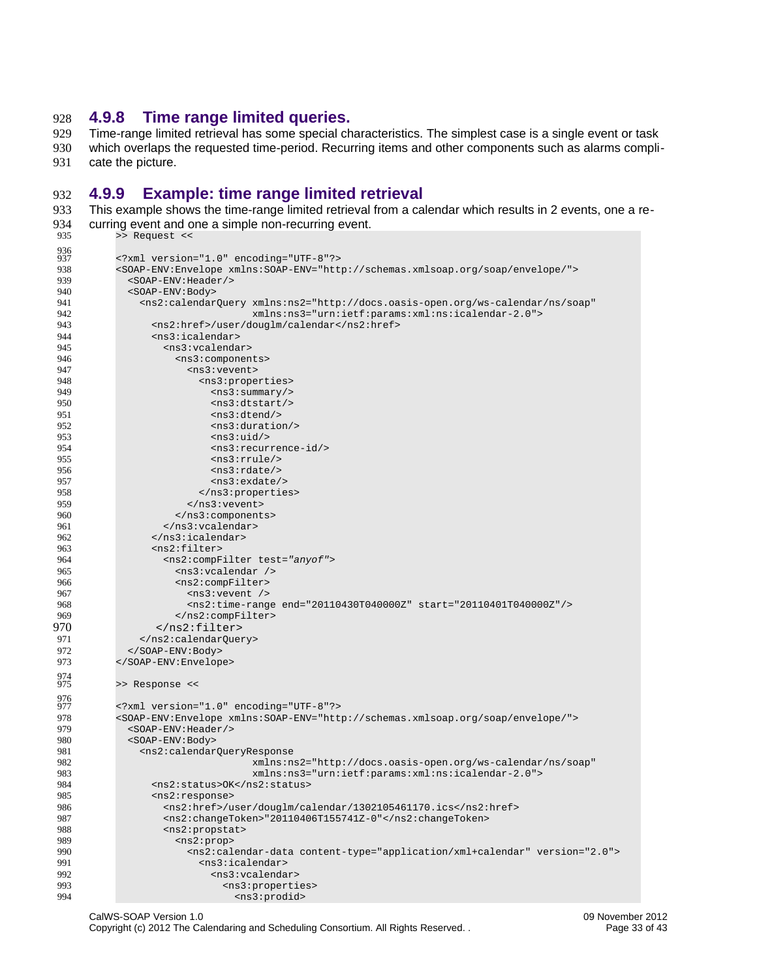#### <span id="page-33-1"></span>**4.9.8 Time range limited queries.** 928

Time-range limited retrieval has some special characteristics. The simplest case is a single event or task which overlaps the requested time-period. Recurring items and other components such as alarms complicate the picture. 929 930 931

#### <span id="page-33-0"></span>**4.9.9 Example: time range limited retrieval** 932

This example shows the time-range limited retrieval from a calendar which results in 2 events, one a recurring event and one a simple non-recurring event. >> Request << <?xml version="1.0" encoding="UTF-8"?> <SOAP-ENV:Envelope xmlns:SOAP-ENV="http://schemas.xmlsoap.org/soap/envelope/"> <SOAP-ENV:Header/> <SOAP-ENV:Body> <ns2:calendarQuery xmlns:ns2="http://docs.oasis-open.org/ws-calendar/ns/soap" xmlns:ns3="urn:ietf:params:xml:ns:icalendar-2.0"> <ns2:href>/user/douglm/calendar</ns2:href> <ns3:icalendar> <ns3:vcalendar> <ns3:components> 933 934 935 936 937 938 939 940 941 942 943 944 945 946

| 944        | <ns3:icalendar></ns3:icalendar>                                                                                         |
|------------|-------------------------------------------------------------------------------------------------------------------------|
| 945        | $<$ ns3: vcalendar>                                                                                                     |
| 946        | <ns3:components></ns3:components>                                                                                       |
| 947        | <ns3:vevent></ns3:vevent>                                                                                               |
| 948        | <ns3:properties></ns3:properties>                                                                                       |
| 949        | $<$ ns3:summary/>                                                                                                       |
| 950        | $<$ ns3:dtstart/>                                                                                                       |
| 951        | <ns3:dtend></ns3:dtend>                                                                                                 |
| 952        | $<$ ns3:duration/>                                                                                                      |
| 953        | $<$ ns3:uid/>                                                                                                           |
| 954        | <ns3:recurrence-id></ns3:recurrence-id>                                                                                 |
| 955        | $<$ ns3: $rrule/>$                                                                                                      |
| 956        | $<$ ns3:rdate/>                                                                                                         |
| 957        | $<$ ns3:exdate/>                                                                                                        |
| 958        |                                                                                                                         |
| 959        |                                                                                                                         |
| 960        |                                                                                                                         |
| 961        | $<$ /ns3: vcalendar>                                                                                                    |
| 962        |                                                                                                                         |
| 963        | <ns2:filter></ns2:filter>                                                                                               |
| 964        | <ns2:compfilter test="anyof"></ns2:compfilter>                                                                          |
| 965        | $<$ ns3:vcalendar />                                                                                                    |
| 966        | <ns2:compfilter></ns2:compfilter>                                                                                       |
| 967        | $<$ ns3: vevent />                                                                                                      |
| 968        | <ns2:time-range end="20110430T040000Z" start="20110401T040000Z"></ns2:time-range>                                       |
| 969        |                                                                                                                         |
| 970        |                                                                                                                         |
|            |                                                                                                                         |
| 971        |                                                                                                                         |
| 972        |                                                                                                                         |
| 973        |                                                                                                                         |
| 974<br>975 |                                                                                                                         |
|            | >> Response <<                                                                                                          |
| 976<br>977 | xml version="1.0" encoding="UTF-8"?                                                                                     |
| 978        | <soap-env:envelope xmlns:soap-env="http://schemas.xmlsoap.org/soap/envelope/"></soap-env:envelope>                      |
| 979        | <soap-env: header=""></soap-env:>                                                                                       |
|            |                                                                                                                         |
| 980        | <s0ap-env:body></s0ap-env:body>                                                                                         |
| 981<br>982 | <ns2:calendarqueryresponse<br>xmlns:ns2="http://docs.oasis-open.org/ws-calendar/ns/soap"</ns2:calendarqueryresponse<br> |
| 983        | xmlns:ns3="urn:ietf:params:xml:ns:icalendar-2.0">                                                                       |
| 984        | <ns2:status>0K</ns2:status>                                                                                             |
| 985        | <ns2:response></ns2:response>                                                                                           |
| 986        | <ns2:href>/user/douglm/calendar/1302105461170.ics</ns2:href>                                                            |
| 987        | <ns2:changetoken>"20110406T155741Z-0"</ns2:changetoken>                                                                 |
|            |                                                                                                                         |
| 988<br>989 | <ns2:propstat></ns2:propstat>                                                                                           |
| 990        | <ns2:prop><br/><ns2:calendar-data content-type="application/xml+calendar" version="2.0"></ns2:calendar-data></ns2:prop> |
|            | <ns3:icalendar></ns3:icalendar>                                                                                         |
| 991        | <ns3:vcalendar></ns3:vcalendar>                                                                                         |
| 992<br>993 |                                                                                                                         |
| 994        | <ns3:properties></ns3:properties>                                                                                       |
|            | <ns3:prodid></ns3:prodid>                                                                                               |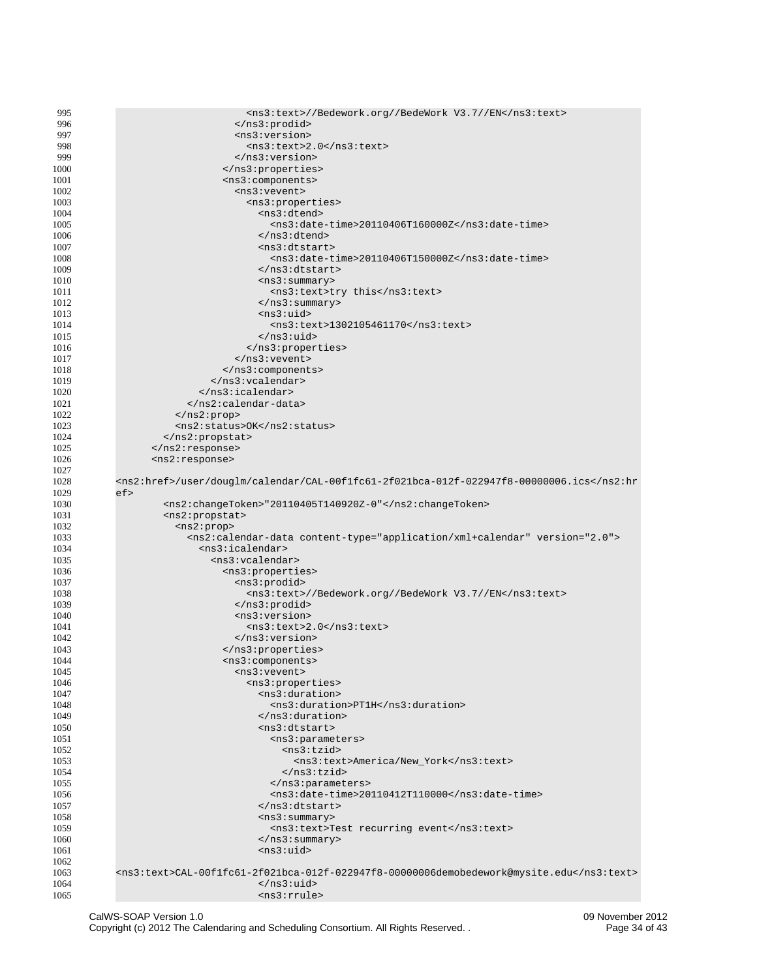| 995          | <ns3:text>//Bedework.org//BedeWork V3.7//EN</ns3:text>                                        |
|--------------|-----------------------------------------------------------------------------------------------|
|              |                                                                                               |
| 996          |                                                                                               |
| 997          | <ns3:version></ns3:version>                                                                   |
| 998          | $<$ ns3:text>2.0                                                                              |
| 999          |                                                                                               |
|              |                                                                                               |
| 1000         |                                                                                               |
| 1001         | <ns3:components></ns3:components>                                                             |
| 1002         | <ns3:vevent></ns3:vevent>                                                                     |
|              |                                                                                               |
| 1003         | <ns3:properties></ns3:properties>                                                             |
| 1004         | <ns3:dtend></ns3:dtend>                                                                       |
|              |                                                                                               |
| 1005         | <ns3:date-time>20110406T160000Z</ns3:date-time>                                               |
| 1006         |                                                                                               |
| 1007         | <ns3:dtstart></ns3:dtstart>                                                                   |
| 1008         | <ns3:date-time>20110406T150000Z</ns3:date-time>                                               |
|              |                                                                                               |
| 1009         |                                                                                               |
| 1010         | <ns3:summary></ns3:summary>                                                                   |
| 1011         | <ns3:text>try this</ns3:text>                                                                 |
|              |                                                                                               |
| 1012         |                                                                                               |
| 1013         | $<$ ns3:uid>                                                                                  |
| 1014         | <ns3:text>1302105461170</ns3:text>                                                            |
|              |                                                                                               |
| 1015         |                                                                                               |
| 1016         |                                                                                               |
| 1017         | $<$ /ns3: vevent>                                                                             |
|              |                                                                                               |
| 1018         |                                                                                               |
| 1019         |                                                                                               |
| 1020         |                                                                                               |
|              |                                                                                               |
| 1021         |                                                                                               |
| 1022         |                                                                                               |
| 1023         | <ns2:status>OK</ns2:status>                                                                   |
| 1024         |                                                                                               |
|              |                                                                                               |
| 1025         |                                                                                               |
| 1026         | <ns2:response></ns2:response>                                                                 |
| 1027         |                                                                                               |
|              |                                                                                               |
| 1028         | <ns2:href>/user/douglm/calendar/CAL-00f1fc61-2f021bca-012f-022947f8-00000006.ics</ns2:href>   |
| 1029         | ef                                                                                            |
| 1030         | <ns2:changetoken>"20110405T140920Z-0"</ns2:changetoken>                                       |
|              |                                                                                               |
| 1031         | <ns2:propstat></ns2:propstat>                                                                 |
| 1032         | <ns2:prop></ns2:prop>                                                                         |
| 1033         | <ns2:calendar-data content-type="application/xml+calendar" version="2.0"></ns2:calendar-data> |
|              | <ns3:icalendar></ns3:icalendar>                                                               |
| 1034         |                                                                                               |
| 1035         | <ns3:vcalendar></ns3:vcalendar>                                                               |
| 1036         | <ns3:properties></ns3:properties>                                                             |
| 1037         | <ns3:prodid></ns3:prodid>                                                                     |
|              |                                                                                               |
| 1038         | <ns3:text>//Bedework.org//BedeWork V3.7//EN</ns3:text>                                        |
| 1039         |                                                                                               |
| 1040         | <ns3:version></ns3:version>                                                                   |
|              |                                                                                               |
| 1041         | <ns3:text>2.0</ns3:text>                                                                      |
| 1042         | $<$ /ns3:version>                                                                             |
| 1043         |                                                                                               |
|              |                                                                                               |
| 1044         | <ns3:components></ns3:components>                                                             |
| 1045         | <ns3:vevent></ns3:vevent>                                                                     |
| 1046         | <ns3:properties></ns3:properties>                                                             |
| 1047         | <ns3:duration></ns3:duration>                                                                 |
|              |                                                                                               |
| 1048         | <ns3:duration>PT1H</ns3:duration>                                                             |
| 1049         |                                                                                               |
| 1050         | <ns3:dtstart></ns3:dtstart>                                                                   |
|              |                                                                                               |
| 1051         | <ns3:parameters></ns3:parameters>                                                             |
| 1052         | <ns3:tzid></ns3:tzid>                                                                         |
| 1053         | <ns3:text>America/New_York</ns3:text>                                                         |
| 1054         |                                                                                               |
|              |                                                                                               |
| 1055         |                                                                                               |
| 1056         | <ns3:date-time>20110412T110000</ns3:date-time>                                                |
| 1057         |                                                                                               |
|              |                                                                                               |
| 1058         | $<$ ns3:summary>                                                                              |
| 1059         | <ns3:text>Test recurring event</ns3:text>                                                     |
| 1060         |                                                                                               |
|              | <ns3:uid></ns3:uid>                                                                           |
| 1061         |                                                                                               |
| 1062         |                                                                                               |
|              |                                                                                               |
| 1063         | <ns3:text>CAL-00f1fc61-2f021bca-012f-022947f8-00000006demobedework@mysite.edu</ns3:text>      |
|              |                                                                                               |
| 1064<br>1065 | <br><ns3:rrule></ns3:rrule>                                                                   |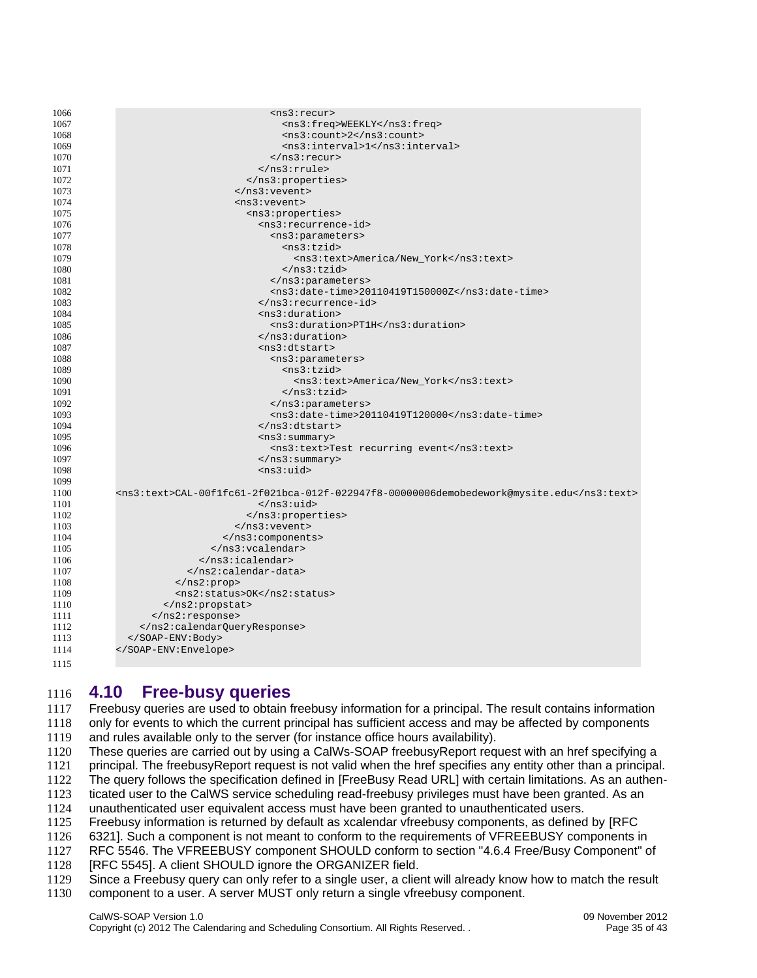| 1066 | $<$ ns3: recur>                                                                          |
|------|------------------------------------------------------------------------------------------|
| 1067 | <ns3:freq>WEEKLY</ns3:freq>                                                              |
| 1068 | <ns3:count>2</ns3:count>                                                                 |
| 1069 | <ns3:interval>1</ns3:interval>                                                           |
| 1070 | $<$ /ns3:recur>                                                                          |
| 1071 | $<$ /ns3: $rrule$                                                                        |
| 1072 |                                                                                          |
| 1073 |                                                                                          |
| 1074 | <ns3:vevent></ns3:vevent>                                                                |
| 1075 | <ns3:properties></ns3:properties>                                                        |
| 1076 | <ns3:recurrence-id></ns3:recurrence-id>                                                  |
| 1077 | <ns3:parameters></ns3:parameters>                                                        |
| 1078 | <ns3:tzid></ns3:tzid>                                                                    |
| 1079 | <ns3:text>America/New_York</ns3:text>                                                    |
| 1080 |                                                                                          |
| 1081 |                                                                                          |
| 1082 | <ns3:date-time>20110419T150000Z</ns3:date-time>                                          |
| 1083 |                                                                                          |
| 1084 | $<$ ns3:duration>                                                                        |
| 1085 | <ns3:duration>PT1H</ns3:duration>                                                        |
| 1086 | $<$ /ns3:duration>                                                                       |
| 1087 | $ns3:distart$                                                                            |
| 1088 | <ns3:parameters></ns3:parameters>                                                        |
| 1089 | <ns3:tzid></ns3:tzid>                                                                    |
| 1090 | <ns3:text>America/New_York</ns3:text>                                                    |
| 1091 |                                                                                          |
| 1092 |                                                                                          |
| 1093 | <ns3:date-time>20110419T120000</ns3:date-time>                                           |
| 1094 |                                                                                          |
| 1095 | $<$ ns3:summary>                                                                         |
| 1096 | <ns3:text>Test recurring event</ns3:text>                                                |
| 1097 | $<$ /ns3:summary>                                                                        |
| 1098 | $<$ ns3:uid>                                                                             |
| 1099 |                                                                                          |
| 1100 | <ns3:text>CAL-00f1fc61-2f021bca-012f-022947f8-00000006demobedework@mysite.edu</ns3:text> |
| 1101 |                                                                                          |
| 1102 |                                                                                          |
| 1103 |                                                                                          |
| 1104 |                                                                                          |
| 1105 |                                                                                          |
| 1106 |                                                                                          |
| 1107 |                                                                                          |
| 1108 |                                                                                          |
| 1109 | <ns2:status>OK</ns2:status>                                                              |
| 1110 |                                                                                          |
| 1111 |                                                                                          |
| 1112 |                                                                                          |
| 1113 |                                                                                          |
| 1114 |                                                                                          |
|      |                                                                                          |
| 1115 |                                                                                          |

## <span id="page-35-0"></span>**4.10 Free-busy queries** 1116

Freebusy queries are used to obtain freebusy information for a principal. The result contains information only for events to which the current principal has sufficient access and may be affected by components and rules available only to the server (for instance office hours availability). 1117 1118 1119

- These queries are carried out by using a CalWs-SOAP freebusyReport request with an href specifying a 1120
- principal. The freebusyReport request is not valid when the href specifies any entity other than a principal. 1121
- The query follows the specification defined in [\[FreeBusy Read URL\]](#page-5-12) with certain limitations. As an authen-1122
- ticated user to the CalWS service scheduling read-freebusy privileges must have been granted. As an 1123
- unauthenticated user equivalent access must have been granted to unauthenticated users. 1124
- Freebusy information is returned by default as xcalendar vfreebusy components, as defined by [\[RFC](#page-5-11)  1125
- [6321\].](#page-5-11) Such a component is not meant to conform to the requirements of VFREEBUSY components in 1126
- [RFC 5546.](#page-5-10) The VFREEBUSY component SHOULD conform to section "4.6.4 Free/Busy Component" o[f](#page-5-5) 1127
- [\[RFC 5545\].](#page-5-5) A client SHOULD ignore the ORGANIZER field. 1128
- Since a Freebusy query can only refer to a single user, a client will already know how to match the result 1129
- component to a user. A server MUST only return a single vfreebusy component. 1130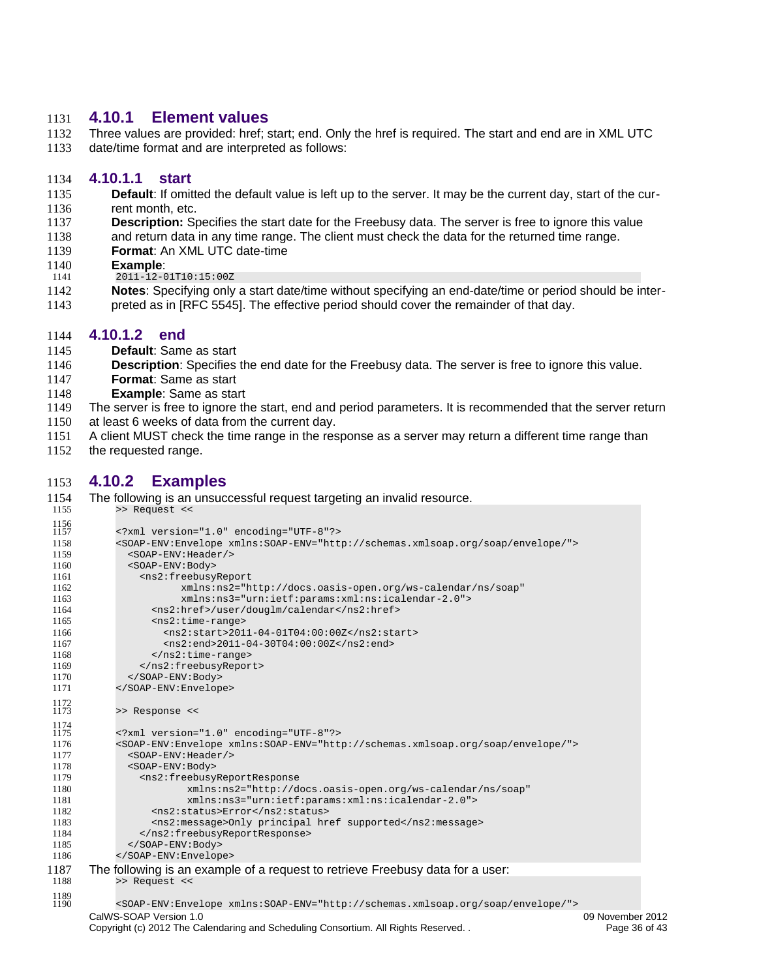#### <span id="page-36-3"></span>**4.10.1 Element values**  1131

Three values are provided: href; start; end. Only the href is required. The start and end are in XML UTC date/time format and are interpreted as follows: 1132 1133

#### <span id="page-36-2"></span>**4.10.1.1 start** 1134

- **Default**: If omitted the default value is left up to the server. It may be the current day, start of the cur-1135
- rent month, etc. 1136
- **Description:** Specifies the start date for the Freebusy data. The server is free to ignore this value 1137
- and return data in any time range. The client must check the data for the returned time range. 1138
- **Format**: An XML UTC date-time 1139
- **Example**: 1140
- 2011-12-01T10:15:00Z 1141
- **Notes**: Specifying only a start date/time without specifying an end-date/time or period should be interpreted as in [\[RFC 5545\].](#page-5-5) The effective period should cover the remainder of that day. 1142 1143

#### <span id="page-36-1"></span>**4.10.1.2 end** 1144

- **Default**: Same as start 1145
- **Description**: Specifies the end date for the Freebusy data. The server is free to ignore this value. 1146
- **Format**: Same as start 1147
- **Example**: Same as start 1148
- The server is free to ignore the start, end and period parameters. It is recommended that the server return at least 6 weeks of data from the current day. 1149 1150
- A client MUST check the time range in the response as a server may return a different time range than 1151
- the requested range. 1152

## <span id="page-36-0"></span>**4.10.2 Examples** 1153

| 1154                | The following is an unsuccessful request targeting an invalid resource.                                                                  |                  |
|---------------------|------------------------------------------------------------------------------------------------------------------------------------------|------------------|
| 1155                | >> Request <<                                                                                                                            |                  |
| $\frac{1156}{1157}$ | xml version="1.0" encoding="UTF-8"?                                                                                                      |                  |
| 1158                | <soap-env:envelope xmlns:soap-env="http://schemas.xmlsoap.org/soap/envelope/"></soap-env:envelope>                                       |                  |
| 1159                | <soap-env: header=""></soap-env:>                                                                                                        |                  |
| 1160                | <s0ap-env:body></s0ap-env:body>                                                                                                          |                  |
| 1161                | <ns2:freebusyreport< td=""><td></td></ns2:freebusyreport<>                                                                               |                  |
| 1162                | xmlns:ns2="http://docs.oasis-open.org/ws-calendar/ns/soap"                                                                               |                  |
| 1163                | xmlns:ns3="urn:ietf:params:xml:ns:icalendar-2.0">                                                                                        |                  |
| 1164                | <ns2:href>/user/douglm/calendar</ns2:href>                                                                                               |                  |
| 1165                | $<$ ns2: $time$ -range>                                                                                                                  |                  |
| 1166                | <ns2:start>2011-04-01T04:00:00Z</ns2:start>                                                                                              |                  |
| 1167                | <ns2:end>2011-04-30T04:00:00Z</ns2:end>                                                                                                  |                  |
| 1168                | $<$ /ns2:time-range>                                                                                                                     |                  |
| 1169                |                                                                                                                                          |                  |
| 1170<br>1171        | <br>                                                                                                                                     |                  |
|                     |                                                                                                                                          |                  |
| $\frac{1172}{1173}$ | >> Response <<                                                                                                                           |                  |
| 1174                |                                                                                                                                          |                  |
| 1175                | xml version="1.0" encoding="UTF-8"?                                                                                                      |                  |
| 1176<br>1177        | <soap-env:envelope xmlns:soap-env="http://schemas.xmlsoap.org/soap/envelope/"><br/><soap-env: header=""></soap-env:></soap-env:envelope> |                  |
| 1178                | <s0ap-env:body></s0ap-env:body>                                                                                                          |                  |
| 1179                | <ns2:freebusyreportresponse< td=""><td></td></ns2:freebusyreportresponse<>                                                               |                  |
| 1180                | xmlns:ns2="http://docs.oasis-open.org/ws-calendar/ns/soap"                                                                               |                  |
| 1181                | xmlns:ns3="urn:ietf:params:xml:ns:icalendar-2.0">                                                                                        |                  |
| 1182                | <ns2:status>Error</ns2:status>                                                                                                           |                  |
| 1183                | <ns2:message>Only principal href supported</ns2:message>                                                                                 |                  |
| 1184                |                                                                                                                                          |                  |
| 1185                |                                                                                                                                          |                  |
| 1186                |                                                                                                                                          |                  |
| 1187                | The following is an example of a request to retrieve Freebusy data for a user:                                                           |                  |
| 1188                | >> Request <<                                                                                                                            |                  |
| 1189                |                                                                                                                                          |                  |
| 1190                | <soap-env:envelope xmlns:soap-env="http://schemas.xmlsoap.org/soap/envelope/"></soap-env:envelope>                                       |                  |
|                     | CalWS-SOAP Version 1.0                                                                                                                   | 09 November 2012 |
|                     | Copyright (c) 2012 The Calendaring and Scheduling Consortium. All Rights Reserved. .                                                     | Page 36 of 43    |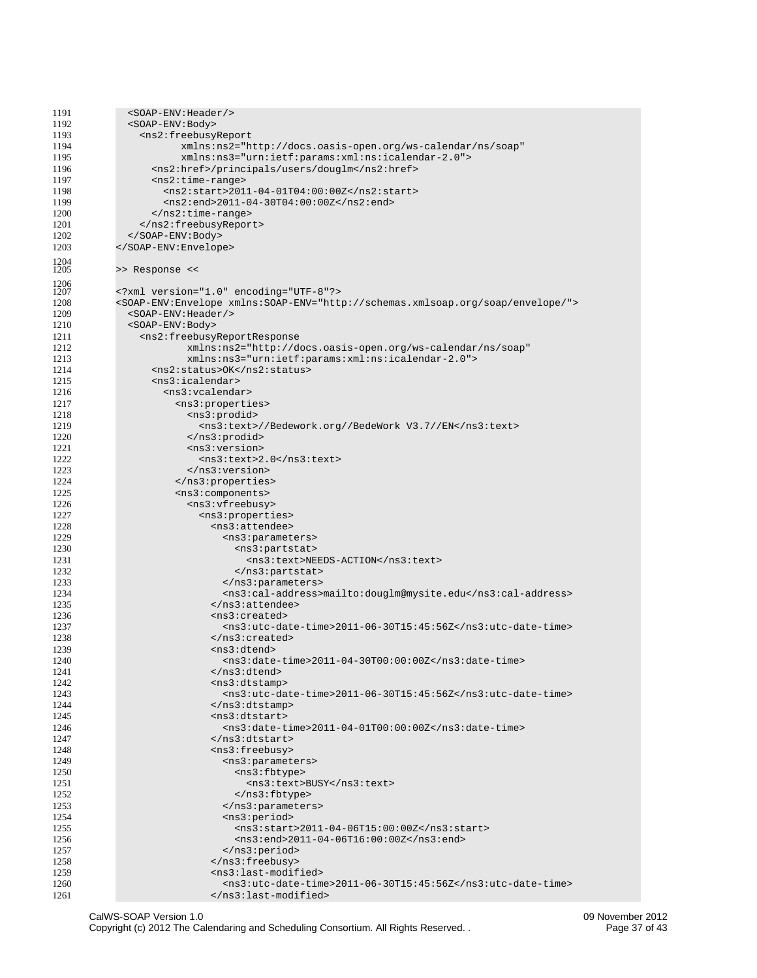| 1191         | <soap-env: header=""></soap-env:>                                                                  |
|--------------|----------------------------------------------------------------------------------------------------|
| 1192         | <s0ap-env:body></s0ap-env:body>                                                                    |
| 1193         | <ns2:freebusyreport< td=""></ns2:freebusyreport<>                                                  |
|              |                                                                                                    |
| 1194         | xmlns:ns2="http://docs.oasis-open.org/ws-calendar/ns/soap"                                         |
| 1195         | xmlns:ns3="urn:ietf:params:xml:ns:icalendar-2.0">                                                  |
| 1196         | <ns2:href>/principals/users/douglm</ns2:href>                                                      |
| 1197         | $<$ ns2: time-range>                                                                               |
| 1198         | <ns2:start>2011-04-01T04:00:00Z</ns2:start>                                                        |
| 1199         | <ns2:end>2011-04-30T04:00:00Z</ns2:end>                                                            |
|              |                                                                                                    |
| 1200         |                                                                                                    |
| 1201         |                                                                                                    |
| 1202         |                                                                                                    |
| 1203         |                                                                                                    |
|              |                                                                                                    |
| 1204<br>1205 | >> Response <<                                                                                     |
|              |                                                                                                    |
| 1206         |                                                                                                    |
| 1207         | xml version="1.0" encoding="UTF-8"?                                                                |
| 1208         | <soap-env:envelope xmlns:soap-env="http://schemas.xmlsoap.org/soap/envelope/"></soap-env:envelope> |
| 1209         | <soap-env: header=""></soap-env:>                                                                  |
| 1210         | <s0ap-env:body></s0ap-env:body>                                                                    |
| 1211         | <ns2:freebusyreportresponse< td=""></ns2:freebusyreportresponse<>                                  |
|              | xmlns:ns2="http://docs.oasis-open.org/ws-calendar/ns/soap"                                         |
| 1212         |                                                                                                    |
| 1213         | xmlns:ns3="urn:ietf:params:xml:ns:icalendar-2.0">                                                  |
| 1214         | <ns2:status>0K</ns2:status>                                                                        |
| 1215         | $<$ ns $3$ :icalendar>                                                                             |
| 1216         | <ns3:vcalendar></ns3:vcalendar>                                                                    |
| 1217         | <ns3:properties></ns3:properties>                                                                  |
|              |                                                                                                    |
| 1218         | <ns3:prodid></ns3:prodid>                                                                          |
| 1219         | <ns3:text>//Bedework.org//BedeWork V3.7//EN</ns3:text>                                             |
| 1220         |                                                                                                    |
| 1221         | <ns3:version></ns3:version>                                                                        |
| 1222         | <ns3:text>2.0</ns3:text>                                                                           |
| 1223         |                                                                                                    |
| 1224         |                                                                                                    |
|              |                                                                                                    |
| 1225         | <ns3:components></ns3:components>                                                                  |
| 1226         | <ns3:vfreebusy></ns3:vfreebusy>                                                                    |
| 1227         | <ns3:properties></ns3:properties>                                                                  |
| 1228         | <ns3:attendee></ns3:attendee>                                                                      |
| 1229         | <ns3:parameters></ns3:parameters>                                                                  |
| 1230         | <ns3:partstat></ns3:partstat>                                                                      |
|              |                                                                                                    |
| 1231         | <ns3:text>NEEDS-ACTION</ns3:text>                                                                  |
| 1232         |                                                                                                    |
| 1233         |                                                                                                    |
| 1234         | <ns3:cal-address>mailto:douglm@mysite.edu</ns3:cal-address>                                        |
| 1235         | $<$ /ns3:attendee>                                                                                 |
| 1236         | <ns3:created></ns3:created>                                                                        |
| 1237         | <ns3:utc-date-time>2011-06-30T15:45:56Z</ns3:utc-date-time>                                        |
|              |                                                                                                    |
| 1238         |                                                                                                    |
| 1239         | $<$ ns3:dtend>                                                                                     |
| 1240         | <ns3:date-time>2011-04-30T00:00:00Z</ns3:date-time>                                                |
| 1241         |                                                                                                    |
| 1242         | $<$ ns3:dtstamp $>$                                                                                |
| 1243         | <ns3:utc-date-time>2011-06-30T15:45:56Z</ns3:utc-date-time>                                        |
| 1244         |                                                                                                    |
|              |                                                                                                    |
| 1245         | <ns3:dtstart></ns3:dtstart>                                                                        |
| 1246         | <ns3:date-time>2011-04-01T00:00:00Z</ns3:date-time>                                                |
| 1247         | $<$ /ns3:dtstart>                                                                                  |
| 1248         | <ns3:freebusy></ns3:freebusy>                                                                      |
| 1249         | <ns3:parameters></ns3:parameters>                                                                  |
| 1250         | <ns3:fbtype></ns3:fbtype>                                                                          |
|              |                                                                                                    |
| 1251         | <ns3:text>BUSY</ns3:text>                                                                          |
| 1252         |                                                                                                    |
| 1253         |                                                                                                    |
| 1254         | <ns3:period></ns3:period>                                                                          |
| 1255         | <ns3:start>2011-04-06T15:00:00Z</ns3:start>                                                        |
| 1256         | <ns3:end>2011-04-06T16:00:00Z</ns3:end>                                                            |
|              |                                                                                                    |
| 1257         | $<$ /ns3:period>                                                                                   |
| 1258         |                                                                                                    |
| 1259         | <ns3:last-modified></ns3:last-modified>                                                            |
| 1260         | <ns3:utc-date-time>2011-06-30T15:45:56Z</ns3:utc-date-time>                                        |
| 1261         |                                                                                                    |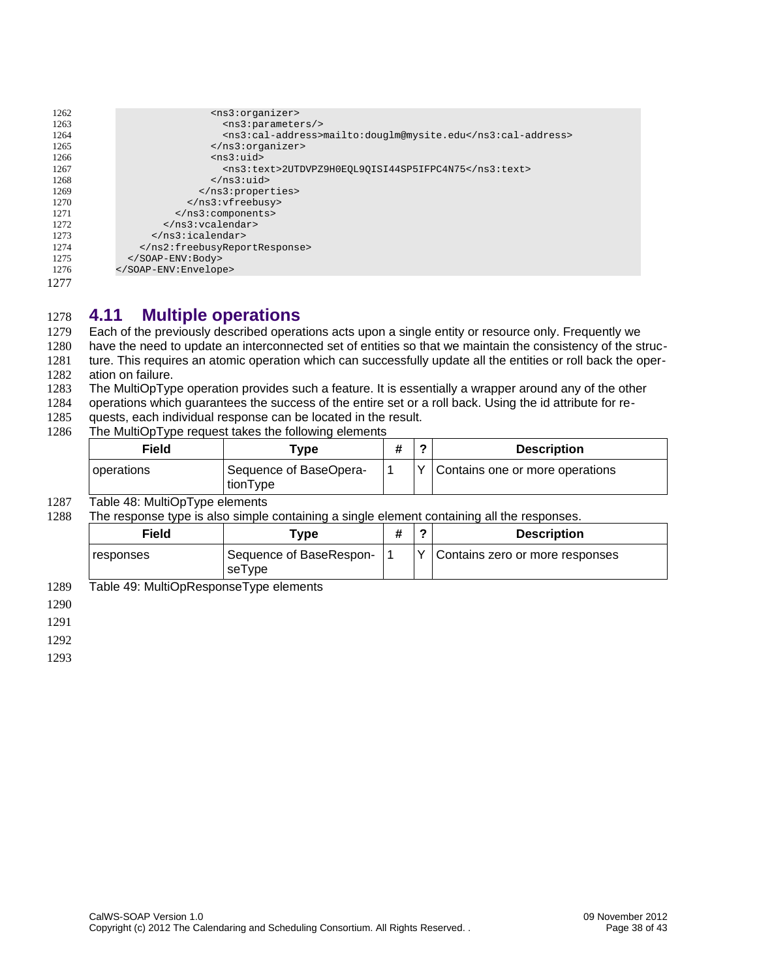| 1262 | <ns3:organizer></ns3:organizer>                             |
|------|-------------------------------------------------------------|
| 1263 | $<$ ns3: parameters/>                                       |
| 1264 | <ns3:cal-address>mailto:douglm@mysite.edu</ns3:cal-address> |
| 1265 | $<$ /ns3:organizer>                                         |
| 1266 | $<$ ns3:uid $>$                                             |
| 1267 | <ns3:text>2UTDVPZ9H0EQL90ISI44SP5IFPC4N75</ns3:text>        |
| 1268 | $<$ /ns3:uid>                                               |
| 1269 |                                                             |
| 1270 |                                                             |
| 1271 |                                                             |
| 1272 | $<$ /ns3: vcalendar>                                        |
| 1273 | $<$ /ns3:icalendar>                                         |
| 1274 |                                                             |
| 1275 |                                                             |
| 1276 |                                                             |
| 1277 |                                                             |

#### <span id="page-38-0"></span>**4.11 Multiple operations** 1278

Each of the previously described operations acts upon a single entity or resource only. Frequently we have the need to update an interconnected set of entities so that we maintain the consistency of the structure. This requires an atomic operation which can successfully update all the entities or roll back the oper-1279 1280 1281

ation on failure. 1282

The MultiOpType operation provides such a feature. It is essentially a wrapper around any of the other 1283

operations which guarantees the success of the entire set or a roll back. Using the id attribute for re-1284

- quests, each individual response can be located in the result. 1285
- The MultiOpType request takes the following elements 1286

| Field      | Type                               |  | <b>Description</b>              |
|------------|------------------------------------|--|---------------------------------|
| operations | Sequence of BaseOpera-<br>tionType |  | Contains one or more operations |

#### Table 48: MultiOpType elements 1287

The response type is also simple containing a single element containing all the responses. 1288

| Field     | "vpe                              | ◠ | <b>Description</b>              |
|-----------|-----------------------------------|---|---------------------------------|
| responses | Sequence of BaseRespon-<br>seType |   | Contains zero or more responses |

Table 49: MultiOpResponseType elements 1289

1290

1291

1292

1293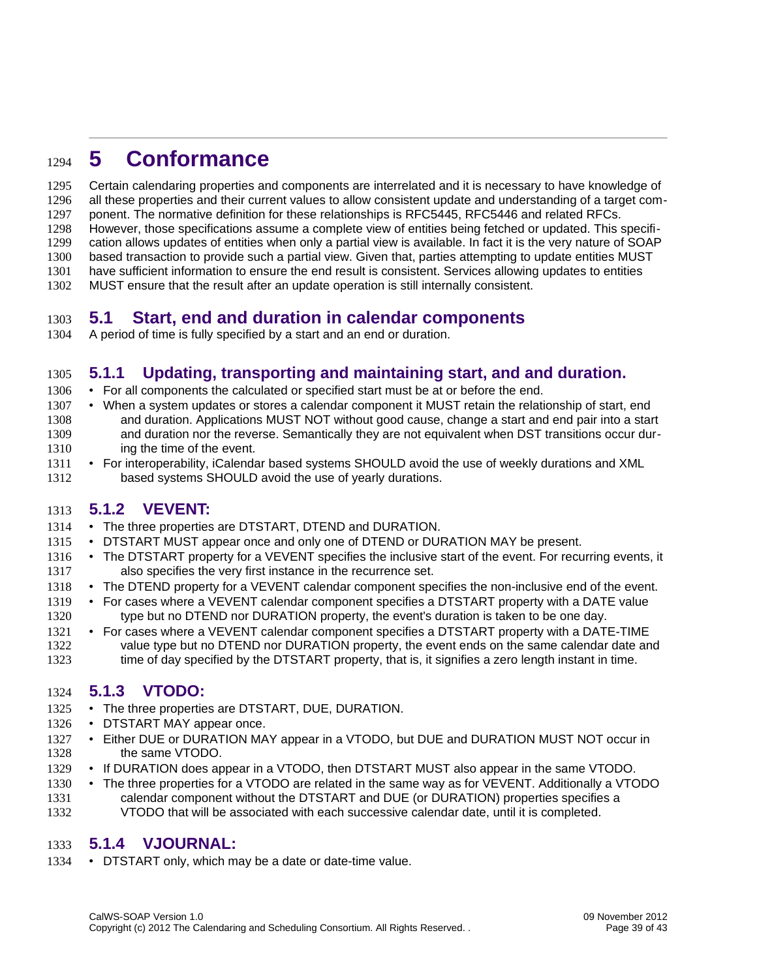## <span id="page-39-5"></span>**5 Conformance** 1294

Certain calendaring properties and components are interrelated and it is necessary to have knowledge of all these properties and their current values to allow consistent update and understanding of a target component. The normative definition for these relationships is RFC5445, RFC5446 and related RFCs. However, those specifications assume a complete view of entities being fetched or updated. This specification allows updates of entities when only a partial view is available. In fact it is the very nature of SOAP based transaction to provide such a partial view. Given that, parties attempting to update entities MUST have sufficient information to ensure the end result is consistent. Services allowing updates to entities 1295 1296 1297 1298 1299 1300 1301

MUST ensure that the result after an update operation is still internally consistent. 1302

#### <span id="page-39-4"></span>**5.1 Start, end and duration in calendar components** 1303

A period of time is fully specified by a start and an end or duration. 1304

## <span id="page-39-3"></span>**5.1.1 Updating, transporting and maintaining start, and and duration.** 1305

- For all components the calculated or specified start must be at or before the end. 1306
- When a system updates or stores a calendar component it MUST retain the relationship of start, end and duration. Applications MUST NOT without good cause, change a start and end pair into a start and duration nor the reverse. Semantically they are not equivalent when DST transitions occur during the time of the event. 1307 1308 1309 1310
- For interoperability, iCalendar based systems SHOULD avoid the use of weekly durations and XML based systems SHOULD avoid the use of yearly durations. 1311 1312

#### <span id="page-39-2"></span>**5.1.2 VEVENT:** 1313

- The three properties are DTSTART, DTEND and DURATION. 1314
- DTSTART MUST appear once and only one of DTEND or DURATION MAY be present. 1315
- The DTSTART property for a VEVENT specifies the inclusive start of the event. For recurring events, it also specifies the very first instance in the recurrence set. 1316 1317
- The DTEND property for a VEVENT calendar component specifies the non-inclusive end of the event. 1318
- For cases where a VEVENT calendar component specifies a DTSTART property with a DATE value type but no DTEND nor DURATION property, the event's duration is taken to be one day. 1319 1320
- For cases where a VEVENT calendar component specifies a DTSTART property with a DATE-TIME value type but no DTEND nor DURATION property, the event ends on the same calendar date and time of day specified by the DTSTART property, that is, it signifies a zero length instant in time. 1321 1322 1323

#### <span id="page-39-1"></span>**5.1.3 VTODO:** 1324

- The three properties are DTSTART, DUE, DURATION. 1325
- DTSTART MAY appear once. 1326
- Either DUE or DURATION MAY appear in a VTODO, but DUE and DURATION MUST NOT occur in the same VTODO. 1327 1328
- If DURATION does appear in a VTODO, then DTSTART MUST also appear in the same VTODO. 1329
- The three properties for a VTODO are related in the same way as for VEVENT. Additionally a VTODO calendar component without the DTSTART and DUE (or DURATION) properties specifies a 1330 1331

#### VTODO that will be associated with each successive calendar date, until it is completed. 1332

#### <span id="page-39-0"></span>**5.1.4 VJOURNAL:** 1333

• DTSTART only, which may be a date or date-time value. 1334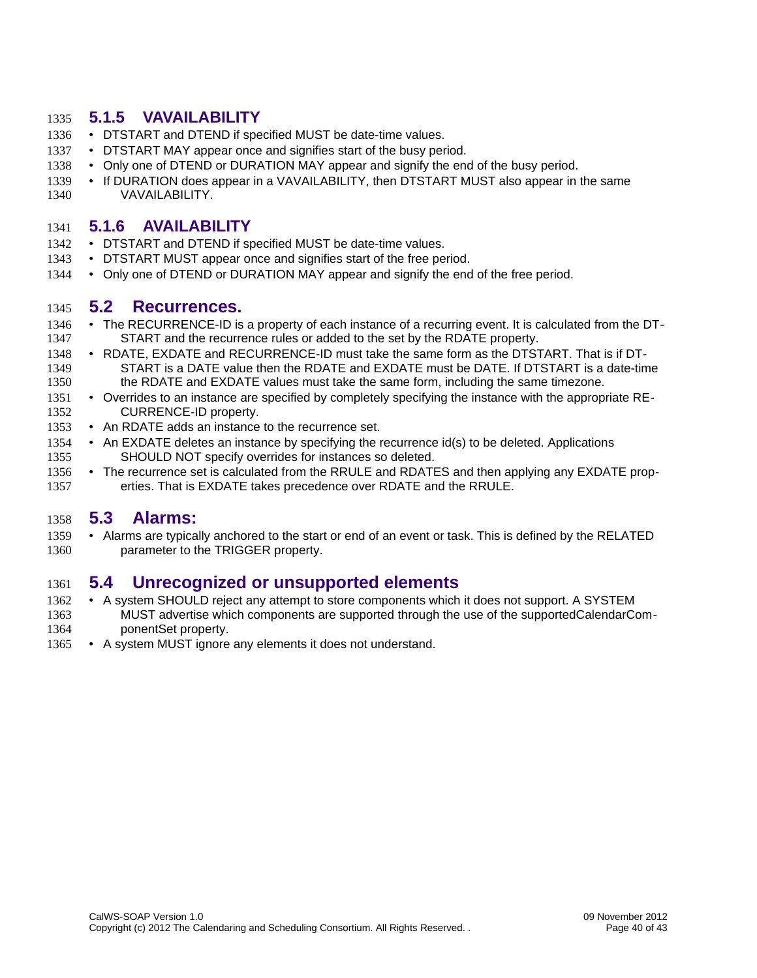#### <span id="page-40-4"></span>**5.1.5 VAVAILABILITY** 1335

- DTSTART and DTEND if specified MUST be date-time values. 1336
- DTSTART MAY appear once and signifies start of the busy period. 1337
- Only one of DTEND or DURATION MAY appear and signify the end of the busy period. 1338
- If DURATION does appear in a VAVAILABILITY, then DTSTART MUST also appear in the same VAVAILABILITY. 1339 1340

#### <span id="page-40-3"></span>**5.1.6 AVAILABILITY** 1341

- DTSTART and DTEND if specified MUST be date-time values. 1342
- DTSTART MUST appear once and signifies start of the free period. 1343
- Only one of DTEND or DURATION MAY appear and signify the end of the free period. 1344

#### <span id="page-40-2"></span>**5.2 Recurrences.** 1345

- The RECURRENCE-ID is a property of each instance of a recurring event. It is calculated from the DT-START and the recurrence rules or added to the set by the RDATE property. 1346 1347
- RDATE, EXDATE and RECURRENCE-ID must take the same form as the DTSTART. That is if DT-START is a DATE value then the RDATE and EXDATE must be DATE. If DTSTART is a date-time the RDATE and EXDATE values must take the same form, including the same timezone. 1348 1349 1350
- Overrides to an instance are specified by completely specifying the instance with the appropriate RE-CURRENCE-ID property. 1351 1352
- An RDATE adds an instance to the recurrence set. 1353
- An EXDATE deletes an instance by specifying the recurrence id(s) to be deleted. Applications SHOULD NOT specify overrides for instances so deleted. 1354 1355
- The recurrence set is calculated from the RRULE and RDATES and then applying any EXDATE properties. That is EXDATE takes precedence over RDATE and the RRULE. 1356 1357

#### <span id="page-40-1"></span>**5.3 Alarms:** 1358

• Alarms are typically anchored to the start or end of an event or task. This is defined by the RELATED parameter to the TRIGGER property. 1359 1360

## <span id="page-40-0"></span>**5.4 Unrecognized or unsupported elements** 1361

- A system SHOULD reject any attempt to store components which it does not support. A SYSTEM MUST advertise which components are supported through the use of the supportedCalendarComponentSet property. 1362 1363 1364
- A system MUST ignore any elements it does not understand. 1365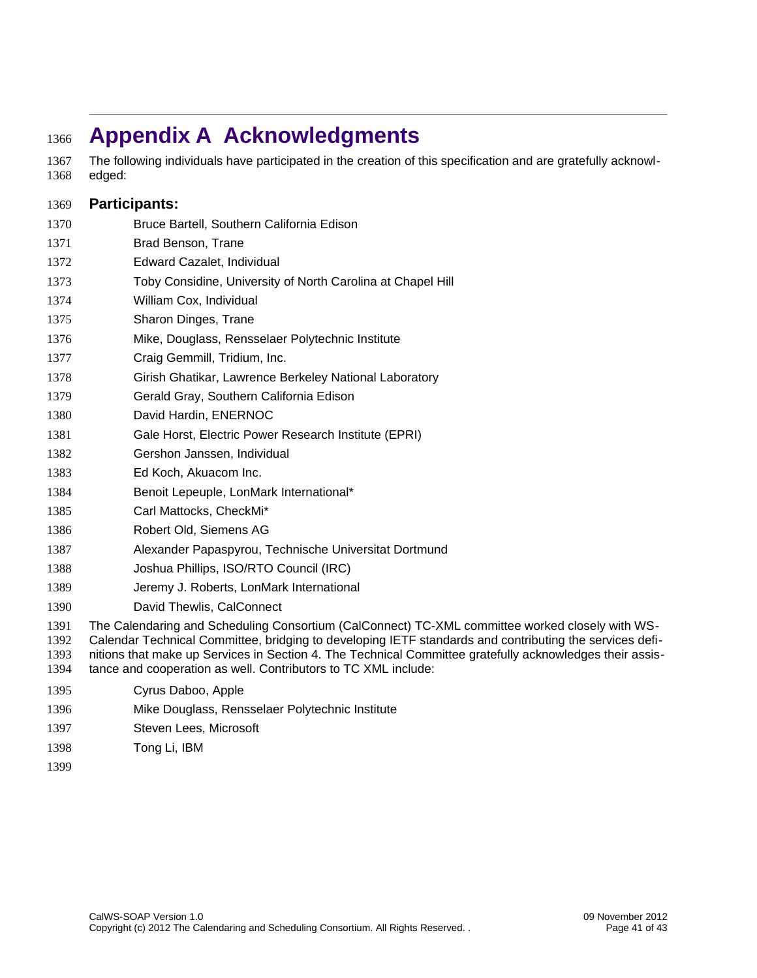# <span id="page-41-0"></span>**Appendix A Acknowledgments** 1366

The following individuals have participated in the creation of this specification and are gratefully acknowledged: 1367 1368

#### **Participants:** 1369

- Bruce Bartell, Southern California Edison 1370
- Brad Benson, Trane 1371
- Edward Cazalet, Individual 1372
- Toby Considine, University of North Carolina at Chapel Hill 1373
- William Cox, Individual 1374
- Sharon Dinges, Trane 1375
- Mike, Douglass, Rensselaer Polytechnic Institute 1376
- Craig Gemmill, Tridium, Inc. 1377
- Girish Ghatikar, Lawrence Berkeley National Laboratory 1378
- Gerald Gray, Southern California Edison 1379
- David Hardin, ENERNOC 1380
- Gale Horst, Electric Power Research Institute (EPRI) 1381
- Gershon Janssen, Individual 1382
- Ed Koch, Akuacom Inc. 1383
- Benoit Lepeuple, LonMark International\* 1384
- Carl Mattocks, CheckMi\* 1385
- Robert Old, Siemens AG 1386
- Alexander Papaspyrou, Technische Universitat Dortmund 1387
- Joshua Phillips, ISO/RTO Council (IRC) 1388
- Jeremy J. Roberts, LonMark International 1389
- David Thewlis, CalConnect 1390
- The Calendaring and Scheduling Consortium (CalConnect) TC-XML committee worked closely with WS-1391
- Calendar Technical Committee, bridging to developing IETF standards and contributing the services defi-1392
- nitions that make up Services in Section 4. The Technical Committee gratefully acknowledges their assis-1393
- tance and cooperation as well. Contributors to TC XML include: 1394
- Cyrus Daboo, Apple 1395
- Mike Douglass, Rensselaer Polytechnic Institute 1396
- Steven Lees, Microsoft 1397
- Tong Li, IBM 1398
- 1399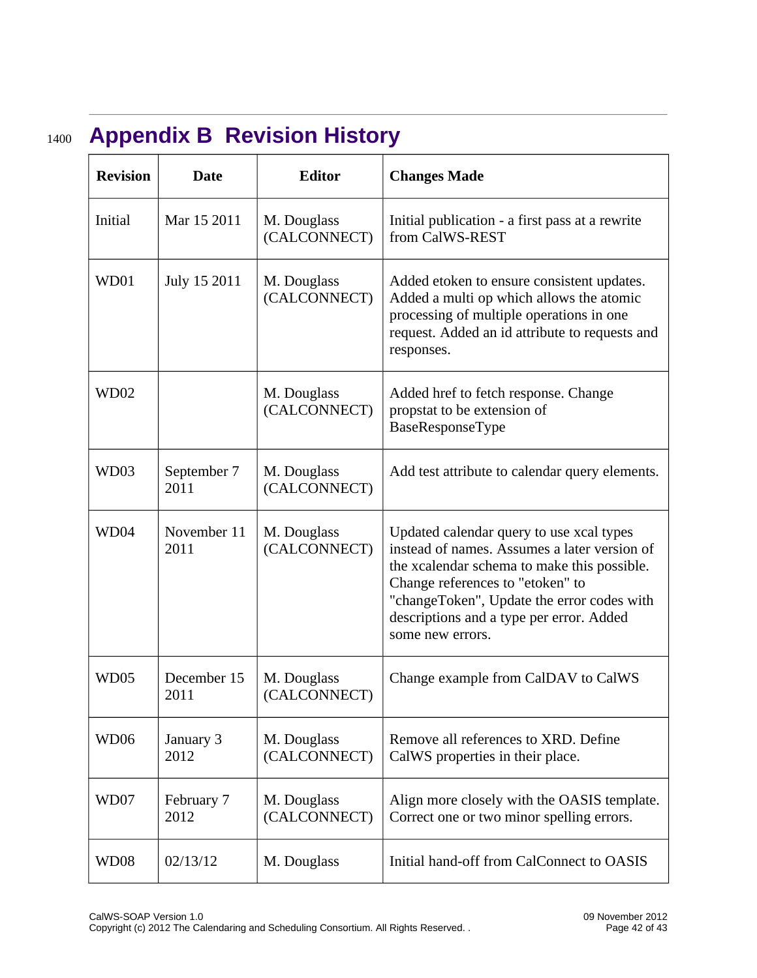# **Appendix B Revision History** 1400

<span id="page-42-0"></span>

| <b>Revision</b>  | <b>Date</b>         | <b>Editor</b>               | <b>Changes Made</b>                                                                                                                                                                                                                                                                       |
|------------------|---------------------|-----------------------------|-------------------------------------------------------------------------------------------------------------------------------------------------------------------------------------------------------------------------------------------------------------------------------------------|
| <b>Initial</b>   | Mar 15 2011         | M. Douglass<br>(CALCONNECT) | Initial publication - a first pass at a rewrite<br>from CalWS-REST                                                                                                                                                                                                                        |
| WD01             | July 15 2011        | M. Douglass<br>(CALCONNECT) | Added etoken to ensure consistent updates.<br>Added a multi op which allows the atomic<br>processing of multiple operations in one<br>request. Added an id attribute to requests and<br>responses.                                                                                        |
| WD02             |                     | M. Douglass<br>(CALCONNECT) | Added href to fetch response. Change<br>propstat to be extension of<br>BaseResponseType                                                                                                                                                                                                   |
| WD03             | September 7<br>2011 | M. Douglass<br>(CALCONNECT) | Add test attribute to calendar query elements.                                                                                                                                                                                                                                            |
| WD04             | November 11<br>2011 | M. Douglass<br>(CALCONNECT) | Updated calendar query to use xcal types<br>instead of names. Assumes a later version of<br>the xcalendar schema to make this possible.<br>Change references to "etoken" to<br>"changeToken", Update the error codes with<br>descriptions and a type per error. Added<br>some new errors. |
| WD05             | December 15<br>2011 | M. Douglass<br>(CALCONNECT) | Change example from CalDAV to CalWS                                                                                                                                                                                                                                                       |
| WD06             | January 3<br>2012   | M. Douglass<br>(CALCONNECT) | Remove all references to XRD. Define<br>CalWS properties in their place.                                                                                                                                                                                                                  |
| WD07             | February 7<br>2012  | M. Douglass<br>(CALCONNECT) | Align more closely with the OASIS template.<br>Correct one or two minor spelling errors.                                                                                                                                                                                                  |
| WD <sub>08</sub> | 02/13/12            | M. Douglass                 | Initial hand-off from CalConnect to OASIS                                                                                                                                                                                                                                                 |